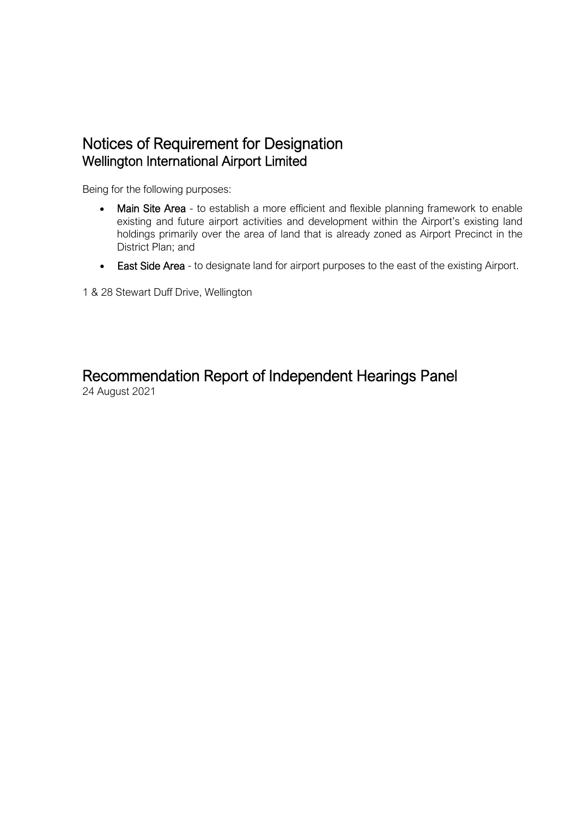# Notices of Requirement for Designation Wellington International Airport Limited

Being for the following purposes:

- Main Site Area to establish a more efficient and flexible planning framework to enable existing and future airport activities and development within the Airport's existing land holdings primarily over the area of land that is already zoned as Airport Precinct in the District Plan; and
- East Side Area to designate land for airport purposes to the east of the existing Airport.

1 & 28 Stewart Duff Drive, Wellington

# Recommendation Report of Independent Hearings Panel<br>24 August 2021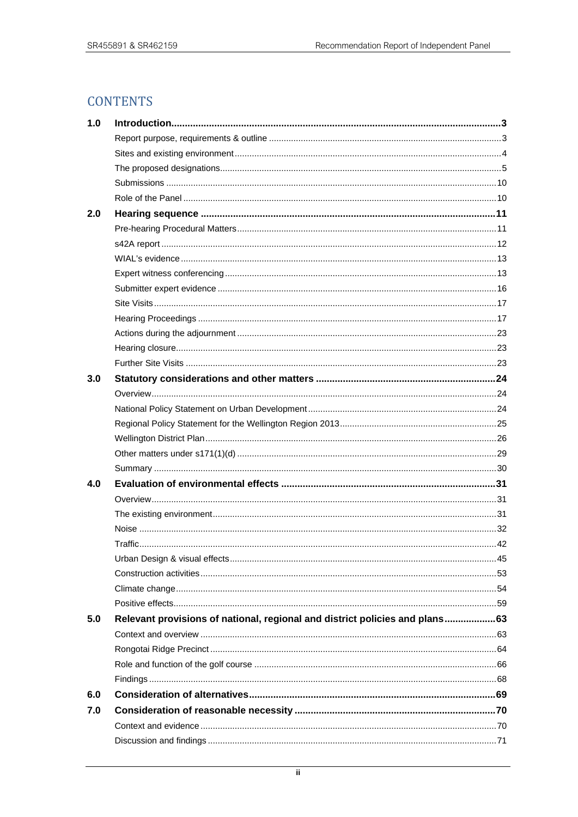# **CONTENTS**

| 1.0 |                                                                             |  |
|-----|-----------------------------------------------------------------------------|--|
|     |                                                                             |  |
|     |                                                                             |  |
|     |                                                                             |  |
|     |                                                                             |  |
|     |                                                                             |  |
| 2.0 |                                                                             |  |
|     |                                                                             |  |
|     |                                                                             |  |
|     |                                                                             |  |
|     |                                                                             |  |
|     |                                                                             |  |
|     |                                                                             |  |
|     |                                                                             |  |
|     |                                                                             |  |
|     |                                                                             |  |
|     |                                                                             |  |
| 3.0 |                                                                             |  |
|     |                                                                             |  |
|     |                                                                             |  |
|     |                                                                             |  |
|     |                                                                             |  |
|     |                                                                             |  |
|     |                                                                             |  |
| 4.0 |                                                                             |  |
|     |                                                                             |  |
|     |                                                                             |  |
|     |                                                                             |  |
|     |                                                                             |  |
|     |                                                                             |  |
|     |                                                                             |  |
|     |                                                                             |  |
|     |                                                                             |  |
| 5.0 | Relevant provisions of national, regional and district policies and plans63 |  |
|     |                                                                             |  |
|     |                                                                             |  |
|     |                                                                             |  |
|     |                                                                             |  |
| 6.0 |                                                                             |  |
| 7.0 |                                                                             |  |
|     |                                                                             |  |
|     |                                                                             |  |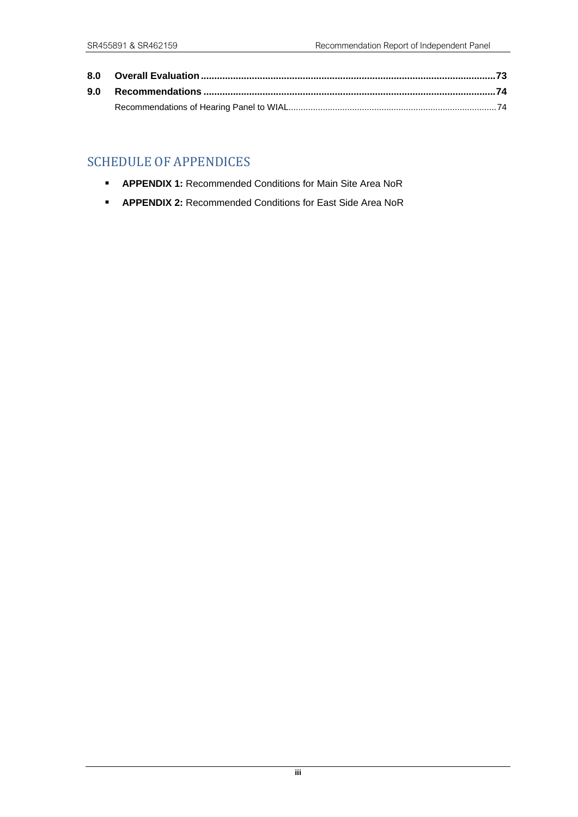# SCHEDULE OF APPENDICES

- **APPENDIX 1: Recommended Conditions for Main Site Area NoR**
- **APPENDIX 2: Recommended Conditions for East Side Area NoR**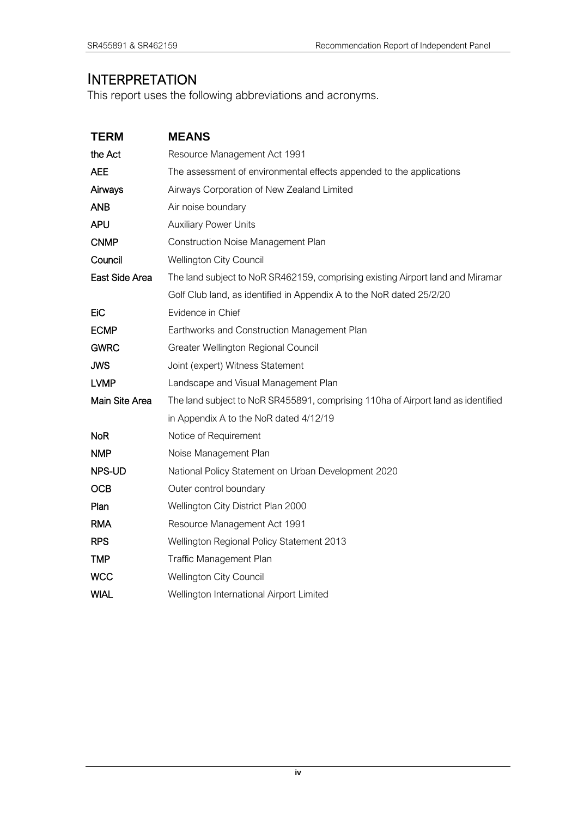# INTERPRETATION

This report uses the following abbreviations and acronyms.

| <b>TERM</b>    | <b>MEANS</b>                                                                     |
|----------------|----------------------------------------------------------------------------------|
| the Act        | Resource Management Act 1991                                                     |
| <b>AEE</b>     | The assessment of environmental effects appended to the applications             |
| Airways        | Airways Corporation of New Zealand Limited                                       |
| <b>ANB</b>     | Air noise boundary                                                               |
| <b>APU</b>     | <b>Auxiliary Power Units</b>                                                     |
| <b>CNMP</b>    | Construction Noise Management Plan                                               |
| Council        | <b>Wellington City Council</b>                                                   |
| East Side Area | The land subject to NoR SR462159, comprising existing Airport land and Miramar   |
|                | Golf Club land, as identified in Appendix A to the NoR dated 25/2/20             |
| EiC            | Evidence in Chief                                                                |
| <b>ECMP</b>    | Earthworks and Construction Management Plan                                      |
| <b>GWRC</b>    | Greater Wellington Regional Council                                              |
| <b>JWS</b>     | Joint (expert) Witness Statement                                                 |
| <b>LVMP</b>    | Landscape and Visual Management Plan                                             |
| Main Site Area | The land subject to NoR SR455891, comprising 110ha of Airport land as identified |
|                | in Appendix A to the NoR dated 4/12/19                                           |
| <b>NoR</b>     | Notice of Requirement                                                            |
| <b>NMP</b>     | Noise Management Plan                                                            |
| NPS-UD         | National Policy Statement on Urban Development 2020                              |
| <b>OCB</b>     | Outer control boundary                                                           |
| Plan           | Wellington City District Plan 2000                                               |
| <b>RMA</b>     | Resource Management Act 1991                                                     |
| <b>RPS</b>     | Wellington Regional Policy Statement 2013                                        |
| <b>TMP</b>     | Traffic Management Plan                                                          |
| <b>WCC</b>     | <b>Wellington City Council</b>                                                   |
| <b>WIAL</b>    | Wellington International Airport Limited                                         |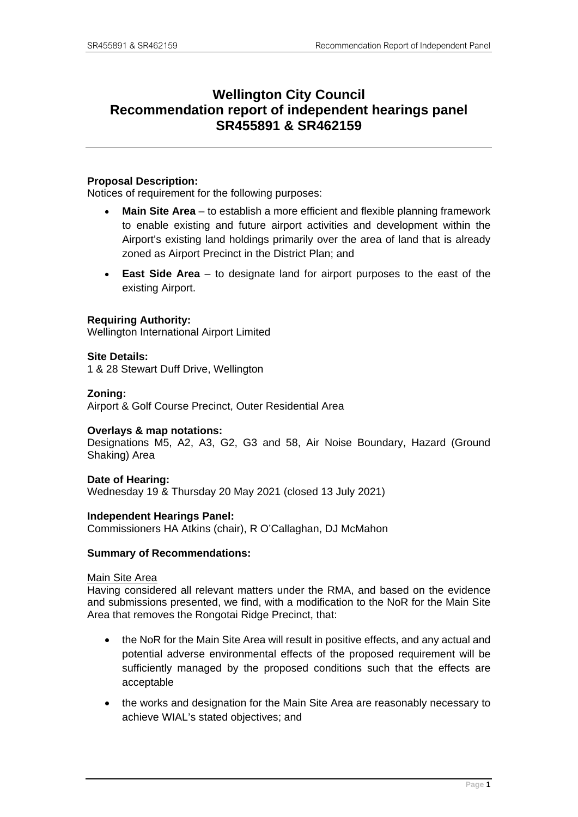# **Wellington City Council Recommendation report of independent hearings panel SR455891 & SR462159**

#### **Proposal Description:**

Notices of requirement for the following purposes:

- **Main Site Area**  to establish a more efficient and flexible planning framework to enable existing and future airport activities and development within the Airport's existing land holdings primarily over the area of land that is already zoned as Airport Precinct in the District Plan; and
- **East Side Area** to designate land for airport purposes to the east of the existing Airport.

#### **Requiring Authority:**

Wellington International Airport Limited

#### **Site Details:**

1 & 28 Stewart Duff Drive, Wellington

#### **Zoning:**

Airport & Golf Course Precinct, Outer Residential Area

#### **Overlays & map notations:**

Designations M5, A2, A3, G2, G3 and 58, Air Noise Boundary, Hazard (Ground Shaking) Area

**Date of Hearing:** Wednesday 19 & Thursday 20 May 2021 (closed 13 July 2021)

#### **Independent Hearings Panel:**

Commissioners HA Atkins (chair), R O'Callaghan, DJ McMahon

#### **Summary of Recommendations:**

#### Main Site Area

Having considered all relevant matters under the RMA, and based on the evidence and submissions presented, we find, with a modification to the NoR for the Main Site Area that removes the Rongotai Ridge Precinct, that:

- the NoR for the Main Site Area will result in positive effects, and any actual and potential adverse environmental effects of the proposed requirement will be sufficiently managed by the proposed conditions such that the effects are acceptable
- the works and designation for the Main Site Area are reasonably necessary to achieve WIAL's stated objectives; and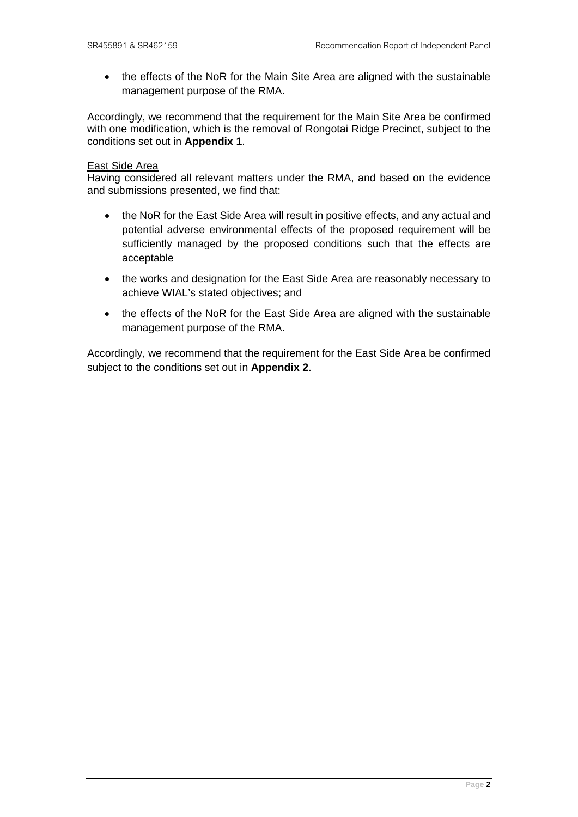• the effects of the NoR for the Main Site Area are aligned with the sustainable management purpose of the RMA.

Accordingly, we recommend that the requirement for the Main Site Area be confirmed with one modification, which is the removal of Rongotai Ridge Precinct, subject to the conditions set out in **Appendix 1**.

#### East Side Area

Having considered all relevant matters under the RMA, and based on the evidence and submissions presented, we find that:

- the NoR for the East Side Area will result in positive effects, and any actual and potential adverse environmental effects of the proposed requirement will be sufficiently managed by the proposed conditions such that the effects are acceptable
- the works and designation for the East Side Area are reasonably necessary to achieve WIAL's stated objectives; and
- the effects of the NoR for the East Side Area are aligned with the sustainable management purpose of the RMA.

Accordingly, we recommend that the requirement for the East Side Area be confirmed subject to the conditions set out in **Appendix 2**.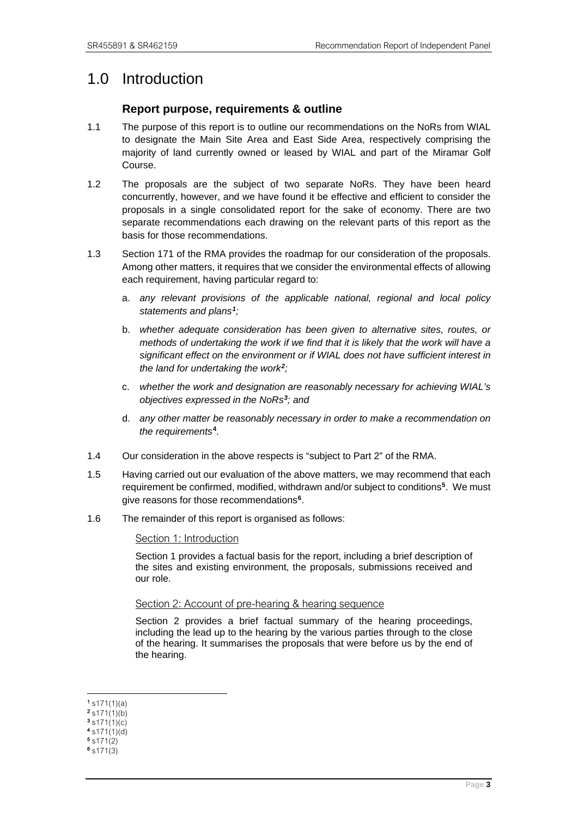# <span id="page-6-1"></span><span id="page-6-0"></span>1.0 Introduction

# **Report purpose, requirements & outline**

- 1.1 The purpose of this report is to outline our recommendations on the NoRs from WIAL to designate the Main Site Area and East Side Area, respectively comprising the majority of land currently owned or leased by WIAL and part of the Miramar Golf Course.
- 1.2 The proposals are the subject of two separate NoRs. They have been heard concurrently, however, and we have found it be effective and efficient to consider the proposals in a single consolidated report for the sake of economy. There are two separate recommendations each drawing on the relevant parts of this report as the basis for those recommendations.
- 1.3 Section 171 of the RMA provides the roadmap for our consideration of the proposals. Among other matters, it requires that we consider the environmental effects of allowing each requirement, having particular regard to:
	- a. *any relevant provisions of the applicable national, regional and local policy statements and plans[1](#page-6-2);*
	- b. *whether adequate consideration has been given to alternative sites, routes, or methods of undertaking the work if we find that it is likely that the work will have a significant effect on the environment or if WIAL does not have sufficient interest in the land for undertaking the work[2](#page-6-3);*
	- c. *whether the work and designation are reasonably necessary for achieving WIAL's objectives expressed in the NoRs[3](#page-6-4); and*
	- d. *any other matter be reasonably necessary in order to make a recommendation on the requirements***[4](#page-6-5)**.
- 1.4 Our consideration in the above respects is "subject to Part 2" of the RMA.
- 1.5 Having carried out our evaluation of the above matters, we may recommend that each requirement be confirmed, modified, withdrawn and/or subject to conditions**[5](#page-6-6)**. We must give reasons for those recommendations**[6](#page-6-7)**.
- 1.6 The remainder of this report is organised as follows:

Section 1: Introduction

Section 1 provides a factual basis for the report, including a brief description of the sites and existing environment, the proposals, submissions received and our role.

#### Section 2: Account of pre-hearing & hearing sequence

Section 2 provides a brief factual summary of the hearing proceedings, including the lead up to the hearing by the various parties through to the close of the hearing. It summarises the proposals that were before us by the end of the hearing.

<span id="page-6-2"></span> $1 \text{ s171(1)(a)}$ 

<span id="page-6-3"></span> $2 \sin(1)$ (b)

<span id="page-6-4"></span> $3 \sin(1)(c)$ 4 s171(1)(d)

<span id="page-6-6"></span><span id="page-6-5"></span>5 s171(2)

<span id="page-6-7"></span>6 s171(3)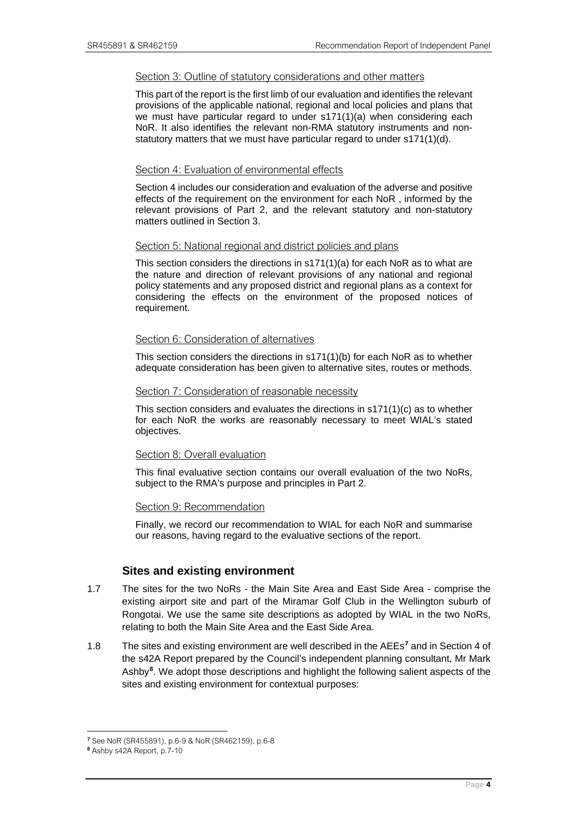#### Section 3: Outline of statutory considerations and other matters

This part of the report is the first limb of our evaluation and identifies the relevant provisions of the applicable national, regional and local policies and plans that we must have particular regard to under s171(1)(a) when considering each NoR. It also identifies the relevant non-RMA statutory instruments and nonstatutory matters that we must have particular regard to under s171(1)(d).

#### Section 4: Evaluation of environmental effects

Section 4 includes our consideration and evaluation of the adverse and positive effects of the requirement on the environment for each NoR , informed by the relevant provisions of Part 2, and the relevant statutory and non-statutory matters outlined in Section 3.

#### Section 5: National regional and district policies and plans

This section considers the directions in s171(1)(a) for each NoR as to what are the nature and direction of relevant provisions of any national and regional policy statements and any proposed district and regional plans as a context for considering the effects on the environment of the proposed notices of requirement.

#### Section 6: Consideration of alternatives

This section considers the directions in s171(1)(b) for each NoR as to whether adequate consideration has been given to alternative sites, routes or methods.

#### Section 7: Consideration of reasonable necessity

This section considers and evaluates the directions in  $s171(1)(c)$  as to whether for each NoR the works are reasonably necessary to meet WIAL's stated objectives.

#### Section 8: Overall evaluation

This final evaluative section contains our overall evaluation of the two NoRs, subject to the RMA's purpose and principles in Part 2.

#### Section 9: Recommendation

Finally, we record our recommendation to WIAL for each NoR and summarise our reasons, having regard to the evaluative sections of the report.

# **Sites and existing environment**

- <span id="page-7-0"></span>1.7 The sites for the two NoRs - the Main Site Area and East Side Area - comprise the existing airport site and part of the Miramar Golf Club in the Wellington suburb of Rongotai. We use the same site descriptions as adopted by WIAL in the two NoRs, relating to both the Main Site Area and the East Side Area.
- 1.8 The sites and existing environment are well described in the AEEs**[7](#page-7-1)** and in Section 4 of the s42A Report prepared by the Council's independent planning consultant, Mr Mark Ashby**[8](#page-7-2)**. We adopt those descriptions and highlight the following salient aspects of the sites and existing environment for contextual purposes:

<sup>7</sup> See NoR (SR455891), p.6-9 & NoR (SR462159), p.6-8 8

<span id="page-7-2"></span><span id="page-7-1"></span><sup>8</sup> Ashby s42A Report, p.7-10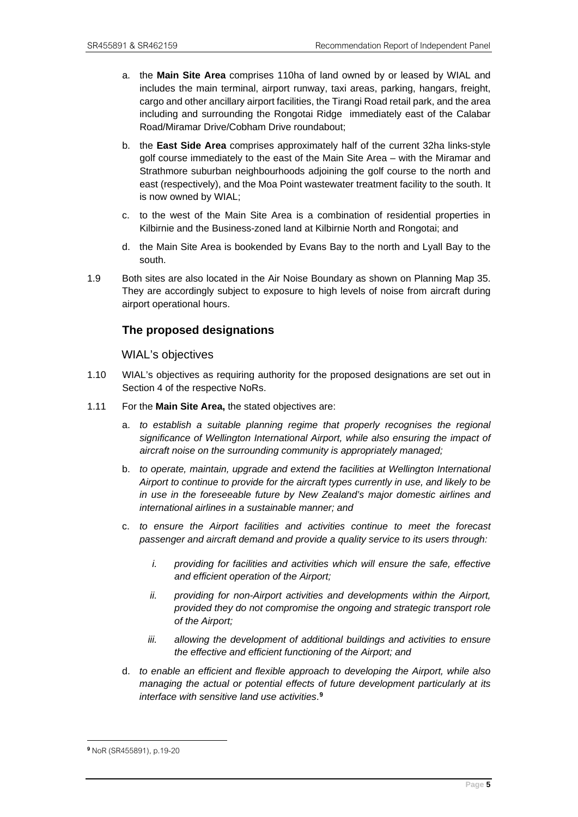- a. the **Main Site Area** comprises 110ha of land owned by or leased by WIAL and includes the main terminal, airport runway, taxi areas, parking, hangars, freight, cargo and other ancillary airport facilities, the Tirangi Road retail park, and the area including and surrounding the Rongotai Ridge immediately east of the Calabar Road/Miramar Drive/Cobham Drive roundabout;
- b. the **East Side Area** comprises approximately half of the current 32ha links-style golf course immediately to the east of the Main Site Area – with the Miramar and Strathmore suburban neighbourhoods adjoining the golf course to the north and east (respectively), and the Moa Point wastewater treatment facility to the south. It is now owned by WIAL;
- c. to the west of the Main Site Area is a combination of residential properties in Kilbirnie and the Business-zoned land at Kilbirnie North and Rongotai; and
- d. the Main Site Area is bookended by Evans Bay to the north and Lyall Bay to the south.
- 1.9 Both sites are also located in the Air Noise Boundary as shown on Planning Map 35. They are accordingly subject to exposure to high levels of noise from aircraft during airport operational hours.

# <span id="page-8-0"></span>**The proposed designations**

WIAL's objectives

- 1.10 WIAL's objectives as requiring authority for the proposed designations are set out in Section 4 of the respective NoRs.
- 1.11 For the **Main Site Area,** the stated objectives are:
	- a. *to establish a suitable planning regime that properly recognises the regional significance of Wellington International Airport, while also ensuring the impact of aircraft noise on the surrounding community is appropriately managed;*
	- b. *to operate, maintain, upgrade and extend the facilities at Wellington International Airport to continue to provide for the aircraft types currently in use, and likely to be in use in the foreseeable future by New Zealand's major domestic airlines and international airlines in a sustainable manner; and*
	- c. *to ensure the Airport facilities and activities continue to meet the forecast passenger and aircraft demand and provide a quality service to its users through:*
		- *i. providing for facilities and activities which will ensure the safe, effective and efficient operation of the Airport;*
		- *ii. providing for non-Airport activities and developments within the Airport, provided they do not compromise the ongoing and strategic transport role of the Airport;*
		- *iii.* allowing the development of additional buildings and activities to ensure *the effective and efficient functioning of the Airport; and*
	- d. *to enable an efficient and flexible approach to developing the Airport, while also managing the actual or potential effects of future development particularly at its interface with sensitive land use activities*. **[9](#page-8-1)**

<span id="page-8-1"></span><sup>9</sup> NoR (SR455891), p.19-20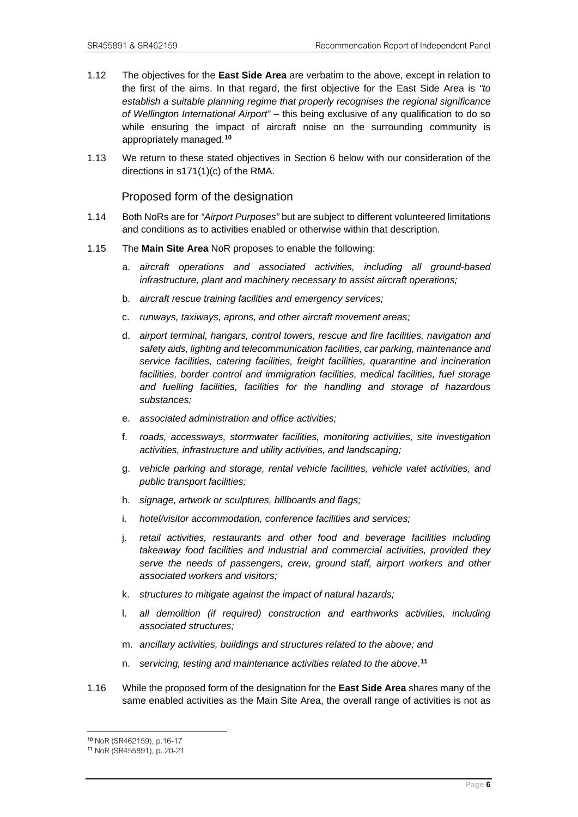- 1.12 The objectives for the **East Side Area** are verbatim to the above, except in relation to the first of the aims. In that regard, the first objective for the East Side Area is *"to establish a suitable planning regime that properly recognises the regional significance of Wellington International Airport"* – this being exclusive of any qualification to do so while ensuring the impact of aircraft noise on the surrounding community is appropriately managed. **[10](#page-9-0)**
- 1.13 We return to these stated objectives in Section 6 below with our consideration of the directions in s171(1)(c) of the RMA.

#### Proposed form of the designation

- 1.14 Both NoRs are for *"Airport Purposes"* but are subject to different volunteered limitations and conditions as to activities enabled or otherwise within that description.
- 1.15 The **Main Site Area** NoR proposes to enable the following:
	- a. *aircraft operations and associated activities, including all ground-based infrastructure, plant and machinery necessary to assist aircraft operations;*
	- b. *aircraft rescue training facilities and emergency services;*
	- c. *runways, taxiways, aprons, and other aircraft movement areas;*
	- d. *airport terminal, hangars, control towers, rescue and fire facilities, navigation and safety aids, lighting and telecommunication facilities, car parking, maintenance and service facilities, catering facilities, freight facilities, quarantine and incineration facilities, border control and immigration facilities, medical facilities, fuel storage and fuelling facilities, facilities for the handling and storage of hazardous substances;*
	- e. *associated administration and office activities;*
	- f. *roads, accessways, stormwater facilities, monitoring activities, site investigation activities, infrastructure and utility activities, and landscaping;*
	- g. *vehicle parking and storage, rental vehicle facilities, vehicle valet activities, and public transport facilities;*
	- h. *signage, artwork or sculptures, billboards and flags;*
	- i. *hotel/visitor accommodation, conference facilities and services;*
	- j. *retail activities, restaurants and other food and beverage facilities including takeaway food facilities and industrial and commercial activities, provided they serve the needs of passengers, crew, ground staff, airport workers and other associated workers and visitors;*
	- k. *structures to mitigate against the impact of natural hazards;*
	- l. *all demolition (if required) construction and earthworks activities, including associated structures;*
	- m. *ancillary activities, buildings and structures related to the above; and*
	- n. *servicing, testing and maintenance activities related to the above*. **[11](#page-9-1)**
- 1.16 While the proposed form of the designation for the **East Side Area** shares many of the same enabled activities as the Main Site Area, the overall range of activities is not as

<span id="page-9-0"></span><sup>10</sup> NoR (SR462159), p.16-17 11 NoR (SR455891), p. 20-21

<span id="page-9-1"></span>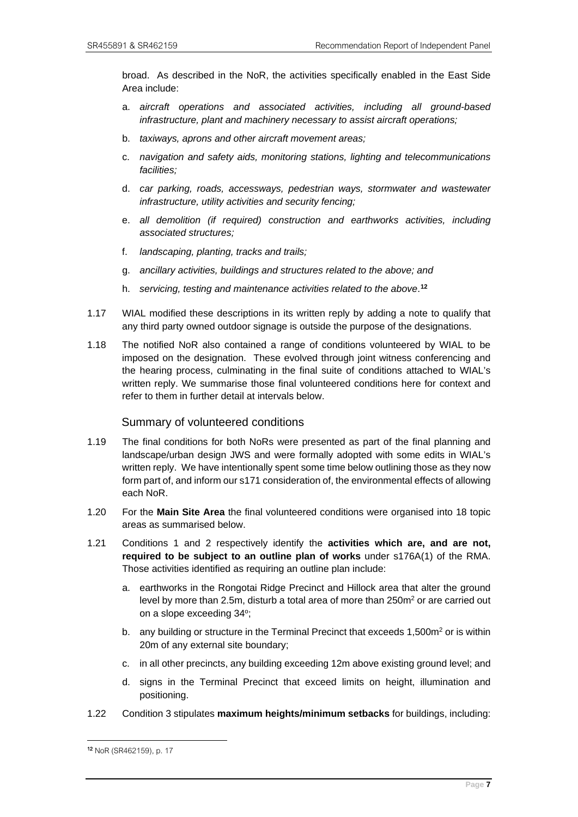broad. As described in the NoR, the activities specifically enabled in the East Side Area include:

- a. *aircraft operations and associated activities, including all ground-based infrastructure, plant and machinery necessary to assist aircraft operations;*
- b. *taxiways, aprons and other aircraft movement areas;*
- c. *navigation and safety aids, monitoring stations, lighting and telecommunications facilities;*
- d. *car parking, roads, accessways, pedestrian ways, stormwater and wastewater infrastructure, utility activities and security fencing;*
- e. *all demolition (if required) construction and earthworks activities, including associated structures;*
- f. *landscaping, planting, tracks and trails;*
- g. *ancillary activities, buildings and structures related to the above; and*
- h. *servicing, testing and maintenance activities related to the above*. **[12](#page-10-0)**
- 1.17 WIAL modified these descriptions in its written reply by adding a note to qualify that any third party owned outdoor signage is outside the purpose of the designations.
- 1.18 The notified NoR also contained a range of conditions volunteered by WIAL to be imposed on the designation. These evolved through joint witness conferencing and the hearing process, culminating in the final suite of conditions attached to WIAL's written reply. We summarise those final volunteered conditions here for context and refer to them in further detail at intervals below.

#### Summary of volunteered conditions

- 1.19 The final conditions for both NoRs were presented as part of the final planning and landscape/urban design JWS and were formally adopted with some edits in WIAL's written reply. We have intentionally spent some time below outlining those as they now form part of, and inform our s171 consideration of, the environmental effects of allowing each NoR.
- 1.20 For the **Main Site Area** the final volunteered conditions were organised into 18 topic areas as summarised below.
- 1.21 Conditions 1 and 2 respectively identify the **activities which are, and are not, required to be subject to an outline plan of works** under s176A(1) of the RMA. Those activities identified as requiring an outline plan include:
	- a. earthworks in the Rongotai Ridge Precinct and Hillock area that alter the ground level by more than 2.5m, disturb a total area of more than  $250m<sup>2</sup>$  or are carried out on a slope exceeding 34°;
	- b. any building or structure in the Terminal Precinct that exceeds  $1,500m^2$  or is within 20m of any external site boundary;
	- c. in all other precincts, any building exceeding 12m above existing ground level; and
	- d. signs in the Terminal Precinct that exceed limits on height, illumination and positioning.
- 1.22 Condition 3 stipulates **maximum heights/minimum setbacks** for buildings, including:

<span id="page-10-0"></span><sup>12</sup> NoR (SR462159), p. 17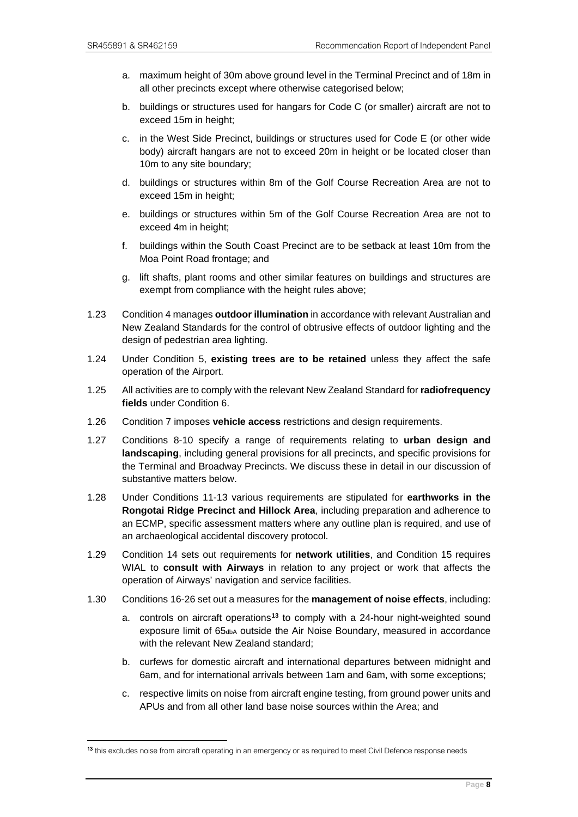- a. maximum height of 30m above ground level in the Terminal Precinct and of 18m in all other precincts except where otherwise categorised below;
- b. buildings or structures used for hangars for Code C (or smaller) aircraft are not to exceed 15m in height;
- c. in the West Side Precinct, buildings or structures used for Code E (or other wide body) aircraft hangars are not to exceed 20m in height or be located closer than 10m to any site boundary;
- d. buildings or structures within 8m of the Golf Course Recreation Area are not to exceed 15m in height;
- e. buildings or structures within 5m of the Golf Course Recreation Area are not to exceed 4m in height;
- f. buildings within the South Coast Precinct are to be setback at least 10m from the Moa Point Road frontage; and
- g. lift shafts, plant rooms and other similar features on buildings and structures are exempt from compliance with the height rules above;
- 1.23 Condition 4 manages **outdoor illumination** in accordance with relevant Australian and New Zealand Standards for the control of obtrusive effects of outdoor lighting and the design of pedestrian area lighting.
- 1.24 Under Condition 5, **existing trees are to be retained** unless they affect the safe operation of the Airport.
- 1.25 All activities are to comply with the relevant New Zealand Standard for **radiofrequency fields** under Condition 6.
- 1.26 Condition 7 imposes **vehicle access** restrictions and design requirements.
- 1.27 Conditions 8-10 specify a range of requirements relating to **urban design and landscaping**, including general provisions for all precincts, and specific provisions for the Terminal and Broadway Precincts. We discuss these in detail in our discussion of substantive matters below.
- 1.28 Under Conditions 11-13 various requirements are stipulated for **earthworks in the Rongotai Ridge Precinct and Hillock Area**, including preparation and adherence to an ECMP, specific assessment matters where any outline plan is required, and use of an archaeological accidental discovery protocol.
- 1.29 Condition 14 sets out requirements for **network utilities**, and Condition 15 requires WIAL to **consult with Airways** in relation to any project or work that affects the operation of Airways' navigation and service facilities.
- 1.30 Conditions 16-26 set out a measures for the **management of noise effects**, including:
	- a. controls on aircraft operations**[13](#page-11-0)** to comply with a 24-hour night-weighted sound exposure limit of 65<sub>dbA</sub> outside the Air Noise Boundary, measured in accordance with the relevant New Zealand standard:
	- b. curfews for domestic aircraft and international departures between midnight and 6am, and for international arrivals between 1am and 6am, with some exceptions;
	- c. respective limits on noise from aircraft engine testing, from ground power units and APUs and from all other land base noise sources within the Area; and

<span id="page-11-0"></span><sup>13</sup> this excludes noise from aircraft operating in an emergency or as required to meet Civil Defence response needs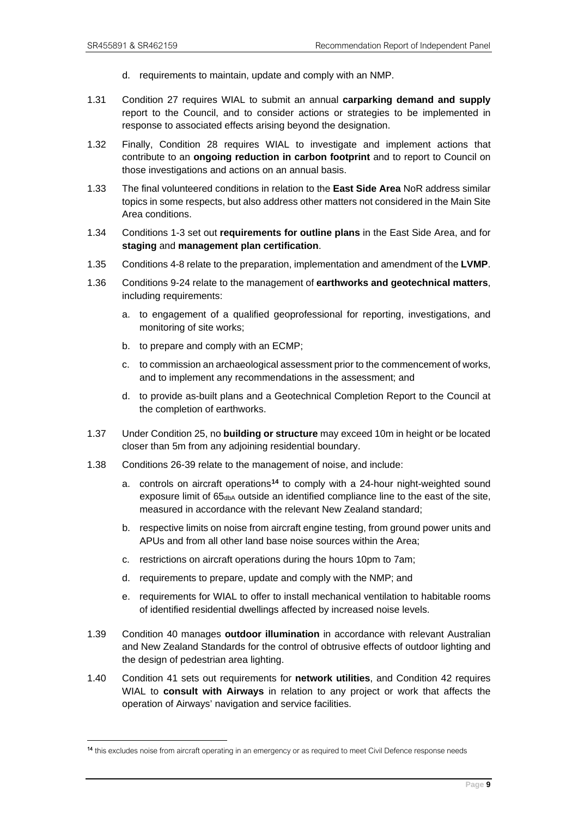- d. requirements to maintain, update and comply with an NMP.
- 1.31 Condition 27 requires WIAL to submit an annual **carparking demand and supply**  report to the Council, and to consider actions or strategies to be implemented in response to associated effects arising beyond the designation.
- 1.32 Finally, Condition 28 requires WIAL to investigate and implement actions that contribute to an **ongoing reduction in carbon footprint** and to report to Council on those investigations and actions on an annual basis.
- 1.33 The final volunteered conditions in relation to the **East Side Area** NoR address similar topics in some respects, but also address other matters not considered in the Main Site Area conditions.
- 1.34 Conditions 1-3 set out **requirements for outline plans** in the East Side Area, and for **staging** and **management plan certification**.
- 1.35 Conditions 4-8 relate to the preparation, implementation and amendment of the **LVMP**.
- 1.36 Conditions 9-24 relate to the management of **earthworks and geotechnical matters**, including requirements:
	- a. to engagement of a qualified geoprofessional for reporting, investigations, and monitoring of site works;
	- b. to prepare and comply with an ECMP;
	- c. to commission an archaeological assessment prior to the commencement of works, and to implement any recommendations in the assessment; and
	- d. to provide as-built plans and a Geotechnical Completion Report to the Council at the completion of earthworks.
- 1.37 Under Condition 25, no **building or structure** may exceed 10m in height or be located closer than 5m from any adjoining residential boundary.
- 1.38 Conditions 26-39 relate to the management of noise, and include:
	- a. controls on aircraft operations**[14](#page-12-0)** to comply with a 24-hour night-weighted sound exposure limit of 65<sub>dbA</sub> outside an identified compliance line to the east of the site, measured in accordance with the relevant New Zealand standard;
	- b. respective limits on noise from aircraft engine testing, from ground power units and APUs and from all other land base noise sources within the Area;
	- c. restrictions on aircraft operations during the hours 10pm to 7am;
	- d. requirements to prepare, update and comply with the NMP; and
	- e. requirements for WIAL to offer to install mechanical ventilation to habitable rooms of identified residential dwellings affected by increased noise levels.
- 1.39 Condition 40 manages **outdoor illumination** in accordance with relevant Australian and New Zealand Standards for the control of obtrusive effects of outdoor lighting and the design of pedestrian area lighting.
- 1.40 Condition 41 sets out requirements for **network utilities**, and Condition 42 requires WIAL to **consult with Airways** in relation to any project or work that affects the operation of Airways' navigation and service facilities.

<span id="page-12-0"></span><sup>14</sup> this excludes noise from aircraft operating in an emergency or as required to meet Civil Defence response needs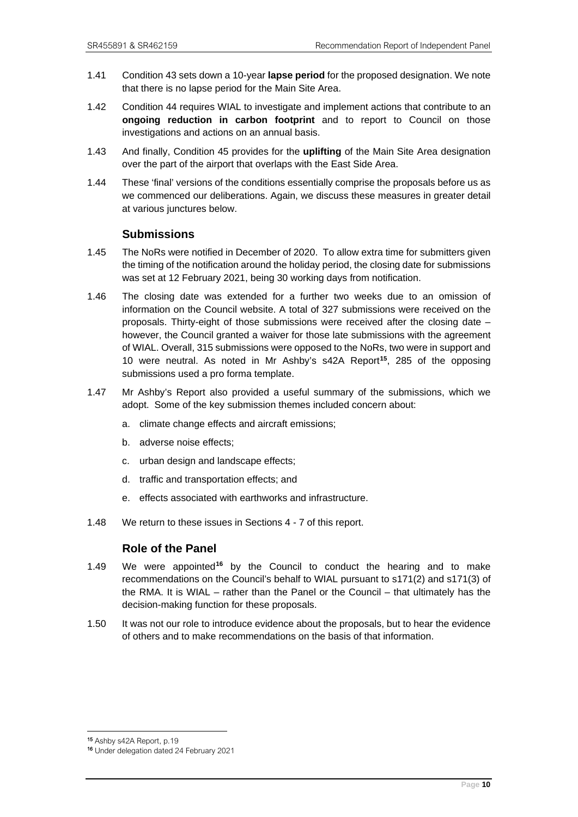- 1.41 Condition 43 sets down a 10-year **lapse period** for the proposed designation. We note that there is no lapse period for the Main Site Area.
- 1.42 Condition 44 requires WIAL to investigate and implement actions that contribute to an **ongoing reduction in carbon footprint** and to report to Council on those investigations and actions on an annual basis.
- 1.43 And finally, Condition 45 provides for the **uplifting** of the Main Site Area designation over the part of the airport that overlaps with the East Side Area.
- 1.44 These 'final' versions of the conditions essentially comprise the proposals before us as we commenced our deliberations. Again, we discuss these measures in greater detail at various junctures below.

### **Submissions**

- <span id="page-13-0"></span>1.45 The NoRs were notified in December of 2020. To allow extra time for submitters given the timing of the notification around the holiday period, the closing date for submissions was set at 12 February 2021, being 30 working days from notification.
- 1.46 The closing date was extended for a further two weeks due to an omission of information on the Council website. A total of 327 submissions were received on the proposals. Thirty-eight of those submissions were received after the closing date – however, the Council granted a waiver for those late submissions with the agreement of WIAL. Overall, 315 submissions were opposed to the NoRs, two were in support and 10 were neutral. As noted in Mr Ashby's s42A Report**[15](#page-13-2)**, 285 of the opposing submissions used a pro forma template.
- 1.47 Mr Ashby's Report also provided a useful summary of the submissions, which we adopt. Some of the key submission themes included concern about:
	- a. climate change effects and aircraft emissions;
	- b. adverse noise effects;
	- c. urban design and landscape effects;
	- d. traffic and transportation effects; and
	- e. effects associated with earthworks and infrastructure.
- <span id="page-13-1"></span>1.48 We return to these issues in Sections 4 - 7 of this report.

# **Role of the Panel**

- 1.49 We were appointed**[16](#page-13-3)** by the Council to conduct the hearing and to make recommendations on the Council's behalf to WIAL pursuant to s171(2) and s171(3) of the RMA. It is WIAL – rather than the Panel or the Council – that ultimately has the decision-making function for these proposals.
- 1.50 It was not our role to introduce evidence about the proposals, but to hear the evidence of others and to make recommendations on the basis of that information.

<span id="page-13-3"></span><span id="page-13-2"></span><sup>15</sup> Ashby s42A Report, p.19

<sup>16</sup> Under delegation dated 24 February 2021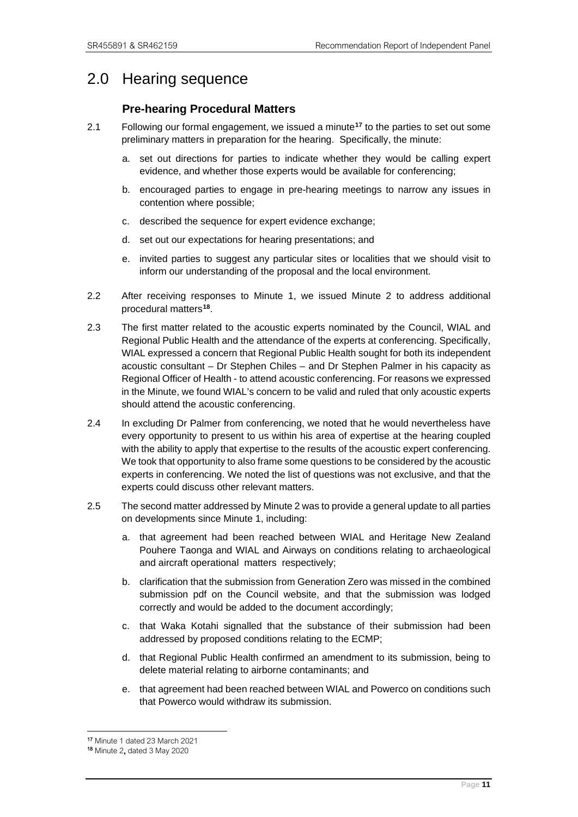# <span id="page-14-1"></span><span id="page-14-0"></span>2.0 Hearing sequence

# **Pre-hearing Procedural Matters**

- 2.1 Following our formal engagement, we issued a minute**[17](#page-14-2)** to the parties to set out some preliminary matters in preparation for the hearing. Specifically, the minute:
	- a. set out directions for parties to indicate whether they would be calling expert evidence, and whether those experts would be available for conferencing;
	- b. encouraged parties to engage in pre-hearing meetings to narrow any issues in contention where possible;
	- c. described the sequence for expert evidence exchange;
	- d. set out our expectations for hearing presentations; and
	- e. invited parties to suggest any particular sites or localities that we should visit to inform our understanding of the proposal and the local environment.
- 2.2 After receiving responses to Minute 1, we issued Minute 2 to address additional procedural matters**[18](#page-14-3)**.
- 2.3 The first matter related to the acoustic experts nominated by the Council, WIAL and Regional Public Health and the attendance of the experts at conferencing. Specifically, WIAL expressed a concern that Regional Public Health sought for both its independent acoustic consultant – Dr Stephen Chiles – and Dr Stephen Palmer in his capacity as Regional Officer of Health - to attend acoustic conferencing. For reasons we expressed in the Minute, we found WIAL's concern to be valid and ruled that only acoustic experts should attend the acoustic conferencing.
- 2.4 In excluding Dr Palmer from conferencing, we noted that he would nevertheless have every opportunity to present to us within his area of expertise at the hearing coupled with the ability to apply that expertise to the results of the acoustic expert conferencing. We took that opportunity to also frame some questions to be considered by the acoustic experts in conferencing. We noted the list of questions was not exclusive, and that the experts could discuss other relevant matters.
- 2.5 The second matter addressed by Minute 2 was to provide a general update to all parties on developments since Minute 1, including:
	- a. that agreement had been reached between WIAL and Heritage New Zealand Pouhere Taonga and WIAL and Airways on conditions relating to archaeological and aircraft operational matters respectively;
	- b. clarification that the submission from Generation Zero was missed in the combined submission pdf on the Council website, and that the submission was lodged correctly and would be added to the document accordingly;
	- c. that Waka Kotahi signalled that the substance of their submission had been addressed by proposed conditions relating to the ECMP;
	- d. that Regional Public Health confirmed an amendment to its submission, being to delete material relating to airborne contaminants; and
	- e. that agreement had been reached between WIAL and Powerco on conditions such that Powerco would withdraw its submission.

<span id="page-14-2"></span><sup>17</sup> Minute 1 dated 23 March 2021

<span id="page-14-3"></span><sup>18</sup> Minute 2, dated 3 May 2020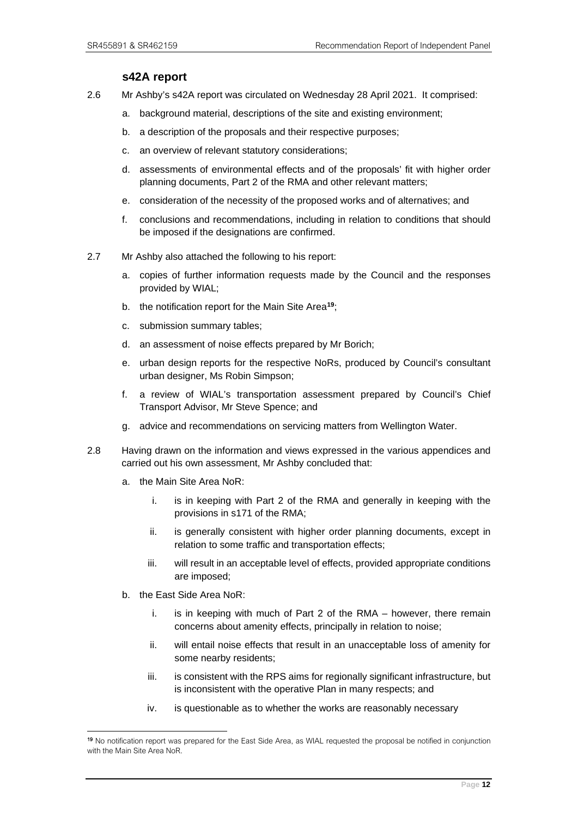# **s42A report**

- <span id="page-15-0"></span>2.6 Mr Ashby's s42A report was circulated on Wednesday 28 April 2021. It comprised:
	- a. background material, descriptions of the site and existing environment;
	- b. a description of the proposals and their respective purposes;
	- c. an overview of relevant statutory considerations;
	- d. assessments of environmental effects and of the proposals' fit with higher order planning documents, Part 2 of the RMA and other relevant matters;
	- e. consideration of the necessity of the proposed works and of alternatives; and
	- f. conclusions and recommendations, including in relation to conditions that should be imposed if the designations are confirmed.
- 2.7 Mr Ashby also attached the following to his report:
	- a. copies of further information requests made by the Council and the responses provided by WIAL;
	- b. the notification report for the Main Site Area**[19](#page-15-1)**;
	- c. submission summary tables;
	- d. an assessment of noise effects prepared by Mr Borich;
	- e. urban design reports for the respective NoRs, produced by Council's consultant urban designer, Ms Robin Simpson;
	- f. a review of WIAL's transportation assessment prepared by Council's Chief Transport Advisor, Mr Steve Spence; and
	- g. advice and recommendations on servicing matters from Wellington Water.
- 2.8 Having drawn on the information and views expressed in the various appendices and carried out his own assessment, Mr Ashby concluded that:
	- a. the Main Site Area NoR:
		- i. is in keeping with Part 2 of the RMA and generally in keeping with the provisions in s171 of the RMA;
		- ii. is generally consistent with higher order planning documents, except in relation to some traffic and transportation effects;
		- iii. will result in an acceptable level of effects, provided appropriate conditions are imposed;
	- b. the East Side Area NoR:
		- i. is in keeping with much of Part 2 of the RMA however, there remain concerns about amenity effects, principally in relation to noise;
		- ii. will entail noise effects that result in an unacceptable loss of amenity for some nearby residents;
		- iii. is consistent with the RPS aims for regionally significant infrastructure, but is inconsistent with the operative Plan in many respects; and
		- iv. is questionable as to whether the works are reasonably necessary

<span id="page-15-1"></span><sup>19</sup> No notification report was prepared for the East Side Area, as WIAL requested the proposal be notified in conjunction with the Main Site Area NoR.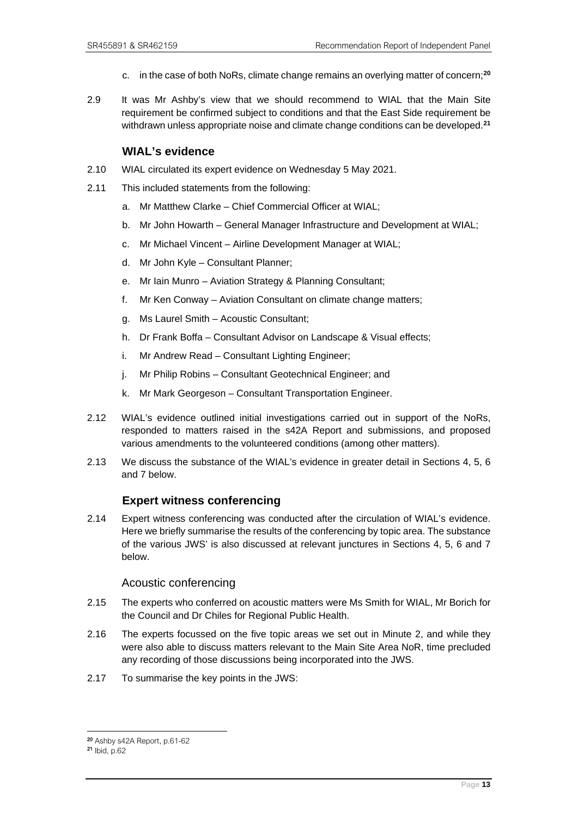- c. in the case of both NoRs, climate change remains an overlying matter of concern;**[20](#page-16-2)**
- 2.9 It was Mr Ashby's view that we should recommend to WIAL that the Main Site requirement be confirmed subject to conditions and that the East Side requirement be withdrawn unless appropriate noise and climate change conditions can be developed. **[21](#page-16-3)**

#### **WIAL's evidence**

- <span id="page-16-0"></span>2.10 WIAL circulated its expert evidence on Wednesday 5 May 2021.
- 2.11 This included statements from the following:
	- a. Mr Matthew Clarke Chief Commercial Officer at WIAL;
	- b. Mr John Howarth General Manager Infrastructure and Development at WIAL;
	- c. Mr Michael Vincent Airline Development Manager at WIAL;
	- d. Mr John Kyle Consultant Planner;
	- e. Mr Iain Munro Aviation Strategy & Planning Consultant;
	- f. Mr Ken Conway Aviation Consultant on climate change matters;
	- g. Ms Laurel Smith Acoustic Consultant;
	- h. Dr Frank Boffa Consultant Advisor on Landscape & Visual effects;
	- i. Mr Andrew Read Consultant Lighting Engineer;
	- j. Mr Philip Robins Consultant Geotechnical Engineer; and
	- k. Mr Mark Georgeson Consultant Transportation Engineer.
- 2.12 WIAL's evidence outlined initial investigations carried out in support of the NoRs, responded to matters raised in the s42A Report and submissions, and proposed various amendments to the volunteered conditions (among other matters).
- 2.13 We discuss the substance of the WIAL's evidence in greater detail in Sections 4, 5, 6 and 7 below.

# **Expert witness conferencing**

<span id="page-16-1"></span>2.14 Expert witness conferencing was conducted after the circulation of WIAL's evidence. Here we briefly summarise the results of the conferencing by topic area. The substance of the various JWS' is also discussed at relevant junctures in Sections 4, 5, 6 and 7 below.

#### Acoustic conferencing

- 2.15 The experts who conferred on acoustic matters were Ms Smith for WIAL, Mr Borich for the Council and Dr Chiles for Regional Public Health.
- 2.16 The experts focussed on the five topic areas we set out in Minute 2, and while they were also able to discuss matters relevant to the Main Site Area NoR, time precluded any recording of those discussions being incorporated into the JWS.
- 2.17 To summarise the key points in the JWS:

<span id="page-16-3"></span><span id="page-16-2"></span><sup>20</sup> Ashby s42A Report, p.61-62 21 Ibid, p.62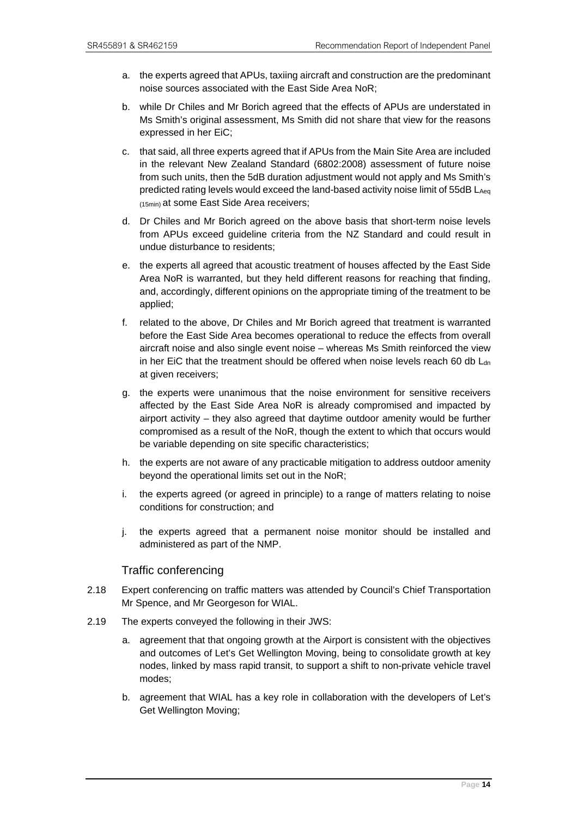- a. the experts agreed that APUs, taxiing aircraft and construction are the predominant noise sources associated with the East Side Area NoR;
- b. while Dr Chiles and Mr Borich agreed that the effects of APUs are understated in Ms Smith's original assessment, Ms Smith did not share that view for the reasons expressed in her EiC;
- c. that said, all three experts agreed that if APUs from the Main Site Area are included in the relevant New Zealand Standard (6802:2008) assessment of future noise from such units, then the 5dB duration adjustment would not apply and Ms Smith's predicted rating levels would exceed the land-based activity noise limit of 55dB LAeq (15min) at some East Side Area receivers;
- d. Dr Chiles and Mr Borich agreed on the above basis that short-term noise levels from APUs exceed guideline criteria from the NZ Standard and could result in undue disturbance to residents;
- e. the experts all agreed that acoustic treatment of houses affected by the East Side Area NoR is warranted, but they held different reasons for reaching that finding, and, accordingly, different opinions on the appropriate timing of the treatment to be applied;
- f. related to the above, Dr Chiles and Mr Borich agreed that treatment is warranted before the East Side Area becomes operational to reduce the effects from overall aircraft noise and also single event noise – whereas Ms Smith reinforced the view in her EiC that the treatment should be offered when noise levels reach 60 db  $L<sub>dn</sub>$ at given receivers;
- g. the experts were unanimous that the noise environment for sensitive receivers affected by the East Side Area NoR is already compromised and impacted by airport activity – they also agreed that daytime outdoor amenity would be further compromised as a result of the NoR, though the extent to which that occurs would be variable depending on site specific characteristics;
- h. the experts are not aware of any practicable mitigation to address outdoor amenity beyond the operational limits set out in the NoR;
- i. the experts agreed (or agreed in principle) to a range of matters relating to noise conditions for construction; and
- j. the experts agreed that a permanent noise monitor should be installed and administered as part of the NMP.

#### Traffic conferencing

- 2.18 Expert conferencing on traffic matters was attended by Council's Chief Transportation Mr Spence, and Mr Georgeson for WIAL.
- 2.19 The experts conveyed the following in their JWS:
	- a. agreement that that ongoing growth at the Airport is consistent with the objectives and outcomes of Let's Get Wellington Moving, being to consolidate growth at key nodes, linked by mass rapid transit, to support a shift to non-private vehicle travel modes;
	- b. agreement that WIAL has a key role in collaboration with the developers of Let's Get Wellington Moving;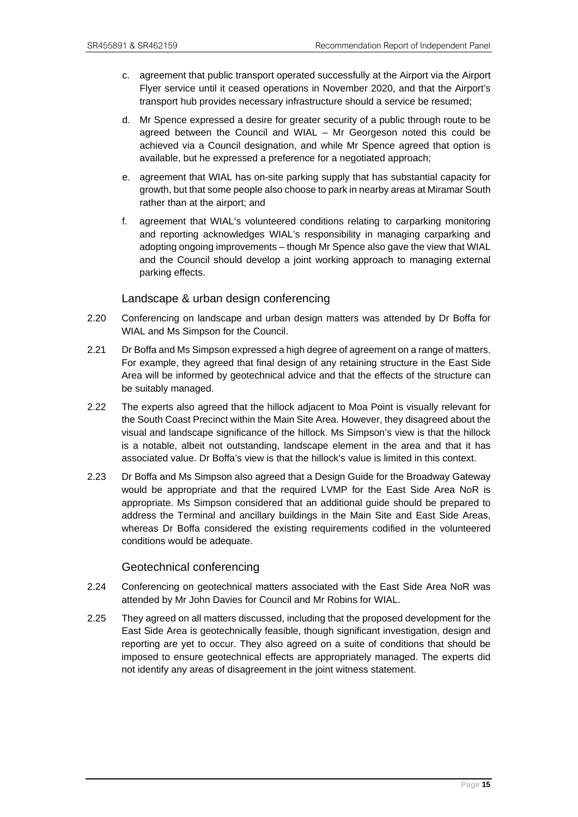- c. agreement that public transport operated successfully at the Airport via the Airport Flyer service until it ceased operations in November 2020, and that the Airport's transport hub provides necessary infrastructure should a service be resumed;
- d. Mr Spence expressed a desire for greater security of a public through route to be agreed between the Council and WIAL – Mr Georgeson noted this could be achieved via a Council designation, and while Mr Spence agreed that option is available, but he expressed a preference for a negotiated approach;
- e. agreement that WIAL has on-site parking supply that has substantial capacity for growth, but that some people also choose to park in nearby areas at Miramar South rather than at the airport; and
- f. agreement that WIAL's volunteered conditions relating to carparking monitoring and reporting acknowledges WIAL's responsibility in managing carparking and adopting ongoing improvements – though Mr Spence also gave the view that WIAL and the Council should develop a joint working approach to managing external parking effects.

# Landscape & urban design conferencing

- 2.20 Conferencing on landscape and urban design matters was attended by Dr Boffa for WIAL and Ms Simpson for the Council.
- 2.21 Dr Boffa and Ms Simpson expressed a high degree of agreement on a range of matters. For example, they agreed that final design of any retaining structure in the East Side Area will be informed by geotechnical advice and that the effects of the structure can be suitably managed.
- 2.22 The experts also agreed that the hillock adjacent to Moa Point is visually relevant for the South Coast Precinct within the Main Site Area. However, they disagreed about the visual and landscape significance of the hillock. Ms Simpson's view is that the hillock is a notable, albeit not outstanding, landscape element in the area and that it has associated value. Dr Boffa's view is that the hillock's value is limited in this context.
- 2.23 Dr Boffa and Ms Simpson also agreed that a Design Guide for the Broadway Gateway would be appropriate and that the required LVMP for the East Side Area NoR is appropriate. Ms Simpson considered that an additional guide should be prepared to address the Terminal and ancillary buildings in the Main Site and East Side Areas, whereas Dr Boffa considered the existing requirements codified in the volunteered conditions would be adequate.

# Geotechnical conferencing

- 2.24 Conferencing on geotechnical matters associated with the East Side Area NoR was attended by Mr John Davies for Council and Mr Robins for WIAL.
- 2.25 They agreed on all matters discussed, including that the proposed development for the East Side Area is geotechnically feasible, though significant investigation, design and reporting are yet to occur. They also agreed on a suite of conditions that should be imposed to ensure geotechnical effects are appropriately managed. The experts did not identify any areas of disagreement in the joint witness statement.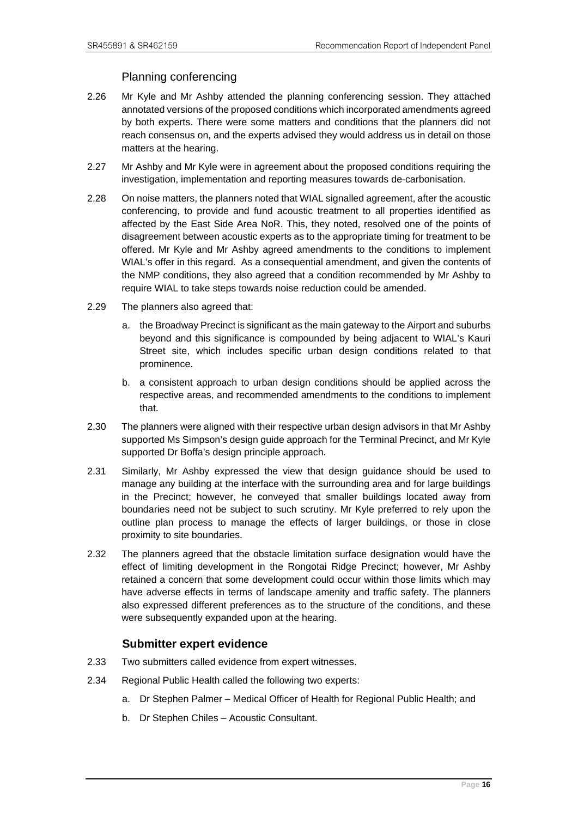### Planning conferencing

- 2.26 Mr Kyle and Mr Ashby attended the planning conferencing session. They attached annotated versions of the proposed conditions which incorporated amendments agreed by both experts. There were some matters and conditions that the planners did not reach consensus on, and the experts advised they would address us in detail on those matters at the hearing.
- 2.27 Mr Ashby and Mr Kyle were in agreement about the proposed conditions requiring the investigation, implementation and reporting measures towards de-carbonisation.
- 2.28 On noise matters, the planners noted that WIAL signalled agreement, after the acoustic conferencing, to provide and fund acoustic treatment to all properties identified as affected by the East Side Area NoR. This, they noted, resolved one of the points of disagreement between acoustic experts as to the appropriate timing for treatment to be offered. Mr Kyle and Mr Ashby agreed amendments to the conditions to implement WIAL's offer in this regard. As a consequential amendment, and given the contents of the NMP conditions, they also agreed that a condition recommended by Mr Ashby to require WIAL to take steps towards noise reduction could be amended.
- 2.29 The planners also agreed that:
	- a. the Broadway Precinct is significant as the main gateway to the Airport and suburbs beyond and this significance is compounded by being adjacent to WIAL's Kauri Street site, which includes specific urban design conditions related to that prominence.
	- b. a consistent approach to urban design conditions should be applied across the respective areas, and recommended amendments to the conditions to implement that.
- 2.30 The planners were aligned with their respective urban design advisors in that Mr Ashby supported Ms Simpson's design guide approach for the Terminal Precinct, and Mr Kyle supported Dr Boffa's design principle approach.
- 2.31 Similarly, Mr Ashby expressed the view that design guidance should be used to manage any building at the interface with the surrounding area and for large buildings in the Precinct; however, he conveyed that smaller buildings located away from boundaries need not be subject to such scrutiny. Mr Kyle preferred to rely upon the outline plan process to manage the effects of larger buildings, or those in close proximity to site boundaries.
- 2.32 The planners agreed that the obstacle limitation surface designation would have the effect of limiting development in the Rongotai Ridge Precinct; however, Mr Ashby retained a concern that some development could occur within those limits which may have adverse effects in terms of landscape amenity and traffic safety. The planners also expressed different preferences as to the structure of the conditions, and these were subsequently expanded upon at the hearing.

# **Submitter expert evidence**

- <span id="page-19-0"></span>2.33 Two submitters called evidence from expert witnesses.
- 2.34 Regional Public Health called the following two experts:
	- a. Dr Stephen Palmer Medical Officer of Health for Regional Public Health; and
	- b. Dr Stephen Chiles Acoustic Consultant.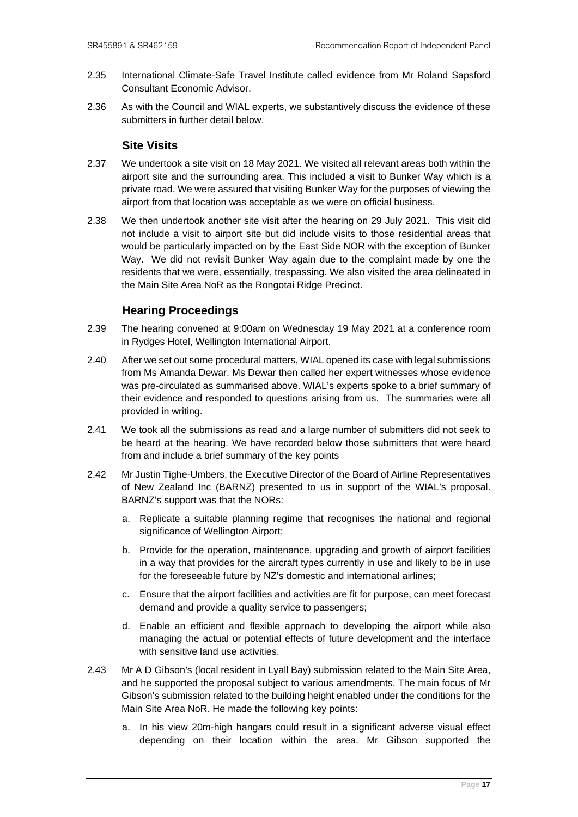- 2.35 International Climate-Safe Travel Institute called evidence from Mr Roland Sapsford Consultant Economic Advisor.
- 2.36 As with the Council and WIAL experts, we substantively discuss the evidence of these submitters in further detail below.

# **Site Visits**

- <span id="page-20-0"></span>2.37 We undertook a site visit on 18 May 2021. We visited all relevant areas both within the airport site and the surrounding area. This included a visit to Bunker Way which is a private road. We were assured that visiting Bunker Way for the purposes of viewing the airport from that location was acceptable as we were on official business.
- 2.38 We then undertook another site visit after the hearing on 29 July 2021. This visit did not include a visit to airport site but did include visits to those residential areas that would be particularly impacted on by the East Side NOR with the exception of Bunker Way. We did not revisit Bunker Way again due to the complaint made by one the residents that we were, essentially, trespassing. We also visited the area delineated in the Main Site Area NoR as the Rongotai Ridge Precinct.

# **Hearing Proceedings**

- <span id="page-20-1"></span>2.39 The hearing convened at 9:00am on Wednesday 19 May 2021 at a conference room in Rydges Hotel, Wellington International Airport.
- 2.40 After we set out some procedural matters, WIAL opened its case with legal submissions from Ms Amanda Dewar. Ms Dewar then called her expert witnesses whose evidence was pre-circulated as summarised above. WIAL's experts spoke to a brief summary of their evidence and responded to questions arising from us. The summaries were all provided in writing.
- 2.41 We took all the submissions as read and a large number of submitters did not seek to be heard at the hearing. We have recorded below those submitters that were heard from and include a brief summary of the key points
- 2.42 Mr Justin Tighe-Umbers, the Executive Director of the Board of Airline Representatives of New Zealand Inc (BARNZ) presented to us in support of the WIAL's proposal. BARNZ's support was that the NORs:
	- a. Replicate a suitable planning regime that recognises the national and regional significance of Wellington Airport;
	- b. Provide for the operation, maintenance, upgrading and growth of airport facilities in a way that provides for the aircraft types currently in use and likely to be in use for the foreseeable future by NZ's domestic and international airlines;
	- c. Ensure that the airport facilities and activities are fit for purpose, can meet forecast demand and provide a quality service to passengers;
	- d. Enable an efficient and flexible approach to developing the airport while also managing the actual or potential effects of future development and the interface with sensitive land use activities.
- 2.43 Mr A D Gibson's (local resident in Lyall Bay) submission related to the Main Site Area, and he supported the proposal subject to various amendments. The main focus of Mr Gibson's submission related to the building height enabled under the conditions for the Main Site Area NoR. He made the following key points:
	- a. In his view 20m-high hangars could result in a significant adverse visual effect depending on their location within the area. Mr Gibson supported the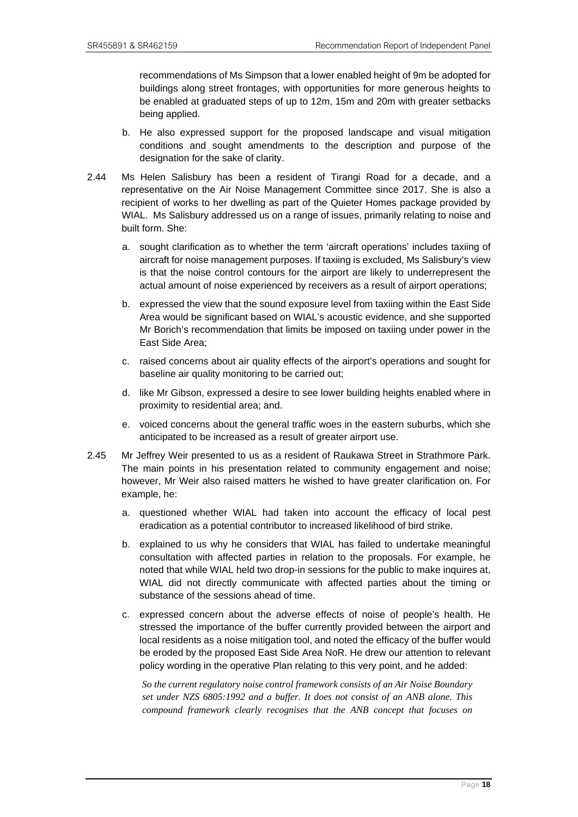recommendations of Ms Simpson that a lower enabled height of 9m be adopted for buildings along street frontages, with opportunities for more generous heights to be enabled at graduated steps of up to 12m, 15m and 20m with greater setbacks being applied.

- b. He also expressed support for the proposed landscape and visual mitigation conditions and sought amendments to the description and purpose of the designation for the sake of clarity.
- 2.44 Ms Helen Salisbury has been a resident of Tirangi Road for a decade, and a representative on the Air Noise Management Committee since 2017. She is also a recipient of works to her dwelling as part of the Quieter Homes package provided by WIAL. Ms Salisbury addressed us on a range of issues, primarily relating to noise and built form. She:
	- a. sought clarification as to whether the term 'aircraft operations' includes taxiing of aircraft for noise management purposes. If taxiing is excluded, Ms Salisbury's view is that the noise control contours for the airport are likely to underrepresent the actual amount of noise experienced by receivers as a result of airport operations;
	- b. expressed the view that the sound exposure level from taxiing within the East Side Area would be significant based on WIAL's acoustic evidence, and she supported Mr Borich's recommendation that limits be imposed on taxiing under power in the East Side Area;
	- c. raised concerns about air quality effects of the airport's operations and sought for baseline air quality monitoring to be carried out;
	- d. like Mr Gibson, expressed a desire to see lower building heights enabled where in proximity to residential area; and.
	- e. voiced concerns about the general traffic woes in the eastern suburbs, which she anticipated to be increased as a result of greater airport use.
- 2.45 Mr Jeffrey Weir presented to us as a resident of Raukawa Street in Strathmore Park. The main points in his presentation related to community engagement and noise; however, Mr Weir also raised matters he wished to have greater clarification on. For example, he:
	- a. questioned whether WIAL had taken into account the efficacy of local pest eradication as a potential contributor to increased likelihood of bird strike.
	- b. explained to us why he considers that WIAL has failed to undertake meaningful consultation with affected parties in relation to the proposals. For example, he noted that while WIAL held two drop-in sessions for the public to make inquires at, WIAL did not directly communicate with affected parties about the timing or substance of the sessions ahead of time.
	- c. expressed concern about the adverse effects of noise of people's health. He stressed the importance of the buffer currently provided between the airport and local residents as a noise mitigation tool, and noted the efficacy of the buffer would be eroded by the proposed East Side Area NoR. He drew our attention to relevant policy wording in the operative Plan relating to this very point, and he added:

*So the current regulatory noise control framework consists of an Air Noise Boundary set under NZS 6805:1992 and a buffer. It does not consist of an ANB alone. This compound framework clearly recognises that the ANB concept that focuses on*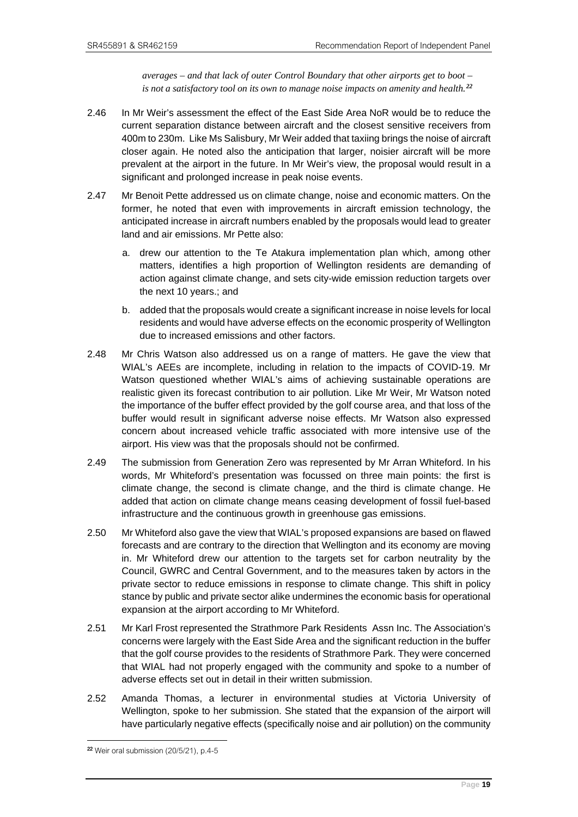*averages – and that lack of outer Control Boundary that other airports get to boot – is not a satisfactory tool on its own to manage noise impacts on amenity and health.[22](#page-22-0)* 

- 2.46 In Mr Weir's assessment the effect of the East Side Area NoR would be to reduce the current separation distance between aircraft and the closest sensitive receivers from 400m to 230m. Like Ms Salisbury, Mr Weir added that taxiing brings the noise of aircraft closer again. He noted also the anticipation that larger, noisier aircraft will be more prevalent at the airport in the future. In Mr Weir's view, the proposal would result in a significant and prolonged increase in peak noise events.
- 2.47 Mr Benoit Pette addressed us on climate change, noise and economic matters. On the former, he noted that even with improvements in aircraft emission technology, the anticipated increase in aircraft numbers enabled by the proposals would lead to greater land and air emissions. Mr Pette also:
	- a. drew our attention to the Te Atakura implementation plan which, among other matters, identifies a high proportion of Wellington residents are demanding of action against climate change, and sets city-wide emission reduction targets over the next 10 years.; and
	- b. added that the proposals would create a significant increase in noise levels for local residents and would have adverse effects on the economic prosperity of Wellington due to increased emissions and other factors.
- 2.48 Mr Chris Watson also addressed us on a range of matters. He gave the view that WIAL's AEEs are incomplete, including in relation to the impacts of COVID-19. Mr Watson questioned whether WIAL's aims of achieving sustainable operations are realistic given its forecast contribution to air pollution. Like Mr Weir, Mr Watson noted the importance of the buffer effect provided by the golf course area, and that loss of the buffer would result in significant adverse noise effects. Mr Watson also expressed concern about increased vehicle traffic associated with more intensive use of the airport. His view was that the proposals should not be confirmed.
- 2.49 The submission from Generation Zero was represented by Mr Arran Whiteford. In his words, Mr Whiteford's presentation was focussed on three main points: the first is climate change, the second is climate change, and the third is climate change. He added that action on climate change means ceasing development of fossil fuel-based infrastructure and the continuous growth in greenhouse gas emissions.
- 2.50 Mr Whiteford also gave the view that WIAL's proposed expansions are based on flawed forecasts and are contrary to the direction that Wellington and its economy are moving in. Mr Whiteford drew our attention to the targets set for carbon neutrality by the Council, GWRC and Central Government, and to the measures taken by actors in the private sector to reduce emissions in response to climate change. This shift in policy stance by public and private sector alike undermines the economic basis for operational expansion at the airport according to Mr Whiteford.
- 2.51 Mr Karl Frost represented the Strathmore Park Residents Assn Inc. The Association's concerns were largely with the East Side Area and the significant reduction in the buffer that the golf course provides to the residents of Strathmore Park. They were concerned that WIAL had not properly engaged with the community and spoke to a number of adverse effects set out in detail in their written submission.
- 2.52 Amanda Thomas, a lecturer in environmental studies at Victoria University of Wellington, spoke to her submission. She stated that the expansion of the airport will have particularly negative effects (specifically noise and air pollution) on the community

<span id="page-22-0"></span><sup>22</sup> Weir oral submission (20/5/21), p.4-5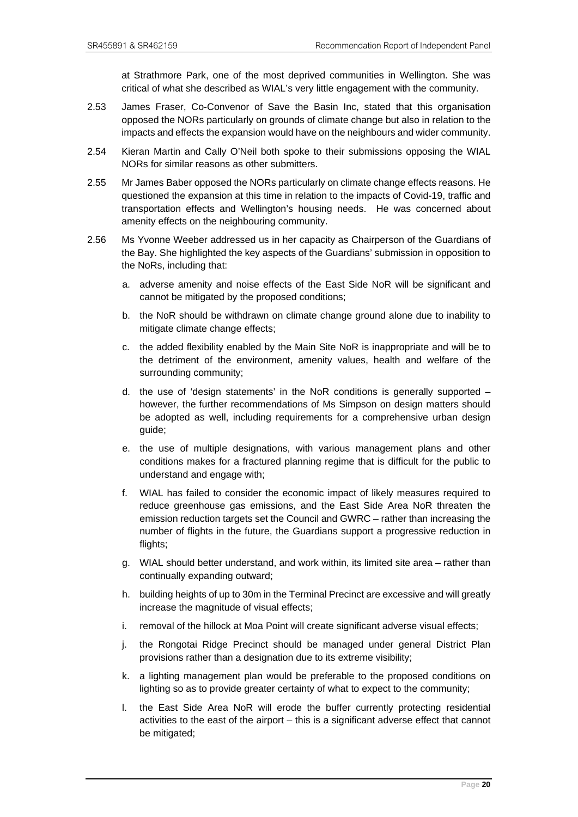at Strathmore Park, one of the most deprived communities in Wellington. She was critical of what she described as WIAL's very little engagement with the community.

- 2.53 James Fraser, Co-Convenor of Save the Basin Inc, stated that this organisation opposed the NORs particularly on grounds of climate change but also in relation to the impacts and effects the expansion would have on the neighbours and wider community.
- 2.54 Kieran Martin and Cally O'Neil both spoke to their submissions opposing the WIAL NORs for similar reasons as other submitters.
- 2.55 Mr James Baber opposed the NORs particularly on climate change effects reasons. He questioned the expansion at this time in relation to the impacts of Covid-19, traffic and transportation effects and Wellington's housing needs. He was concerned about amenity effects on the neighbouring community.
- 2.56 Ms Yvonne Weeber addressed us in her capacity as Chairperson of the Guardians of the Bay. She highlighted the key aspects of the Guardians' submission in opposition to the NoRs, including that:
	- a. adverse amenity and noise effects of the East Side NoR will be significant and cannot be mitigated by the proposed conditions;
	- b. the NoR should be withdrawn on climate change ground alone due to inability to mitigate climate change effects;
	- c. the added flexibility enabled by the Main Site NoR is inappropriate and will be to the detriment of the environment, amenity values, health and welfare of the surrounding community;
	- d. the use of 'design statements' in the NoR conditions is generally supported however, the further recommendations of Ms Simpson on design matters should be adopted as well, including requirements for a comprehensive urban design guide;
	- e. the use of multiple designations, with various management plans and other conditions makes for a fractured planning regime that is difficult for the public to understand and engage with;
	- f. WIAL has failed to consider the economic impact of likely measures required to reduce greenhouse gas emissions, and the East Side Area NoR threaten the emission reduction targets set the Council and GWRC – rather than increasing the number of flights in the future, the Guardians support a progressive reduction in flights;
	- g. WIAL should better understand, and work within, its limited site area rather than continually expanding outward;
	- h. building heights of up to 30m in the Terminal Precinct are excessive and will greatly increase the magnitude of visual effects;
	- i. removal of the hillock at Moa Point will create significant adverse visual effects;
	- j. the Rongotai Ridge Precinct should be managed under general District Plan provisions rather than a designation due to its extreme visibility;
	- k. a lighting management plan would be preferable to the proposed conditions on lighting so as to provide greater certainty of what to expect to the community;
	- l. the East Side Area NoR will erode the buffer currently protecting residential activities to the east of the airport – this is a significant adverse effect that cannot be mitigated;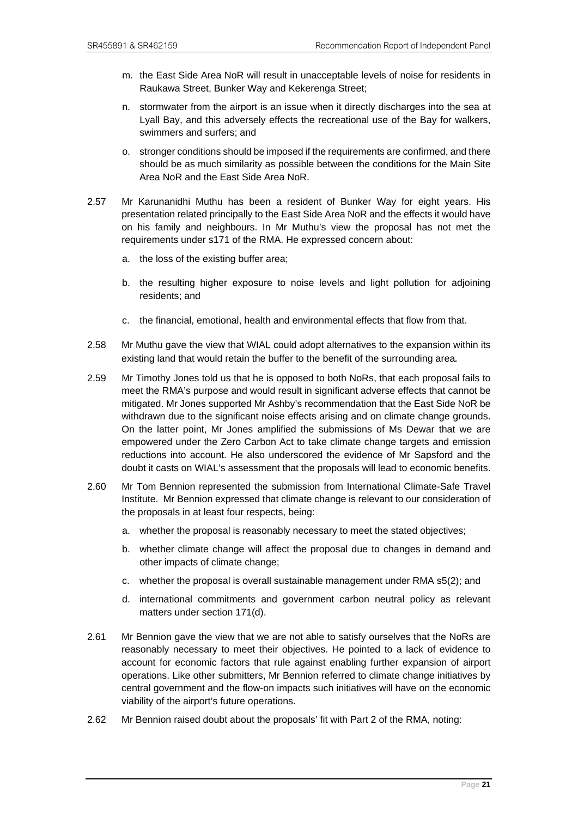- m. the East Side Area NoR will result in unacceptable levels of noise for residents in Raukawa Street, Bunker Way and Kekerenga Street;
- n. stormwater from the airport is an issue when it directly discharges into the sea at Lyall Bay, and this adversely effects the recreational use of the Bay for walkers, swimmers and surfers; and
- o. stronger conditions should be imposed if the requirements are confirmed, and there should be as much similarity as possible between the conditions for the Main Site Area NoR and the East Side Area NoR.
- 2.57 Mr Karunanidhi Muthu has been a resident of Bunker Way for eight years. His presentation related principally to the East Side Area NoR and the effects it would have on his family and neighbours. In Mr Muthu's view the proposal has not met the requirements under s171 of the RMA. He expressed concern about:
	- a. the loss of the existing buffer area;
	- b. the resulting higher exposure to noise levels and light pollution for adjoining residents; and
	- c. the financial, emotional, health and environmental effects that flow from that.
- 2.58 Mr Muthu gave the view that WIAL could adopt alternatives to the expansion within its existing land that would retain the buffer to the benefit of the surrounding area.
- 2.59 Mr Timothy Jones told us that he is opposed to both NoRs, that each proposal fails to meet the RMA's purpose and would result in significant adverse effects that cannot be mitigated. Mr Jones supported Mr Ashby's recommendation that the East Side NoR be withdrawn due to the significant noise effects arising and on climate change grounds. On the latter point, Mr Jones amplified the submissions of Ms Dewar that we are empowered under the Zero Carbon Act to take climate change targets and emission reductions into account. He also underscored the evidence of Mr Sapsford and the doubt it casts on WIAL's assessment that the proposals will lead to economic benefits.
- 2.60 Mr Tom Bennion represented the submission from International Climate-Safe Travel Institute. Mr Bennion expressed that climate change is relevant to our consideration of the proposals in at least four respects, being:
	- a. whether the proposal is reasonably necessary to meet the stated objectives;
	- b. whether climate change will affect the proposal due to changes in demand and other impacts of climate change;
	- c. whether the proposal is overall sustainable management under RMA s5(2); and
	- d. international commitments and government carbon neutral policy as relevant matters under section 171(d).
- 2.61 Mr Bennion gave the view that we are not able to satisfy ourselves that the NoRs are reasonably necessary to meet their objectives. He pointed to a lack of evidence to account for economic factors that rule against enabling further expansion of airport operations. Like other submitters, Mr Bennion referred to climate change initiatives by central government and the flow-on impacts such initiatives will have on the economic viability of the airport's future operations.
- 2.62 Mr Bennion raised doubt about the proposals' fit with Part 2 of the RMA, noting: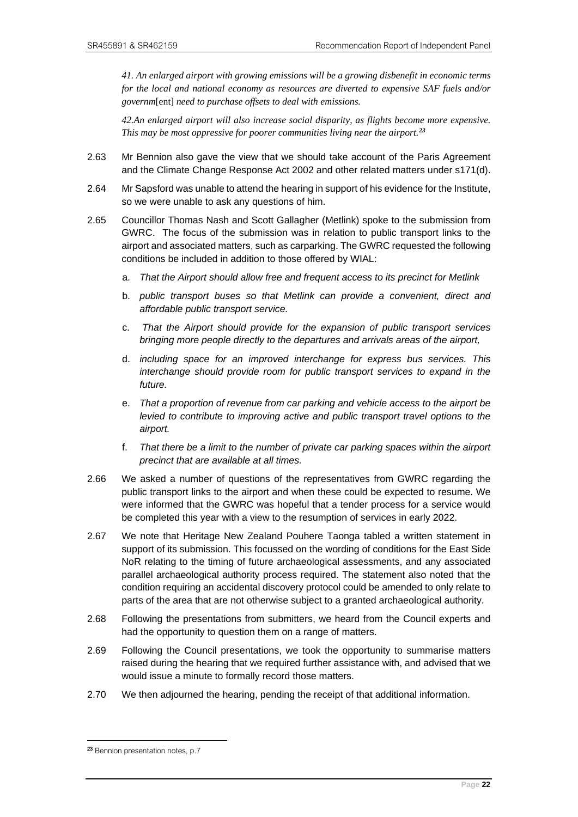*41. An enlarged airport with growing emissions will be a growing disbenefit in economic terms for the local and national economy as resources are diverted to expensive SAF fuels and/or governm*[ent] *need to purchase offsets to deal with emissions.* 

*42.An enlarged airport will also increase social disparity, as flights become more expensive. This may be most oppressive for poorer communities living near the airport.[23](#page-25-0)*

- 2.63 Mr Bennion also gave the view that we should take account of the Paris Agreement and the Climate Change Response Act 2002 and other related matters under s171(d).
- 2.64 Mr Sapsford was unable to attend the hearing in support of his evidence for the Institute, so we were unable to ask any questions of him.
- 2.65 Councillor Thomas Nash and Scott Gallagher (Metlink) spoke to the submission from GWRC. The focus of the submission was in relation to public transport links to the airport and associated matters, such as carparking. The GWRC requested the following conditions be included in addition to those offered by WIAL:
	- a. *That the Airport should allow free and frequent access to its precinct for Metlink*
	- b. *public transport buses so that Metlink can provide a convenient, direct and affordable public transport service.*
	- c. *That the Airport should provide for the expansion of public transport services bringing more people directly to the departures and arrivals areas of the airport,*
	- d. *including space for an improved interchange for express bus services. This interchange should provide room for public transport services to expand in the future.*
	- e. *That a proportion of revenue from car parking and vehicle access to the airport be levied to contribute to improving active and public transport travel options to the airport.*
	- f. *That there be a limit to the number of private car parking spaces within the airport precinct that are available at all times.*
- 2.66 We asked a number of questions of the representatives from GWRC regarding the public transport links to the airport and when these could be expected to resume. We were informed that the GWRC was hopeful that a tender process for a service would be completed this year with a view to the resumption of services in early 2022.
- 2.67 We note that Heritage New Zealand Pouhere Taonga tabled a written statement in support of its submission. This focussed on the wording of conditions for the East Side NoR relating to the timing of future archaeological assessments, and any associated parallel archaeological authority process required. The statement also noted that the condition requiring an accidental discovery protocol could be amended to only relate to parts of the area that are not otherwise subject to a granted archaeological authority.
- 2.68 Following the presentations from submitters, we heard from the Council experts and had the opportunity to question them on a range of matters.
- 2.69 Following the Council presentations, we took the opportunity to summarise matters raised during the hearing that we required further assistance with, and advised that we would issue a minute to formally record those matters.
- 2.70 We then adjourned the hearing, pending the receipt of that additional information.

<span id="page-25-0"></span><sup>23</sup> Bennion presentation notes, p.7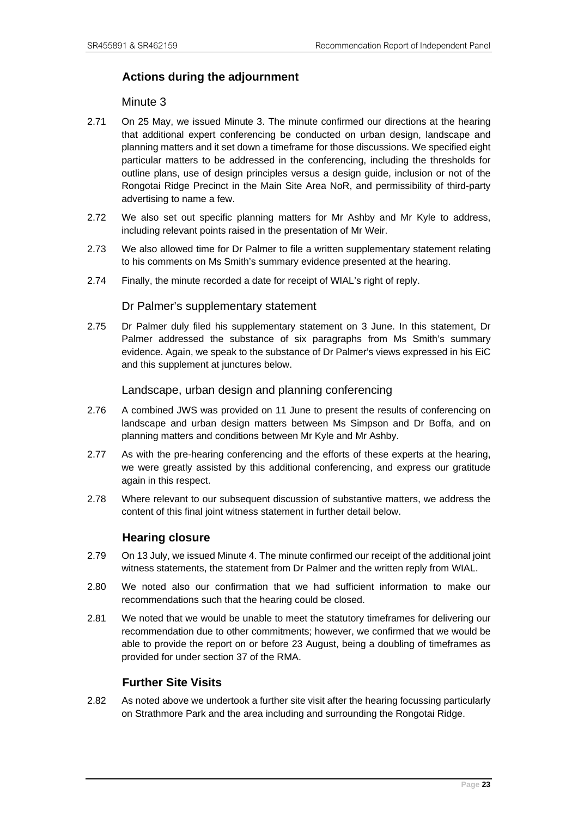# <span id="page-26-0"></span>**Actions during the adjournment**

Minute 3

- 2.71 On 25 May, we issued Minute 3. The minute confirmed our directions at the hearing that additional expert conferencing be conducted on urban design, landscape and planning matters and it set down a timeframe for those discussions. We specified eight particular matters to be addressed in the conferencing, including the thresholds for outline plans, use of design principles versus a design guide, inclusion or not of the Rongotai Ridge Precinct in the Main Site Area NoR, and permissibility of third-party advertising to name a few.
- 2.72 We also set out specific planning matters for Mr Ashby and Mr Kyle to address, including relevant points raised in the presentation of Mr Weir.
- 2.73 We also allowed time for Dr Palmer to file a written supplementary statement relating to his comments on Ms Smith's summary evidence presented at the hearing.
- 2.74 Finally, the minute recorded a date for receipt of WIAL's right of reply.

#### Dr Palmer's supplementary statement

2.75 Dr Palmer duly filed his supplementary statement on 3 June. In this statement, Dr Palmer addressed the substance of six paragraphs from Ms Smith's summary evidence. Again, we speak to the substance of Dr Palmer's views expressed in his EiC and this supplement at junctures below.

#### Landscape, urban design and planning conferencing

- 2.76 A combined JWS was provided on 11 June to present the results of conferencing on landscape and urban design matters between Ms Simpson and Dr Boffa, and on planning matters and conditions between Mr Kyle and Mr Ashby.
- 2.77 As with the pre-hearing conferencing and the efforts of these experts at the hearing, we were greatly assisted by this additional conferencing, and express our gratitude again in this respect.
- 2.78 Where relevant to our subsequent discussion of substantive matters, we address the content of this final joint witness statement in further detail below.

# **Hearing closure**

- <span id="page-26-1"></span>2.79 On 13 July, we issued Minute 4. The minute confirmed our receipt of the additional joint witness statements, the statement from Dr Palmer and the written reply from WIAL.
- 2.80 We noted also our confirmation that we had sufficient information to make our recommendations such that the hearing could be closed.
- 2.81 We noted that we would be unable to meet the statutory timeframes for delivering our recommendation due to other commitments; however, we confirmed that we would be able to provide the report on or before 23 August, being a doubling of timeframes as provided for under section 37 of the RMA.

#### **Further Site Visits**

<span id="page-26-2"></span>2.82 As noted above we undertook a further site visit after the hearing focussing particularly on Strathmore Park and the area including and surrounding the Rongotai Ridge.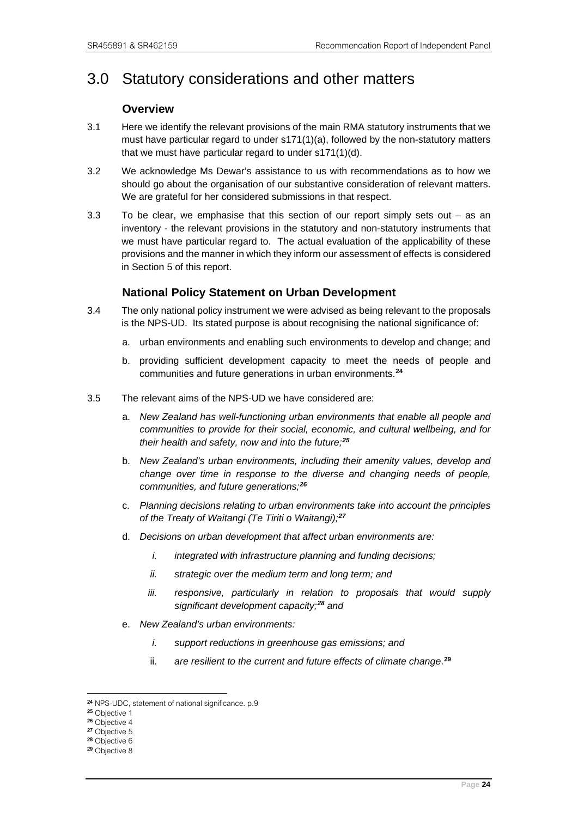# <span id="page-27-1"></span><span id="page-27-0"></span>3.0 Statutory considerations and other matters

# **Overview**

- 3.1 Here we identify the relevant provisions of the main RMA statutory instruments that we must have particular regard to under  $s171(1)(a)$ , followed by the non-statutory matters that we must have particular regard to under s171(1)(d).
- 3.2 We acknowledge Ms Dewar's assistance to us with recommendations as to how we should go about the organisation of our substantive consideration of relevant matters. We are grateful for her considered submissions in that respect.
- 3.3 To be clear, we emphasise that this section of our report simply sets out as an inventory - the relevant provisions in the statutory and non-statutory instruments that we must have particular regard to. The actual evaluation of the applicability of these provisions and the manner in which they inform our assessment of effects is considered in Section 5 of this report.

# **National Policy Statement on Urban Development**

- <span id="page-27-2"></span>3.4 The only national policy instrument we were advised as being relevant to the proposals is the NPS-UD. Its stated purpose is about recognising the national significance of:
	- a. urban environments and enabling such environments to develop and change; and
	- b. providing sufficient development capacity to meet the needs of people and communities and future generations in urban environments. **[24](#page-27-3)**
- 3.5 The relevant aims of the NPS-UD we have considered are:
	- a. *New Zealand has well-functioning urban environments that enable all people and communities to provide for their social, economic, and cultural wellbeing, and for their health and safety, now and into the future;[25](#page-27-4)*
	- b. *New Zealand's urban environments, including their amenity values, develop and change over time in response to the diverse and changing needs of people, communities, and future generations;[26](#page-27-5)*
	- c. *Planning decisions relating to urban environments take into account the principles of the Treaty of Waitangi (Te Tiriti o Waitangi);[27](#page-27-6)*
	- d. *Decisions on urban development that affect urban environments are:* 
		- *i. integrated with infrastructure planning and funding decisions;*
		- *ii. strategic over the medium term and long term; and*
		- *iii. responsive, particularly in relation to proposals that would supply significant development capacity;[28](#page-27-7) and*
	- e. *New Zealand's urban environments:* 
		- *i. support reductions in greenhouse gas emissions; and*
		- ii. *are resilient to the current and future effects of climate change*. **[29](#page-27-8)**

<span id="page-27-3"></span><sup>24</sup> NPS-UDC, statement of national significance. p.9

<span id="page-27-4"></span><sup>25</sup> Objective 1

<span id="page-27-5"></span><sup>26</sup> Objective 4

<span id="page-27-6"></span><sup>27</sup> Objective 5

<span id="page-27-7"></span><sup>28</sup> Objective 6

<span id="page-27-8"></span><sup>29</sup> Objective 8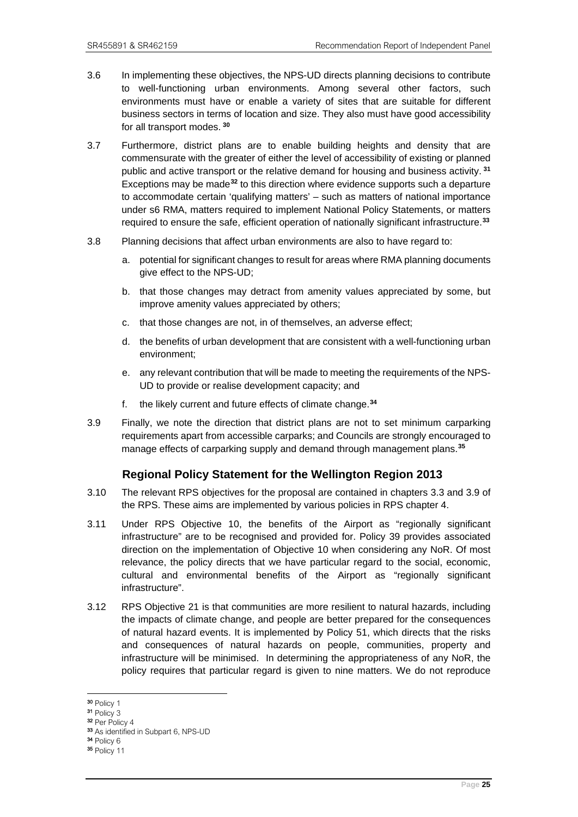- 3.6 In implementing these objectives, the NPS-UD directs planning decisions to contribute to well-functioning urban environments. Among several other factors, such environments must have or enable a variety of sites that are suitable for different business sectors in terms of location and size. They also must have good accessibility for all transport modes. **[30](#page-28-1)**
- 3.7 Furthermore, district plans are to enable building heights and density that are commensurate with the greater of either the level of accessibility of existing or planned public and active transport or the relative demand for housing and business activity. **[31](#page-28-2)** Exceptions may be made**[32](#page-28-3)** to this direction where evidence supports such a departure to accommodate certain 'qualifying matters' – such as matters of national importance under s6 RMA, matters required to implement National Policy Statements, or matters required to ensure the safe, efficient operation of nationally significant infrastructure.**[33](#page-28-4)**
- 3.8 Planning decisions that affect urban environments are also to have regard to:
	- a. potential for significant changes to result for areas where RMA planning documents give effect to the NPS-UD;
	- b. that those changes may detract from amenity values appreciated by some, but improve amenity values appreciated by others;
	- c. that those changes are not, in of themselves, an adverse effect;
	- d. the benefits of urban development that are consistent with a well-functioning urban environment;
	- e. any relevant contribution that will be made to meeting the requirements of the NPS-UD to provide or realise development capacity; and
	- f. the likely current and future effects of climate change.**[34](#page-28-5)**
- 3.9 Finally, we note the direction that district plans are not to set minimum carparking requirements apart from accessible carparks; and Councils are strongly encouraged to manage effects of carparking supply and demand through management plans.**[35](#page-28-6)**

# **Regional Policy Statement for the Wellington Region 2013**

- <span id="page-28-0"></span>3.10 The relevant RPS objectives for the proposal are contained in chapters 3.3 and 3.9 of the RPS. These aims are implemented by various policies in RPS chapter 4.
- 3.11 Under RPS Objective 10, the benefits of the Airport as "regionally significant infrastructure" are to be recognised and provided for. Policy 39 provides associated direction on the implementation of Objective 10 when considering any NoR. Of most relevance, the policy directs that we have particular regard to the social, economic, cultural and environmental benefits of the Airport as "regionally significant infrastructure".
- 3.12 RPS Objective 21 is that communities are more resilient to natural hazards, including the impacts of climate change, and people are better prepared for the consequences of natural hazard events. It is implemented by Policy 51, which directs that the risks and consequences of natural hazards on people, communities, property and infrastructure will be minimised. In determining the appropriateness of any NoR, the policy requires that particular regard is given to nine matters. We do not reproduce

<span id="page-28-1"></span><sup>30</sup> Policy 1

<span id="page-28-2"></span><sup>31</sup> Policy 3

<span id="page-28-3"></span><sup>32</sup> Per Policy 4

<span id="page-28-4"></span><sup>33</sup> As identified in Subpart 6, NPS-UD

<span id="page-28-5"></span><sup>34</sup> Policy 6

<span id="page-28-6"></span><sup>35</sup> Policy 11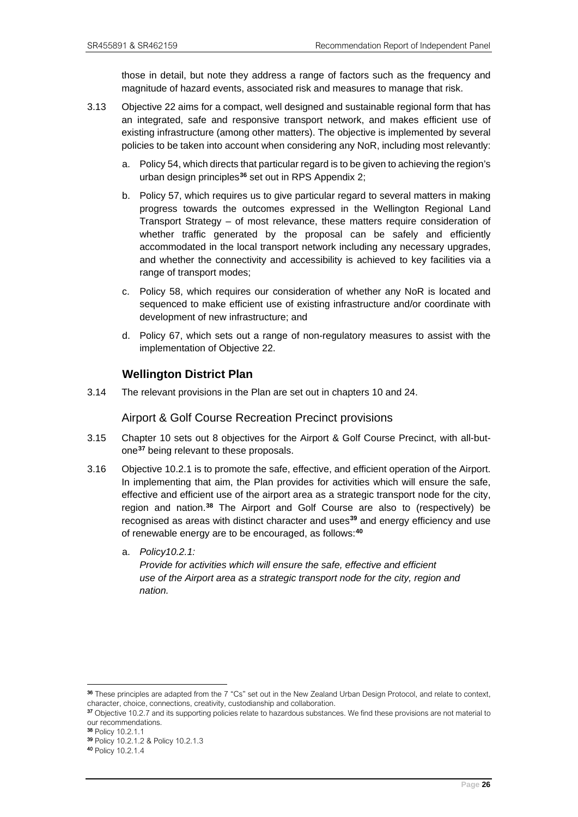those in detail, but note they address a range of factors such as the frequency and magnitude of hazard events, associated risk and measures to manage that risk.

- 3.13 Objective 22 aims for a compact, well designed and sustainable regional form that has an integrated, safe and responsive transport network, and makes efficient use of existing infrastructure (among other matters). The objective is implemented by several policies to be taken into account when considering any NoR, including most relevantly:
	- a. Policy 54, which directs that particular regard is to be given to achieving the region's urban design principles**[36](#page-29-1)** set out in RPS Appendix 2;
	- b. Policy 57, which requires us to give particular regard to several matters in making progress towards the outcomes expressed in the Wellington Regional Land Transport Strategy – of most relevance, these matters require consideration of whether traffic generated by the proposal can be safely and efficiently accommodated in the local transport network including any necessary upgrades, and whether the connectivity and accessibility is achieved to key facilities via a range of transport modes;
	- c. Policy 58, which requires our consideration of whether any NoR is located and sequenced to make efficient use of existing infrastructure and/or coordinate with development of new infrastructure; and
	- d. Policy 67, which sets out a range of non-regulatory measures to assist with the implementation of Objective 22.

# **Wellington District Plan**

<span id="page-29-0"></span>3.14 The relevant provisions in the Plan are set out in chapters 10 and 24.

#### Airport & Golf Course Recreation Precinct provisions

- 3.15 Chapter 10 sets out 8 objectives for the Airport & Golf Course Precinct, with all-butone**[37](#page-29-2)** being relevant to these proposals.
- 3.16 Objective 10.2.1 is to promote the safe, effective, and efficient operation of the Airport. In implementing that aim, the Plan provides for activities which will ensure the safe, effective and efficient use of the airport area as a strategic transport node for the city, region and nation. **[38](#page-29-3)** The Airport and Golf Course are also to (respectively) be recognised as areas with distinct character and uses**[39](#page-29-4)** and energy efficiency and use of renewable energy are to be encouraged, as follows:**[40](#page-29-5)**
	- a. *Policy10.2.1: Provide for activities which will ensure the safe, effective and efficient use of the Airport area as a strategic transport node for the city, region and nation.*

<span id="page-29-1"></span><sup>36</sup> These principles are adapted from the 7 "Cs" set out in the New Zealand Urban Design Protocol, and relate to context, character, choice, connections, creativity, custodianship and collaboration.

<span id="page-29-2"></span><sup>&</sup>lt;sup>37</sup> Objective 10.2.7 and its supporting policies relate to hazardous substances. We find these provisions are not material to our recommendations.<br><sup>38</sup> Policy 10.2.1.1

<span id="page-29-4"></span><span id="page-29-3"></span><sup>39</sup> Policy 10.2.1.2 & Policy 10.2.1.3

<span id="page-29-5"></span><sup>40</sup> Policy 10.2.1.4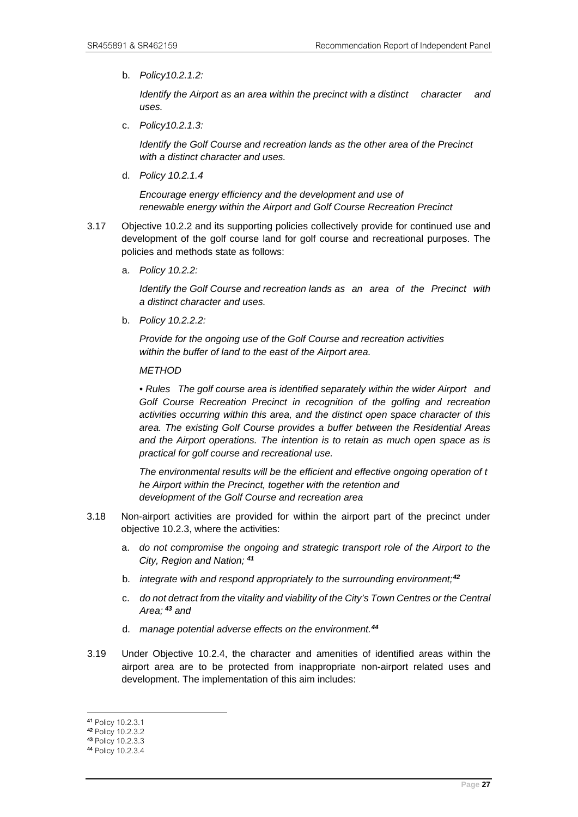b. *Policy10.2.1.2:*

*Identify the Airport as an area within the precinct with a distinct character and uses.*

c. *Policy10.2.1.3:*

*Identify the Golf Course and recreation lands as the other area of the Precinct with a distinct character and uses.*

d. *Policy 10.2.1.4*

*Encourage energy efficiency and the development and use of renewable energy within the Airport and Golf Course Recreation Precinct*

- 3.17 Objective 10.2.2 and its supporting policies collectively provide for continued use and development of the golf course land for golf course and recreational purposes. The policies and methods state as follows:
	- a. *Policy 10.2.2:*

*Identify the Golf Course and recreation lands as an area of the Precinct with a distinct character and uses.* 

b. *Policy 10.2.2.2:*

*Provide for the ongoing use of the Golf Course and recreation activities within the buffer of land to the east of the Airport area.* 

*METHOD* 

*• Rules The golf course area is identified separately within the wider Airport and Golf Course Recreation Precinct in recognition of the golfing and recreation activities occurring within this area, and the distinct open space character of this area. The existing Golf Course provides a buffer between the Residential Areas and the Airport operations. The intention is to retain as much open space as is practical for golf course and recreational use.*

*The environmental results will be the efficient and effective ongoing operation of t he Airport within the Precinct, together with the retention and development of the Golf Course and recreation area*

- 3.18 Non-airport activities are provided for within the airport part of the precinct under objective 10.2.3, where the activities:
	- a. *do not compromise the ongoing and strategic transport role of the Airport to the City, Region and Nation; [41](#page-30-0)*
	- b. *integrate with and respond appropriately to the surrounding environment;[42](#page-30-1)*
	- c. *do not detract from the vitality and viability of the City's Town Centres or the Central Area; [43](#page-30-2) and*
	- d. *manage potential adverse effects on the environment.[44](#page-30-3)*
- 3.19 Under Objective 10.2.4, the character and amenities of identified areas within the airport area are to be protected from inappropriate non-airport related uses and development. The implementation of this aim includes:

<span id="page-30-0"></span><sup>41</sup> Policy 10.2.3.1

<span id="page-30-1"></span><sup>42</sup> Policy 10.2.3.2

<span id="page-30-2"></span><sup>43</sup> Policy 10.2.3.3

<span id="page-30-3"></span><sup>44</sup> Policy 10.2.3.4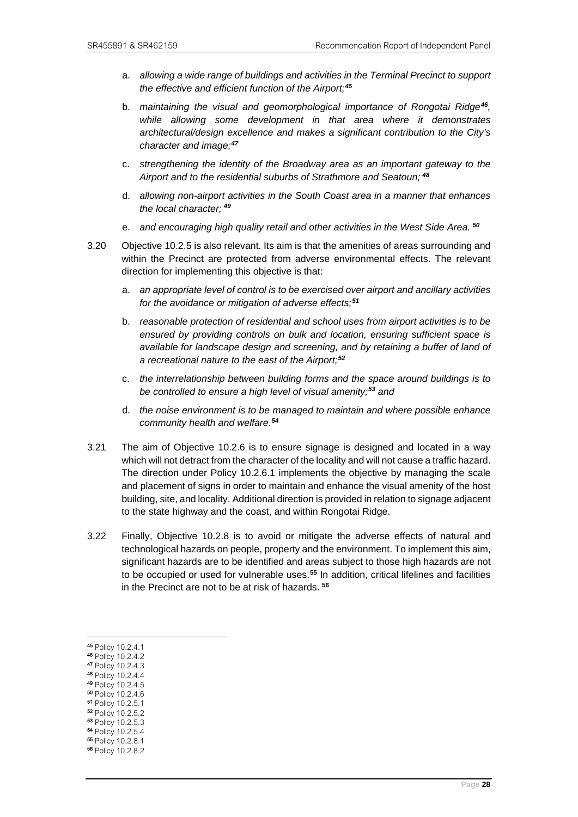- a. *allowing a wide range of buildings and activities in the Terminal Precinct to support the effective and efficient function of the Airport;[45](#page-31-0)*
- b. *maintaining the visual and geomorphological importance of Rongotai Ridge[46](#page-31-1), while allowing some development in that area where it demonstrates architectural/design excellence and makes a significant contribution to the City's character and image;[47](#page-31-2)*
- c. *strengthening the identity of the Broadway area as an important gateway to the Airport and to the residential suburbs of Strathmore and Seatoun; [48](#page-31-3)*
- d. *allowing non-airport activities in the South Coast area in a manner that enhances the local character; [49](#page-31-4)*
- e. *and encouraging high quality retail and other activities in the West Side Area. [50](#page-31-5)*
- 3.20 Objective 10.2.5 is also relevant. Its aim is that the amenities of areas surrounding and within the Precinct are protected from adverse environmental effects. The relevant direction for implementing this objective is that:
	- a. *an appropriate level of control is to be exercised over airport and ancillary activities for the avoidance or mitigation of adverse effects;[51](#page-31-6)*
	- b. *reasonable protection of residential and school uses from airport activities is to be ensured by providing controls on bulk and location, ensuring sufficient space is available for landscape design and screening, and by retaining a buffer of land of a recreational nature to the east of the Airport;[52](#page-31-7)*
	- c. *the interrelationship between building forms and the space around buildings is to be controlled to ensure a high level of visual amenity; [53](#page-31-8) and*
	- d. *the noise environment is to be managed to maintain and where possible enhance community health and welfare.[54](#page-31-9)*
- 3.21 The aim of Objective 10.2.6 is to ensure signage is designed and located in a way which will not detract from the character of the locality and will not cause a traffic hazard. The direction under Policy 10.2.6.1 implements the objective by managing the scale and placement of signs in order to maintain and enhance the visual amenity of the host building, site, and locality. Additional direction is provided in relation to signage adjacent to the state highway and the coast, and within Rongotai Ridge.
- 3.22 Finally, Objective 10.2.8 is to avoid or mitigate the adverse effects of natural and technological hazards on people, property and the environment. To implement this aim, significant hazards are to be identified and areas subject to those high hazards are not to be occupied or used for vulnerable uses.**[55](#page-31-10)** In addition, critical lifelines and facilities in the Precinct are not to be at risk of hazards. **[56](#page-31-11)**

- <span id="page-31-3"></span>48 Policy 10.2.4.4
- <span id="page-31-4"></span>49 Policy 10.2.4.5
- 
- <span id="page-31-5"></span>50 Policy 10.2.4.6<br>51 Policy 10.2.5.1
- <span id="page-31-7"></span><span id="page-31-6"></span>52 Policy 10.2.5.2
- <span id="page-31-8"></span>53 Policy 10.2.5.3
- <span id="page-31-9"></span>54 Policy 10.2.5.4
- <span id="page-31-10"></span>55 Policy 10.2.8.1
- <span id="page-31-11"></span>56 Policy 10.2.8.2

<span id="page-31-0"></span><sup>45</sup> Policy 10.2.4.1 46 Policy 10.2.4.2

<span id="page-31-2"></span><span id="page-31-1"></span><sup>47</sup> Policy 10.2.4.3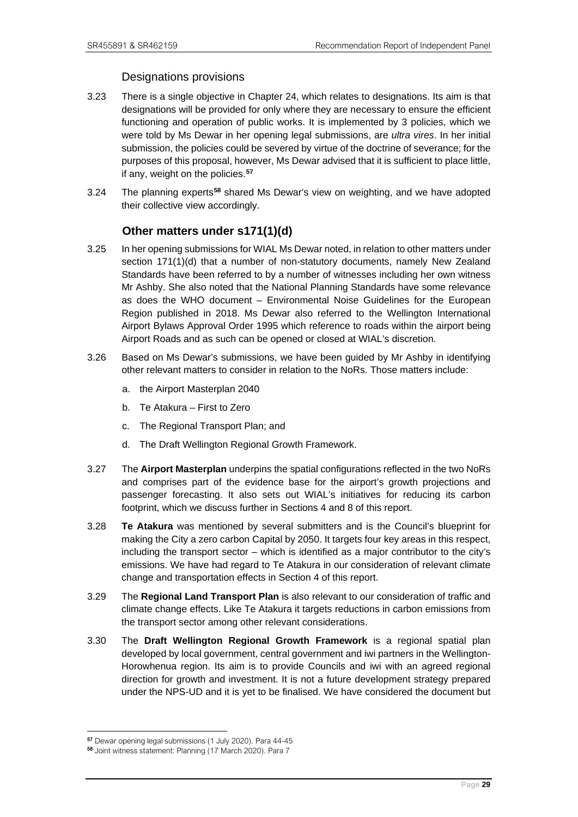#### Designations provisions

- 3.23 There is a single objective in Chapter 24, which relates to designations. Its aim is that designations will be provided for only where they are necessary to ensure the efficient functioning and operation of public works. It is implemented by 3 policies, which we were told by Ms Dewar in her opening legal submissions, are *ultra vires*. In her initial submission, the policies could be severed by virtue of the doctrine of severance; for the purposes of this proposal, however, Ms Dewar advised that it is sufficient to place little, if any, weight on the policies.**[57](#page-32-1)**
- 3.24 The planning experts**[58](#page-32-2)** shared Ms Dewar's view on weighting, and we have adopted their collective view accordingly.

# **Other matters under s171(1)(d)**

- <span id="page-32-0"></span>3.25 In her opening submissions for WIAL Ms Dewar noted, in relation to other matters under section 171(1)(d) that a number of non-statutory documents, namely New Zealand Standards have been referred to by a number of witnesses including her own witness Mr Ashby. She also noted that the National Planning Standards have some relevance as does the WHO document – Environmental Noise Guidelines for the European Region published in 2018. Ms Dewar also referred to the Wellington International Airport Bylaws Approval Order 1995 which reference to roads within the airport being Airport Roads and as such can be opened or closed at WIAL's discretion.
- 3.26 Based on Ms Dewar's submissions, we have been guided by Mr Ashby in identifying other relevant matters to consider in relation to the NoRs. Those matters include:
	- a. the Airport Masterplan 2040
	- b. Te Atakura First to Zero
	- c. The Regional Transport Plan; and
	- d. The Draft Wellington Regional Growth Framework.
- 3.27 The **Airport Masterplan** underpins the spatial configurations reflected in the two NoRs and comprises part of the evidence base for the airport's growth projections and passenger forecasting. It also sets out WIAL's initiatives for reducing its carbon footprint, which we discuss further in Sections 4 and 8 of this report.
- 3.28 **Te Atakura** was mentioned by several submitters and is the Council's blueprint for making the City a zero carbon Capital by 2050. It targets four key areas in this respect, including the transport sector – which is identified as a major contributor to the city's emissions. We have had regard to Te Atakura in our consideration of relevant climate change and transportation effects in Section 4 of this report.
- 3.29 The **Regional Land Transport Plan** is also relevant to our consideration of traffic and climate change effects. Like Te Atakura it targets reductions in carbon emissions from the transport sector among other relevant considerations.
- 3.30 The **Draft Wellington Regional Growth Framework** is a regional spatial plan developed by local government, central government and iwi partners in the Wellington-Horowhenua region. Its aim is to provide Councils and iwi with an agreed regional direction for growth and investment. It is not a future development strategy prepared under the NPS-UD and it is yet to be finalised. We have considered the document but

<span id="page-32-1"></span><sup>&</sup>lt;sup>57</sup> Dewar opening legal submissions (1 July 2020). Para 44-45<br><sup>58</sup> Joint witness statement: Planning (17 March 2020). Para 7

<span id="page-32-2"></span>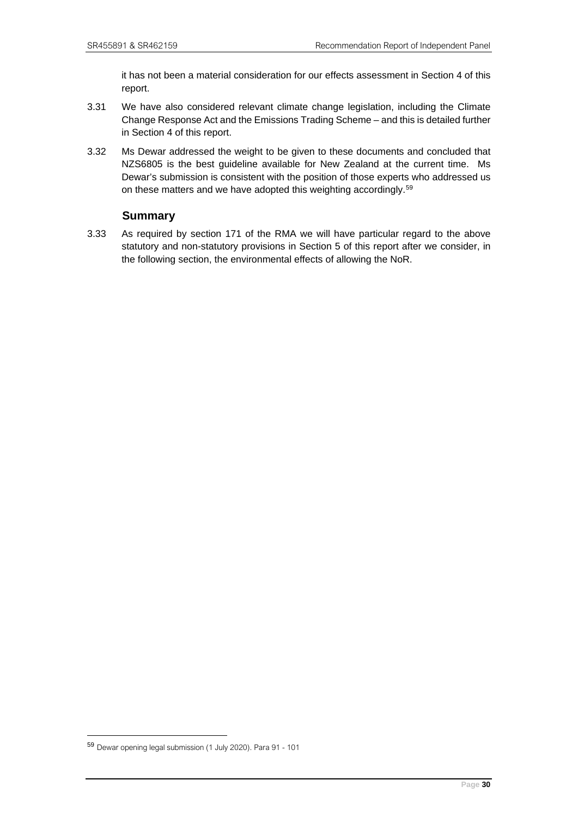it has not been a material consideration for our effects assessment in Section 4 of this report.

- 3.31 We have also considered relevant climate change legislation, including the Climate Change Response Act and the Emissions Trading Scheme – and this is detailed further in Section 4 of this report.
- 3.32 Ms Dewar addressed the weight to be given to these documents and concluded that NZS6805 is the best guideline available for New Zealand at the current time. Ms Dewar's submission is consistent with the position of those experts who addressed us on these matters and we have adopted this weighting accordingly.<sup>[59](#page-33-1)</sup>

# **Summary**

<span id="page-33-0"></span>3.33 As required by section 171 of the RMA we will have particular regard to the above statutory and non-statutory provisions in Section 5 of this report after we consider, in the following section, the environmental effects of allowing the NoR.

<span id="page-33-1"></span><sup>59</sup> Dewar opening legal submission (1 July 2020). Para 91 - 101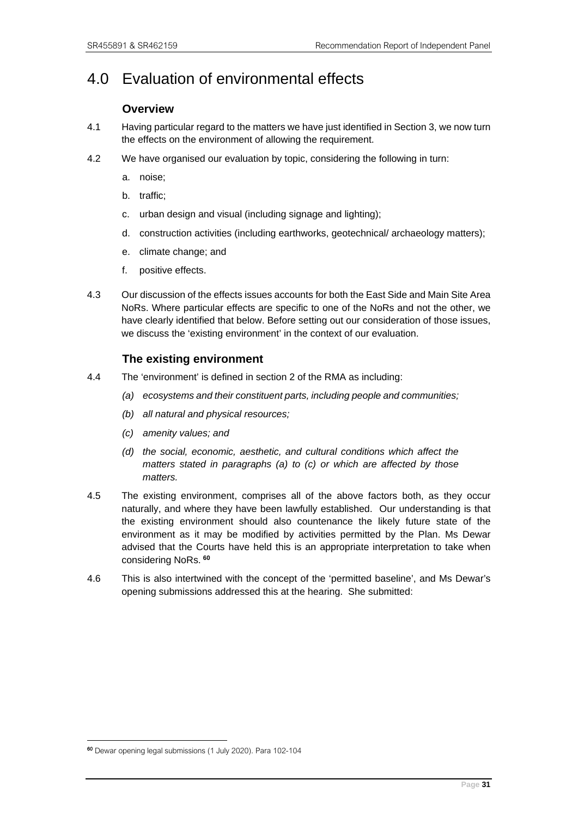# <span id="page-34-1"></span><span id="page-34-0"></span>4.0 Evaluation of environmental effects

# **Overview**

- 4.1 Having particular regard to the matters we have just identified in Section 3, we now turn the effects on the environment of allowing the requirement.
- 4.2 We have organised our evaluation by topic, considering the following in turn:
	- a. noise;
	- b. traffic;
	- c. urban design and visual (including signage and lighting);
	- d. construction activities (including earthworks, geotechnical/ archaeology matters);
	- e. climate change; and
	- f. positive effects.
- 4.3 Our discussion of the effects issues accounts for both the East Side and Main Site Area NoRs. Where particular effects are specific to one of the NoRs and not the other, we have clearly identified that below. Before setting out our consideration of those issues, we discuss the 'existing environment' in the context of our evaluation.

# **The existing environment**

- <span id="page-34-2"></span>4.4 The 'environment' is defined in section 2 of the RMA as including:
	- *(a) ecosystems and their constituent parts, including people and communities;*
	- *(b) all natural and physical resources;*
	- *(c) amenity values; and*
	- *(d) the social, economic, aesthetic, and cultural conditions which affect the matters stated in paragraphs (a) to (c) or which are affected by those matters.*
- 4.5 The existing environment, comprises all of the above factors both, as they occur naturally, and where they have been lawfully established. Our understanding is that the existing environment should also countenance the likely future state of the environment as it may be modified by activities permitted by the Plan. Ms Dewar advised that the Courts have held this is an appropriate interpretation to take when considering NoRs. **[60](#page-34-3)**
- 4.6 This is also intertwined with the concept of the 'permitted baseline', and Ms Dewar's opening submissions addressed this at the hearing. She submitted:

<span id="page-34-3"></span><sup>60</sup> Dewar opening legal submissions (1 July 2020). Para 102-104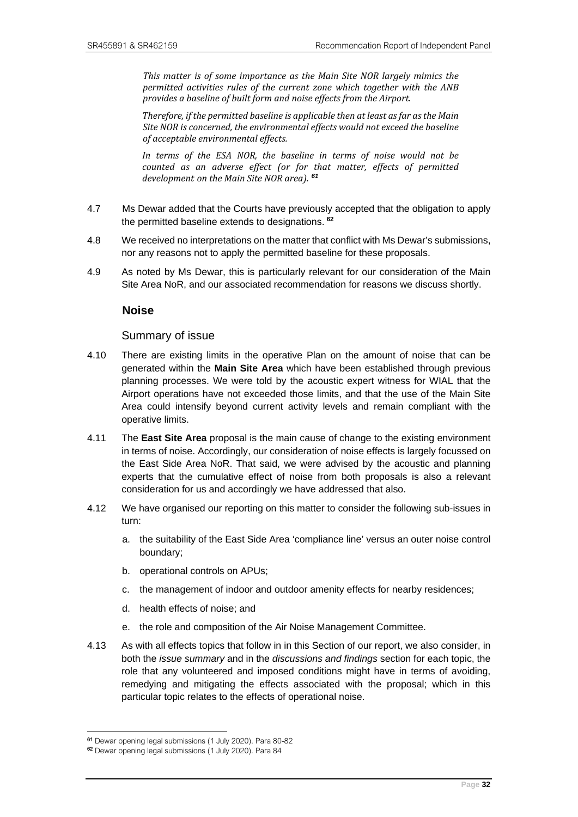*This matter is of some importance as the Main Site NOR largely mimics the permitted activities rules of the current zone which together with the ANB provides a baseline of built form and noise effects from the Airport.* 

*Therefore, if the permitted baseline is applicable then at least as far as the Main Site NOR is concerned, the environmental effects would not exceed the baseline of acceptable environmental effects.*

*In terms of the ESA NOR, the baseline in terms of noise would not be counted as an adverse effect (or for that matter, effects of permitted development on the Main Site NOR area). [61](#page-35-1)*

- 4.7 Ms Dewar added that the Courts have previously accepted that the obligation to apply the permitted baseline extends to designations. **[62](#page-35-2)**
- 4.8 We received no interpretations on the matter that conflict with Ms Dewar's submissions, nor any reasons not to apply the permitted baseline for these proposals.
- <span id="page-35-0"></span>4.9 As noted by Ms Dewar, this is particularly relevant for our consideration of the Main Site Area NoR, and our associated recommendation for reasons we discuss shortly.

#### **Noise**

#### Summary of issue

- 4.10 There are existing limits in the operative Plan on the amount of noise that can be generated within the **Main Site Area** which have been established through previous planning processes. We were told by the acoustic expert witness for WIAL that the Airport operations have not exceeded those limits, and that the use of the Main Site Area could intensify beyond current activity levels and remain compliant with the operative limits.
- 4.11 The **East Site Area** proposal is the main cause of change to the existing environment in terms of noise. Accordingly, our consideration of noise effects is largely focussed on the East Side Area NoR. That said, we were advised by the acoustic and planning experts that the cumulative effect of noise from both proposals is also a relevant consideration for us and accordingly we have addressed that also.
- 4.12 We have organised our reporting on this matter to consider the following sub-issues in turn:
	- a. the suitability of the East Side Area 'compliance line' versus an outer noise control boundary;
	- b. operational controls on APUs;
	- c. the management of indoor and outdoor amenity effects for nearby residences;
	- d. health effects of noise; and
	- e. the role and composition of the Air Noise Management Committee.
- 4.13 As with all effects topics that follow in in this Section of our report, we also consider, in both the *issue summary* and in the *discussions and findings* section for each topic, the role that any volunteered and imposed conditions might have in terms of avoiding, remedying and mitigating the effects associated with the proposal; which in this particular topic relates to the effects of operational noise.

<span id="page-35-1"></span><sup>&</sup>lt;sup>61</sup> Dewar opening legal submissions (1 July 2020). Para 80-82<br><sup>62</sup> Dewar opening legal submissions (1 July 2020). Para 84

<span id="page-35-2"></span>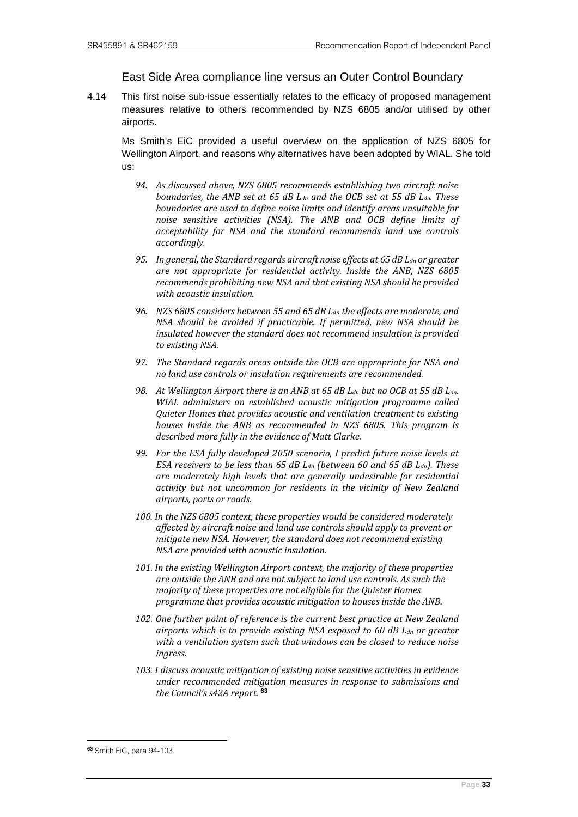## East Side Area compliance line versus an Outer Control Boundary

4.14 This first noise sub-issue essentially relates to the efficacy of proposed management measures relative to others recommended by NZS 6805 and/or utilised by other airports.

Ms Smith's EiC provided a useful overview on the application of NZS 6805 for Wellington Airport, and reasons why alternatives have been adopted by WIAL. She told us:

- *94. As discussed above, NZS 6805 recommends establishing two aircraft noise boundaries, the ANB set at 65 dB Ldn and the OCB set at 55 dB Ldn. These boundaries are used to define noise limits and identify areas unsuitable for noise sensitive activities (NSA). The ANB and OCB define limits of acceptability for NSA and the standard recommends land use controls accordingly.*
- *95. In general, the Standard regards aircraft noise effects at 65 dB Ldn or greater are not appropriate for residential activity. Inside the ANB, NZS 6805 recommends prohibiting new NSA and that existing NSA should be provided with acoustic insulation.*
- *96. NZS 6805 considers between 55 and 65 dB Ldn the effects are moderate, and NSA should be avoided if practicable. If permitted, new NSA should be insulated however the standard does not recommend insulation is provided to existing NSA.*
- *97. The Standard regards areas outside the OCB are appropriate for NSA and no land use controls or insulation requirements are recommended.*
- *98. At Wellington Airport there is an ANB at 65 dB Ldn but no OCB at 55 dB Ldn. WIAL administers an established acoustic mitigation programme called Quieter Homes that provides acoustic and ventilation treatment to existing houses inside the ANB as recommended in NZS 6805. This program is described more fully in the evidence of Matt Clarke.*
- *99. For the ESA fully developed 2050 scenario, I predict future noise levels at ESA receivers to be less than 65 dB Ldn (between 60 and 65 dB Ldn). These are moderately high levels that are generally undesirable for residential activity but not uncommon for residents in the vicinity of New Zealand airports, ports or roads.*
- *100. In the NZS 6805 context, these properties would be considered moderately affected by aircraft noise and land use controls should apply to prevent or mitigate new NSA. However, the standard does not recommend existing NSA are provided with acoustic insulation.*
- *101. In the existing Wellington Airport context, the majority of these properties are outside the ANB and are not subject to land use controls. As such the majority of these properties are not eligible for the Quieter Homes programme that provides acoustic mitigation to houses inside the ANB.*
- *102. One further point of reference is the current best practice at New Zealand airports which is to provide existing NSA exposed to 60 dB Ldn or greater with a ventilation system such that windows can be closed to reduce noise ingress.*
- *103. I discuss acoustic mitigation of existing noise sensitive activities in evidence under recommended mitigation measures in response to submissions and the Council's s42A report.* **[63](#page-36-0)**

<span id="page-36-0"></span><sup>63</sup> Smith EiC, para 94-103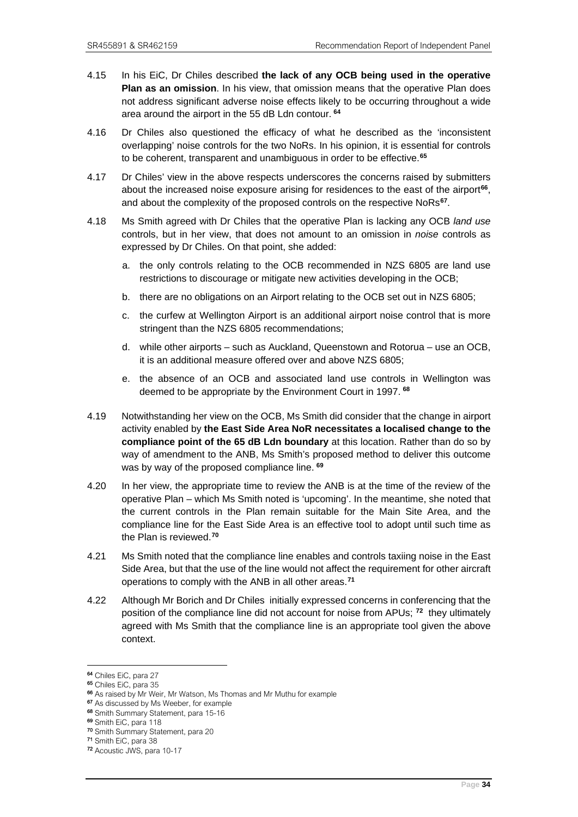- 4.15 In his EiC, Dr Chiles described **the lack of any OCB being used in the operative Plan as an omission**. In his view, that omission means that the operative Plan does not address significant adverse noise effects likely to be occurring throughout a wide area around the airport in the 55 dB Ldn contour. **[64](#page-37-0)**
- 4.16 Dr Chiles also questioned the efficacy of what he described as the 'inconsistent overlapping' noise controls for the two NoRs. In his opinion, it is essential for controls to be coherent, transparent and unambiguous in order to be effective.**[65](#page-37-1)**
- 4.17 Dr Chiles' view in the above respects underscores the concerns raised by submitters about the increased noise exposure arising for residences to the east of the airport**[66](#page-37-2)**, and about the complexity of the proposed controls on the respective NoRs**[67](#page-37-3)**.
- 4.18 Ms Smith agreed with Dr Chiles that the operative Plan is lacking any OCB *land use* controls, but in her view, that does not amount to an omission in *noise* controls as expressed by Dr Chiles. On that point, she added:
	- a. the only controls relating to the OCB recommended in NZS 6805 are land use restrictions to discourage or mitigate new activities developing in the OCB;
	- b. there are no obligations on an Airport relating to the OCB set out in NZS 6805;
	- c. the curfew at Wellington Airport is an additional airport noise control that is more stringent than the NZS 6805 recommendations;
	- d. while other airports such as Auckland, Queenstown and Rotorua use an OCB, it is an additional measure offered over and above NZS 6805;
	- e. the absence of an OCB and associated land use controls in Wellington was deemed to be appropriate by the Environment Court in 1997. **[68](#page-37-4)**
- 4.19 Notwithstanding her view on the OCB, Ms Smith did consider that the change in airport activity enabled by **the East Side Area NoR necessitates a localised change to the compliance point of the 65 dB Ldn boundary** at this location. Rather than do so by way of amendment to the ANB, Ms Smith's proposed method to deliver this outcome was by way of the proposed compliance line. **[69](#page-37-5)**
- 4.20 In her view, the appropriate time to review the ANB is at the time of the review of the operative Plan – which Ms Smith noted is 'upcoming'. In the meantime, she noted that the current controls in the Plan remain suitable for the Main Site Area, and the compliance line for the East Side Area is an effective tool to adopt until such time as the Plan is reviewed.**[70](#page-37-6)**
- 4.21 Ms Smith noted that the compliance line enables and controls taxiing noise in the East Side Area, but that the use of the line would not affect the requirement for other aircraft operations to comply with the ANB in all other areas.**[71](#page-37-7)**
- 4.22 Although Mr Borich and Dr Chiles initially expressed concerns in conferencing that the position of the compliance line did not account for noise from APUs; **[72](#page-37-8)** they ultimately agreed with Ms Smith that the compliance line is an appropriate tool given the above context.

<span id="page-37-0"></span><sup>64</sup> Chiles EiC, para 27

<span id="page-37-1"></span><sup>65</sup> Chiles EiC, para 35

<span id="page-37-2"></span><sup>66</sup> As raised by Mr Weir, Mr Watson, Ms Thomas and Mr Muthu for example

<span id="page-37-3"></span><sup>&</sup>lt;sup>67</sup> As discussed by Ms Weeber, for example

<span id="page-37-4"></span><sup>68</sup> Smith Summary Statement, para 15-16 69 Smith EiC, para 118

<span id="page-37-6"></span><span id="page-37-5"></span><sup>70</sup> Smith Summary Statement, para 20

<span id="page-37-7"></span><sup>71</sup> Smith EiC, para 38

<span id="page-37-8"></span><sup>72</sup> Acoustic JWS, para 10-17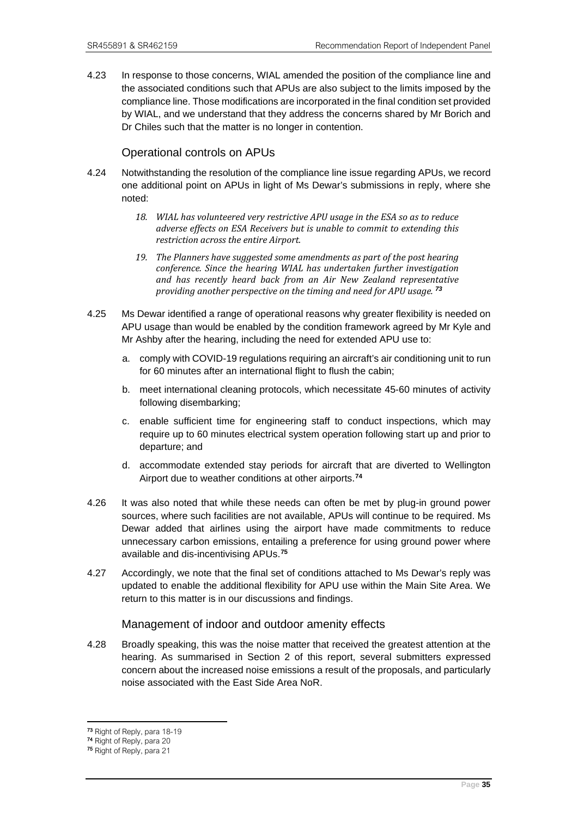4.23 In response to those concerns, WIAL amended the position of the compliance line and the associated conditions such that APUs are also subject to the limits imposed by the compliance line. Those modifications are incorporated in the final condition set provided by WIAL, and we understand that they address the concerns shared by Mr Borich and Dr Chiles such that the matter is no longer in contention.

## Operational controls on APUs

- 4.24 Notwithstanding the resolution of the compliance line issue regarding APUs, we record one additional point on APUs in light of Ms Dewar's submissions in reply, where she noted:
	- *18. WIAL has volunteered very restrictive APU usage in the ESA so as to reduce adverse effects on ESA Receivers but is unable to commit to extending this restriction across the entire Airport.*
	- *19. The Planners have suggested some amendments as part of the post hearing conference. Since the hearing WIAL has undertaken further investigation and has recently heard back from an Air New Zealand representative providing another perspective on the timing and need for APU usage. [73](#page-38-0)*
- 4.25 Ms Dewar identified a range of operational reasons why greater flexibility is needed on APU usage than would be enabled by the condition framework agreed by Mr Kyle and Mr Ashby after the hearing, including the need for extended APU use to:
	- a. comply with COVID-19 regulations requiring an aircraft's air conditioning unit to run for 60 minutes after an international flight to flush the cabin;
	- b. meet international cleaning protocols, which necessitate 45-60 minutes of activity following disembarking;
	- c. enable sufficient time for engineering staff to conduct inspections, which may require up to 60 minutes electrical system operation following start up and prior to departure; and
	- d. accommodate extended stay periods for aircraft that are diverted to Wellington Airport due to weather conditions at other airports.**[74](#page-38-1)**
- 4.26 It was also noted that while these needs can often be met by plug-in ground power sources, where such facilities are not available, APUs will continue to be required. Ms Dewar added that airlines using the airport have made commitments to reduce unnecessary carbon emissions, entailing a preference for using ground power where available and dis-incentivising APUs.**[75](#page-38-2)**
- 4.27 Accordingly, we note that the final set of conditions attached to Ms Dewar's reply was updated to enable the additional flexibility for APU use within the Main Site Area. We return to this matter is in our discussions and findings.

#### Management of indoor and outdoor amenity effects

4.28 Broadly speaking, this was the noise matter that received the greatest attention at the hearing. As summarised in Section 2 of this report, several submitters expressed concern about the increased noise emissions a result of the proposals, and particularly noise associated with the East Side Area NoR.

<span id="page-38-0"></span><sup>73</sup> Right of Reply, para 18-19

<span id="page-38-1"></span><sup>74</sup> Right of Reply, para 20

<span id="page-38-2"></span><sup>75</sup> Right of Reply, para 21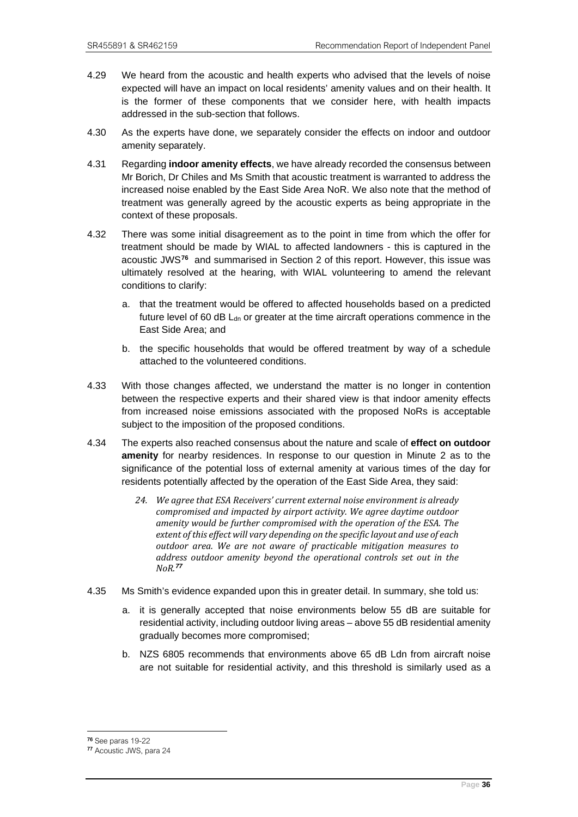- 4.29 We heard from the acoustic and health experts who advised that the levels of noise expected will have an impact on local residents' amenity values and on their health. It is the former of these components that we consider here, with health impacts addressed in the sub-section that follows.
- 4.30 As the experts have done, we separately consider the effects on indoor and outdoor amenity separately.
- 4.31 Regarding **indoor amenity effects**, we have already recorded the consensus between Mr Borich, Dr Chiles and Ms Smith that acoustic treatment is warranted to address the increased noise enabled by the East Side Area NoR. We also note that the method of treatment was generally agreed by the acoustic experts as being appropriate in the context of these proposals.
- 4.32 There was some initial disagreement as to the point in time from which the offer for treatment should be made by WIAL to affected landowners - this is captured in the acoustic JWS**[76](#page-39-0)** and summarised in Section 2 of this report. However, this issue was ultimately resolved at the hearing, with WIAL volunteering to amend the relevant conditions to clarify:
	- a. that the treatment would be offered to affected households based on a predicted future level of 60 dB  $L_{dn}$  or greater at the time aircraft operations commence in the East Side Area; and
	- b. the specific households that would be offered treatment by way of a schedule attached to the volunteered conditions.
- 4.33 With those changes affected, we understand the matter is no longer in contention between the respective experts and their shared view is that indoor amenity effects from increased noise emissions associated with the proposed NoRs is acceptable subject to the imposition of the proposed conditions.
- 4.34 The experts also reached consensus about the nature and scale of **effect on outdoor amenity** for nearby residences. In response to our question in Minute 2 as to the significance of the potential loss of external amenity at various times of the day for residents potentially affected by the operation of the East Side Area, they said:
	- *24. We agree that ESA Receivers' current external noise environment is already compromised and impacted by airport activity. We agree daytime outdoor amenity would be further compromised with the operation of the ESA. The extent of this effect will vary depending on the specific layout and use of each outdoor area. We are not aware of practicable mitigation measures to address outdoor amenity beyond the operational controls set out in the NoR.[77](#page-39-1)*
- 4.35 Ms Smith's evidence expanded upon this in greater detail. In summary, she told us:
	- a. it is generally accepted that noise environments below 55 dB are suitable for residential activity, including outdoor living areas – above 55 dB residential amenity gradually becomes more compromised;
	- b. NZS 6805 recommends that environments above 65 dB Ldn from aircraft noise are not suitable for residential activity, and this threshold is similarly used as a

<span id="page-39-1"></span><span id="page-39-0"></span><sup>76</sup> See paras 19-22 77 Acoustic JWS, para 24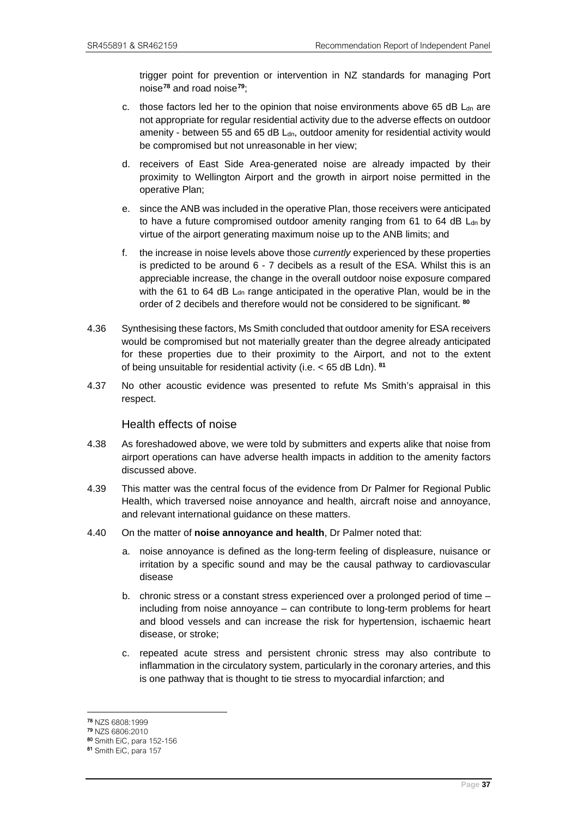trigger point for prevention or intervention in NZ standards for managing Port noise**[78](#page-40-0)** and road noise**[79](#page-40-1)**;

- c. those factors led her to the opinion that noise environments above 65 dB  $L<sub>dn</sub>$  are not appropriate for regular residential activity due to the adverse effects on outdoor amenity - between 55 and 65 dB L<sub>dn</sub>, outdoor amenity for residential activity would be compromised but not unreasonable in her view;
- d. receivers of East Side Area-generated noise are already impacted by their proximity to Wellington Airport and the growth in airport noise permitted in the operative Plan;
- e. since the ANB was included in the operative Plan, those receivers were anticipated to have a future compromised outdoor amenity ranging from  $61$  to  $64$  dB  $L<sub>dn</sub>$  by virtue of the airport generating maximum noise up to the ANB limits; and
- f. the increase in noise levels above those *currently* experienced by these properties is predicted to be around  $6 - 7$  decibels as a result of the ESA. Whilst this is an appreciable increase, the change in the overall outdoor noise exposure compared with the 61 to 64 dB L<sub>dn</sub> range anticipated in the operative Plan, would be in the order of 2 decibels and therefore would not be considered to be significant. **[80](#page-40-2)**
- 4.36 Synthesising these factors, Ms Smith concluded that outdoor amenity for ESA receivers would be compromised but not materially greater than the degree already anticipated for these properties due to their proximity to the Airport, and not to the extent of being unsuitable for residential activity (i.e. < 65 dB Ldn). **[81](#page-40-3)**
- 4.37 No other acoustic evidence was presented to refute Ms Smith's appraisal in this respect.

#### Health effects of noise

- 4.38 As foreshadowed above, we were told by submitters and experts alike that noise from airport operations can have adverse health impacts in addition to the amenity factors discussed above.
- 4.39 This matter was the central focus of the evidence from Dr Palmer for Regional Public Health, which traversed noise annoyance and health, aircraft noise and annoyance, and relevant international guidance on these matters.
- 4.40 On the matter of **noise annoyance and health**, Dr Palmer noted that:
	- a. noise annoyance is defined as the long-term feeling of displeasure, nuisance or irritation by a specific sound and may be the causal pathway to cardiovascular disease
	- b. chronic stress or a constant stress experienced over a prolonged period of time including from noise annoyance – can contribute to long-term problems for heart and blood vessels and can increase the risk for hypertension, ischaemic heart disease, or stroke;
	- c. repeated acute stress and persistent chronic stress may also contribute to inflammation in the circulatory system, particularly in the coronary arteries, and this is one pathway that is thought to tie stress to myocardial infarction; and

<span id="page-40-0"></span><sup>78</sup> NZS 6808:1999

<span id="page-40-1"></span><sup>&</sup>lt;sup>79</sup> NZS 6806:2010<br><sup>80</sup> Smith EiC, para 152-156

<span id="page-40-3"></span><span id="page-40-2"></span><sup>81</sup> Smith EiC, para 157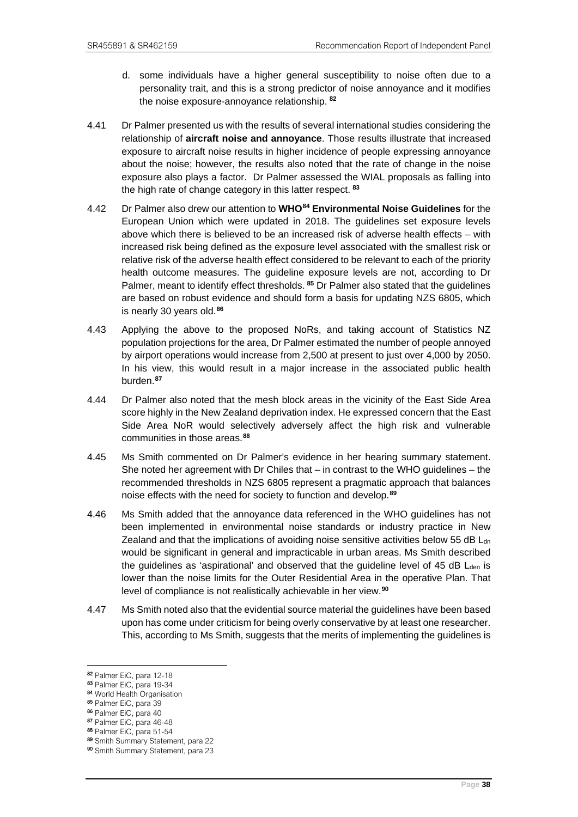- d. some individuals have a higher general susceptibility to noise often due to a personality trait, and this is a strong predictor of noise annoyance and it modifies the noise exposure-annoyance relationship. **[82](#page-41-0)**
- 4.41 Dr Palmer presented us with the results of several international studies considering the relationship of **aircraft noise and annoyance**. Those results illustrate that increased exposure to aircraft noise results in higher incidence of people expressing annoyance about the noise; however, the results also noted that the rate of change in the noise exposure also plays a factor. Dr Palmer assessed the WIAL proposals as falling into the high rate of change category in this latter respect. **[83](#page-41-1)**
- 4.42 Dr Palmer also drew our attention to **WHO[84](#page-41-2) Environmental Noise Guidelines** for the European Union which were updated in 2018. The guidelines set exposure levels above which there is believed to be an increased risk of adverse health effects – with increased risk being defined as the exposure level associated with the smallest risk or relative risk of the adverse health effect considered to be relevant to each of the priority health outcome measures. The guideline exposure levels are not, according to Dr Palmer, meant to identify effect thresholds. **[85](#page-41-3)** Dr Palmer also stated that the guidelines are based on robust evidence and should form a basis for updating NZS 6805, which is nearly 30 years old.**[86](#page-41-4)**
- 4.43 Applying the above to the proposed NoRs, and taking account of Statistics NZ population projections for the area, Dr Palmer estimated the number of people annoyed by airport operations would increase from 2,500 at present to just over 4,000 by 2050. In his view, this would result in a major increase in the associated public health burden.**[87](#page-41-5)**
- 4.44 Dr Palmer also noted that the mesh block areas in the vicinity of the East Side Area score highly in the New Zealand deprivation index. He expressed concern that the East Side Area NoR would selectively adversely affect the high risk and vulnerable communities in those areas.**[88](#page-41-6)**
- 4.45 Ms Smith commented on Dr Palmer's evidence in her hearing summary statement. She noted her agreement with Dr Chiles that – in contrast to the WHO guidelines – the recommended thresholds in NZS 6805 represent a pragmatic approach that balances noise effects with the need for society to function and develop.**[89](#page-41-7)**
- 4.46 Ms Smith added that the annoyance data referenced in the WHO guidelines has not been implemented in environmental noise standards or industry practice in New Zealand and that the implications of avoiding noise sensitive activities below 55 dB  $L<sub>dn</sub>$ would be significant in general and impracticable in urban areas. Ms Smith described the guidelines as 'aspirational' and observed that the guideline level of 45 dB Lden is lower than the noise limits for the Outer Residential Area in the operative Plan. That level of compliance is not realistically achievable in her view.**[90](#page-41-8)**
- 4.47 Ms Smith noted also that the evidential source material the guidelines have been based upon has come under criticism for being overly conservative by at least one researcher. This, according to Ms Smith, suggests that the merits of implementing the guidelines is

<span id="page-41-2"></span>

<span id="page-41-1"></span><span id="page-41-0"></span><sup>82</sup> Palmer EiC, para 12-18<br>83 Palmer EiC, para 19-34<br>84 World Health Organisation<br>85 Palmer EiC, para 39

<span id="page-41-4"></span><span id="page-41-3"></span><sup>86</sup> Palmer EiC, para 40<br>87 Palmer EiC, para 46-48

<span id="page-41-5"></span>

<span id="page-41-6"></span><sup>88</sup> Palmer EiC, para 51-54<br>89 Smith Summary Statement, para 22

<span id="page-41-8"></span><span id="page-41-7"></span><sup>90</sup> Smith Summary Statement, para 23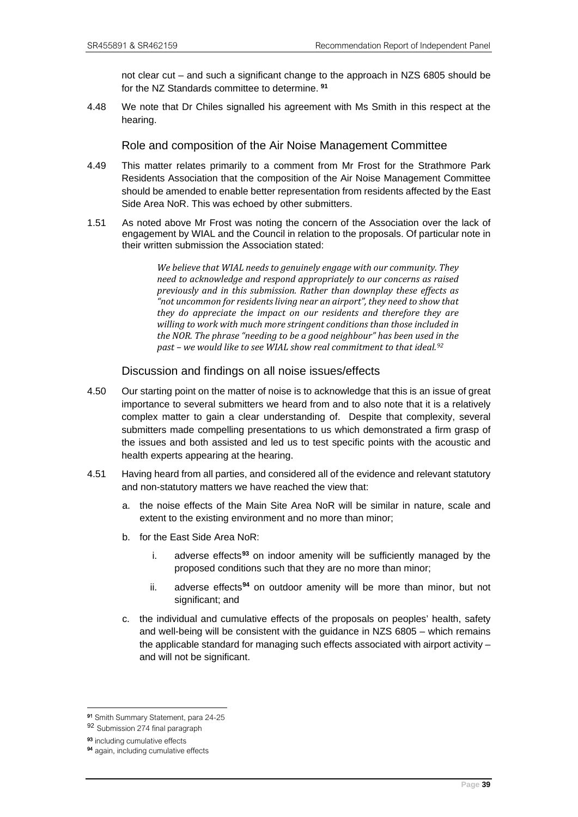not clear cut – and such a significant change to the approach in NZS 6805 should be for the NZ Standards committee to determine. **[91](#page-42-0)**

4.48 We note that Dr Chiles signalled his agreement with Ms Smith in this respect at the hearing.

Role and composition of the Air Noise Management Committee

- 4.49 This matter relates primarily to a comment from Mr Frost for the Strathmore Park Residents Association that the composition of the Air Noise Management Committee should be amended to enable better representation from residents affected by the East Side Area NoR. This was echoed by other submitters.
- 1.51 As noted above Mr Frost was noting the concern of the Association over the lack of engagement by WIAL and the Council in relation to the proposals. Of particular note in their written submission the Association stated:

*We believe that WIAL needs to genuinely engage with our community. They need to acknowledge and respond appropriately to our concerns as raised previously and in this submission. Rather than downplay these effects as "not uncommon for residents living near an airport", they need to show that they do appreciate the impact on our residents and therefore they are willing to work with much more stringent conditions than those included in the NOR. The phrase "needing to be a good neighbour" has been used in the past – we would like to see WIAL show real commitment to that ideal.[92](#page-42-1)*

#### Discussion and findings on all noise issues/effects

- 4.50 Our starting point on the matter of noise is to acknowledge that this is an issue of great importance to several submitters we heard from and to also note that it is a relatively complex matter to gain a clear understanding of. Despite that complexity, several submitters made compelling presentations to us which demonstrated a firm grasp of the issues and both assisted and led us to test specific points with the acoustic and health experts appearing at the hearing.
- 4.51 Having heard from all parties, and considered all of the evidence and relevant statutory and non-statutory matters we have reached the view that:
	- a. the noise effects of the Main Site Area NoR will be similar in nature, scale and extent to the existing environment and no more than minor;
	- b. for the East Side Area NoR:
		- i. adverse effects**[93](#page-42-2)** on indoor amenity will be sufficiently managed by the proposed conditions such that they are no more than minor;
		- ii. adverse effects**[94](#page-42-3)** on outdoor amenity will be more than minor, but not significant; and
	- c. the individual and cumulative effects of the proposals on peoples' health, safety and well-being will be consistent with the guidance in NZS 6805 – which remains the applicable standard for managing such effects associated with airport activity  $$ and will not be significant.

<span id="page-42-0"></span><sup>91</sup> Smith Summary Statement, para 24-25

<span id="page-42-1"></span><sup>92</sup> Submission 274 final paragraph

<span id="page-42-2"></span><sup>93</sup> including cumulative effects

<span id="page-42-3"></span><sup>&</sup>lt;sup>94</sup> again, including cumulative effects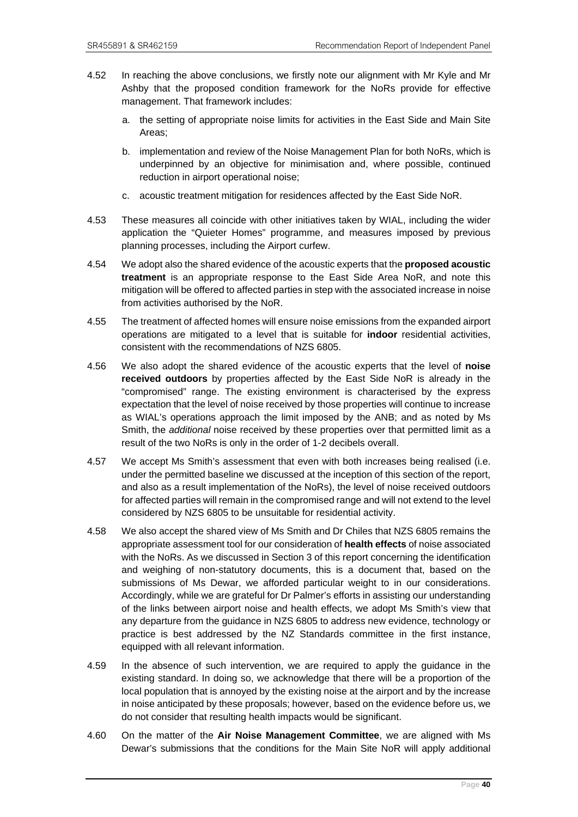- 4.52 In reaching the above conclusions, we firstly note our alignment with Mr Kyle and Mr Ashby that the proposed condition framework for the NoRs provide for effective management. That framework includes:
	- a. the setting of appropriate noise limits for activities in the East Side and Main Site Areas;
	- b. implementation and review of the Noise Management Plan for both NoRs, which is underpinned by an objective for minimisation and, where possible, continued reduction in airport operational noise;
	- c. acoustic treatment mitigation for residences affected by the East Side NoR.
- 4.53 These measures all coincide with other initiatives taken by WIAL, including the wider application the "Quieter Homes" programme, and measures imposed by previous planning processes, including the Airport curfew.
- 4.54 We adopt also the shared evidence of the acoustic experts that the **proposed acoustic treatment** is an appropriate response to the East Side Area NoR, and note this mitigation will be offered to affected parties in step with the associated increase in noise from activities authorised by the NoR.
- 4.55 The treatment of affected homes will ensure noise emissions from the expanded airport operations are mitigated to a level that is suitable for **indoor** residential activities, consistent with the recommendations of NZS 6805.
- 4.56 We also adopt the shared evidence of the acoustic experts that the level of **noise received outdoors** by properties affected by the East Side NoR is already in the "compromised" range. The existing environment is characterised by the express expectation that the level of noise received by those properties will continue to increase as WIAL's operations approach the limit imposed by the ANB; and as noted by Ms Smith, the *additional* noise received by these properties over that permitted limit as a result of the two NoRs is only in the order of 1-2 decibels overall.
- 4.57 We accept Ms Smith's assessment that even with both increases being realised (i.e. under the permitted baseline we discussed at the inception of this section of the report, and also as a result implementation of the NoRs), the level of noise received outdoors for affected parties will remain in the compromised range and will not extend to the level considered by NZS 6805 to be unsuitable for residential activity.
- 4.58 We also accept the shared view of Ms Smith and Dr Chiles that NZS 6805 remains the appropriate assessment tool for our consideration of **health effects** of noise associated with the NoRs. As we discussed in Section 3 of this report concerning the identification and weighing of non-statutory documents, this is a document that, based on the submissions of Ms Dewar, we afforded particular weight to in our considerations. Accordingly, while we are grateful for Dr Palmer's efforts in assisting our understanding of the links between airport noise and health effects, we adopt Ms Smith's view that any departure from the guidance in NZS 6805 to address new evidence, technology or practice is best addressed by the NZ Standards committee in the first instance, equipped with all relevant information.
- 4.59 In the absence of such intervention, we are required to apply the guidance in the existing standard. In doing so, we acknowledge that there will be a proportion of the local population that is annoyed by the existing noise at the airport and by the increase in noise anticipated by these proposals; however, based on the evidence before us, we do not consider that resulting health impacts would be significant.
- 4.60 On the matter of the **Air Noise Management Committee**, we are aligned with Ms Dewar's submissions that the conditions for the Main Site NoR will apply additional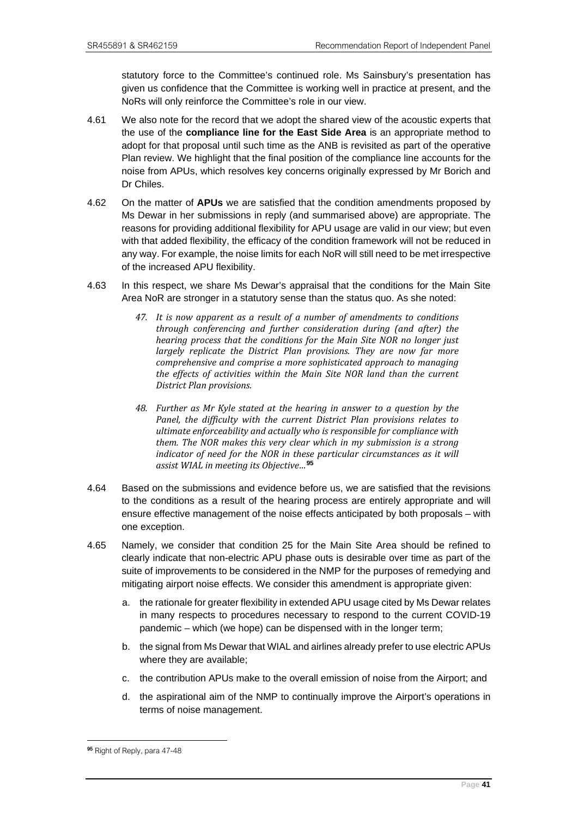statutory force to the Committee's continued role. Ms Sainsbury's presentation has given us confidence that the Committee is working well in practice at present, and the NoRs will only reinforce the Committee's role in our view.

- 4.61 We also note for the record that we adopt the shared view of the acoustic experts that the use of the **compliance line for the East Side Area** is an appropriate method to adopt for that proposal until such time as the ANB is revisited as part of the operative Plan review. We highlight that the final position of the compliance line accounts for the noise from APUs, which resolves key concerns originally expressed by Mr Borich and Dr Chiles.
- 4.62 On the matter of **APUs** we are satisfied that the condition amendments proposed by Ms Dewar in her submissions in reply (and summarised above) are appropriate. The reasons for providing additional flexibility for APU usage are valid in our view; but even with that added flexibility, the efficacy of the condition framework will not be reduced in any way. For example, the noise limits for each NoR will still need to be met irrespective of the increased APU flexibility.
- 4.63 In this respect, we share Ms Dewar's appraisal that the conditions for the Main Site Area NoR are stronger in a statutory sense than the status quo. As she noted:
	- *47. It is now apparent as a result of a number of amendments to conditions through conferencing and further consideration during (and after) the hearing process that the conditions for the Main Site NOR no longer just largely replicate the District Plan provisions. They are now far more comprehensive and comprise a more sophisticated approach to managing the effects of activities within the Main Site NOR land than the current District Plan provisions.*
	- *48. Further as Mr Kyle stated at the hearing in answer to a question by the Panel, the difficulty with the current District Plan provisions relates to ultimate enforceability and actually who is responsible for compliance with them. The NOR makes this very clear which in my submission is a strong indicator of need for the NOR in these particular circumstances as it will assist WIAL in meeting its Objective…***[95](#page-44-0)**
- 4.64 Based on the submissions and evidence before us, we are satisfied that the revisions to the conditions as a result of the hearing process are entirely appropriate and will ensure effective management of the noise effects anticipated by both proposals – with one exception.
- 4.65 Namely, we consider that condition 25 for the Main Site Area should be refined to clearly indicate that non-electric APU phase outs is desirable over time as part of the suite of improvements to be considered in the NMP for the purposes of remedying and mitigating airport noise effects. We consider this amendment is appropriate given:
	- a. the rationale for greater flexibility in extended APU usage cited by Ms Dewar relates in many respects to procedures necessary to respond to the current COVID-19 pandemic – which (we hope) can be dispensed with in the longer term;
	- b. the signal from Ms Dewar that WIAL and airlines already prefer to use electric APUs where they are available;
	- c. the contribution APUs make to the overall emission of noise from the Airport; and
	- d. the aspirational aim of the NMP to continually improve the Airport's operations in terms of noise management.

<span id="page-44-0"></span><sup>95</sup> Right of Reply, para 47-48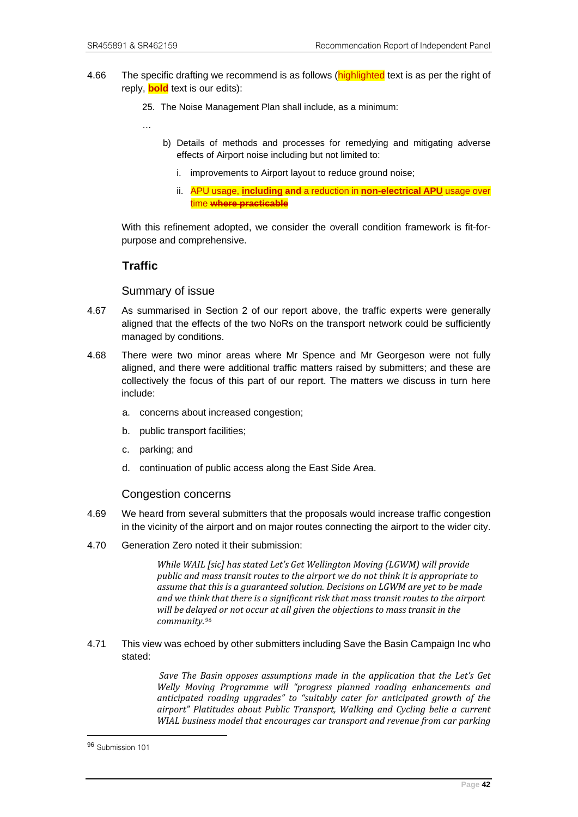- 4.66 The specific drafting we recommend is as follows (**highlighted** text is as per the right of reply, **bold** text is our edits):
	- 25. The Noise Management Plan shall include, as a minimum:

…

- b) Details of methods and processes for remedying and mitigating adverse effects of Airport noise including but not limited to:
	- i. improvements to Airport layout to reduce ground noise;
	- ii. APU usage, **including and** a reduction in **non-electrical APU** usage over time **where practicable**

With this refinement adopted, we consider the overall condition framework is fit-forpurpose and comprehensive.

# **Traffic**

#### Summary of issue

- 4.67 As summarised in Section 2 of our report above, the traffic experts were generally aligned that the effects of the two NoRs on the transport network could be sufficiently managed by conditions.
- 4.68 There were two minor areas where Mr Spence and Mr Georgeson were not fully aligned, and there were additional traffic matters raised by submitters; and these are collectively the focus of this part of our report. The matters we discuss in turn here include:
	- a. concerns about increased congestion;
	- b. public transport facilities;
	- c. parking; and
	- d. continuation of public access along the East Side Area.

#### Congestion concerns

- 4.69 We heard from several submitters that the proposals would increase traffic congestion in the vicinity of the airport and on major routes connecting the airport to the wider city.
- 4.70 Generation Zero noted it their submission:

*While WAIL [sic] has stated Let's Get Wellington Moving (LGWM) will provide public and mass transit routes to the airport we do not think it is appropriate to assume that this is a guaranteed solution. Decisions on LGWM are yet to be made and we think that there is a significant risk that mass transit routes to the airport will be delayed or not occur at all given the objections to mass transit in the community.[96](#page-45-0)*

4.71 This view was echoed by other submitters including Save the Basin Campaign Inc who stated:

> *Save The Basin opposes assumptions made in the application that the Let's Get Welly Moving Programme will "progress planned roading enhancements and anticipated roading upgrades" to "suitably cater for anticipated growth of the airport" Platitudes about Public Transport, Walking and Cycling belie a current WIAL business model that encourages car transport and revenue from car parking*

<span id="page-45-0"></span><sup>96</sup> Submission 101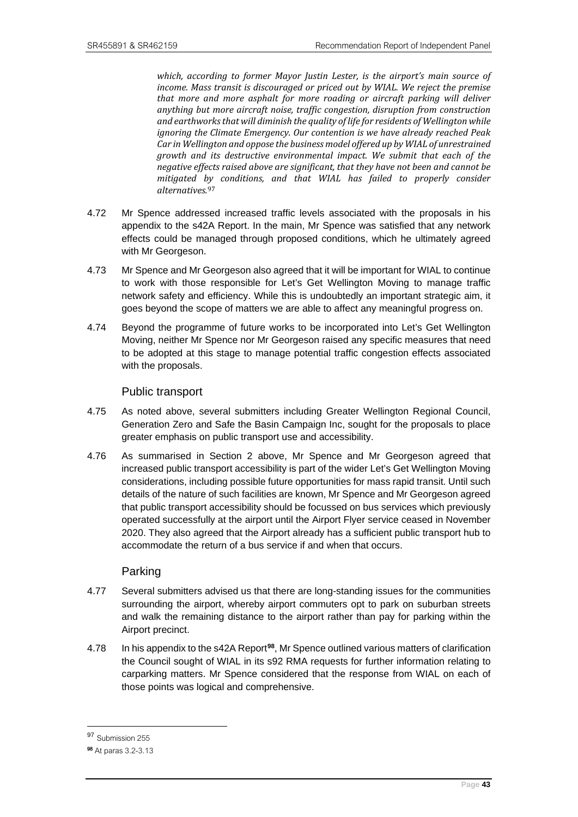*which, according to former Mayor Justin Lester, is the airport's main source of income. Mass transit is discouraged or priced out by WIAL. We reject the premise that more and more asphalt for more roading or aircraft parking will deliver anything but more aircraft noise, traffic congestion, disruption from construction and earthworks that will diminish the quality of life for residents of Wellington while ignoring the Climate Emergency. Our contention is we have already reached Peak Car in Wellington and oppose the business model offered up by WIAL of unrestrained growth and its destructive environmental impact. We submit that each of the negative effects raised above are significant, that they have not been and cannot be mitigated by conditions, and that WIAL has failed to properly consider alternatives.*[97](#page-46-0)

- 4.72 Mr Spence addressed increased traffic levels associated with the proposals in his appendix to the s42A Report. In the main, Mr Spence was satisfied that any network effects could be managed through proposed conditions, which he ultimately agreed with Mr Georgeson.
- 4.73 Mr Spence and Mr Georgeson also agreed that it will be important for WIAL to continue to work with those responsible for Let's Get Wellington Moving to manage traffic network safety and efficiency. While this is undoubtedly an important strategic aim, it goes beyond the scope of matters we are able to affect any meaningful progress on.
- 4.74 Beyond the programme of future works to be incorporated into Let's Get Wellington Moving, neither Mr Spence nor Mr Georgeson raised any specific measures that need to be adopted at this stage to manage potential traffic congestion effects associated with the proposals.

#### Public transport

- 4.75 As noted above, several submitters including Greater Wellington Regional Council, Generation Zero and Safe the Basin Campaign Inc, sought for the proposals to place greater emphasis on public transport use and accessibility.
- 4.76 As summarised in Section 2 above, Mr Spence and Mr Georgeson agreed that increased public transport accessibility is part of the wider Let's Get Wellington Moving considerations, including possible future opportunities for mass rapid transit. Until such details of the nature of such facilities are known, Mr Spence and Mr Georgeson agreed that public transport accessibility should be focussed on bus services which previously operated successfully at the airport until the Airport Flyer service ceased in November 2020. They also agreed that the Airport already has a sufficient public transport hub to accommodate the return of a bus service if and when that occurs.

#### Parking

- 4.77 Several submitters advised us that there are long-standing issues for the communities surrounding the airport, whereby airport commuters opt to park on suburban streets and walk the remaining distance to the airport rather than pay for parking within the Airport precinct.
- 4.78 In his appendix to the s42A Report**[98](#page-46-1)**, Mr Spence outlined various matters of clarification the Council sought of WIAL in its s92 RMA requests for further information relating to carparking matters. Mr Spence considered that the response from WIAL on each of those points was logical and comprehensive.

<span id="page-46-0"></span><sup>97</sup> Submission 255

<span id="page-46-1"></span><sup>98</sup> At paras 3.2-3.13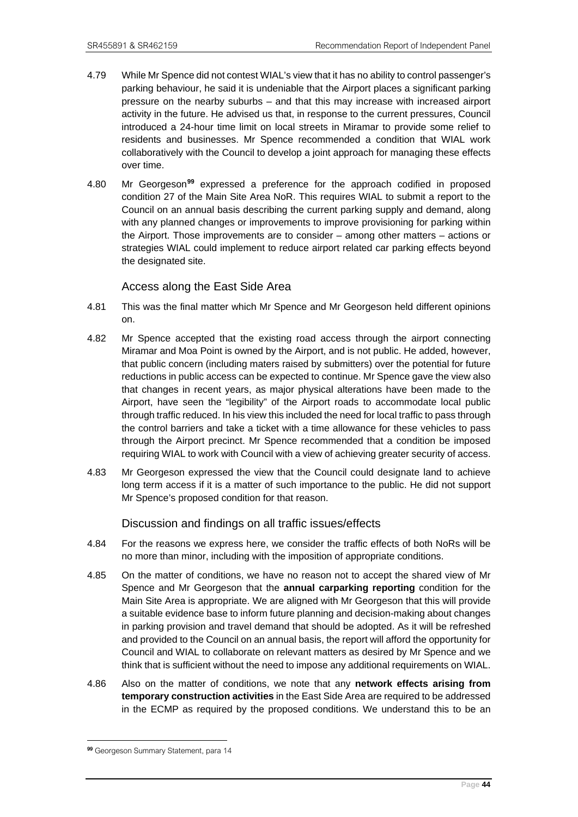- 4.79 While Mr Spence did not contest WIAL's view that it has no ability to control passenger's parking behaviour, he said it is undeniable that the Airport places a significant parking pressure on the nearby suburbs – and that this may increase with increased airport activity in the future. He advised us that, in response to the current pressures, Council introduced a 24-hour time limit on local streets in Miramar to provide some relief to residents and businesses. Mr Spence recommended a condition that WIAL work collaboratively with the Council to develop a joint approach for managing these effects over time.
- 4.80 Mr Georgeson**[99](#page-47-0)** expressed a preference for the approach codified in proposed condition 27 of the Main Site Area NoR. This requires WIAL to submit a report to the Council on an annual basis describing the current parking supply and demand, along with any planned changes or improvements to improve provisioning for parking within the Airport. Those improvements are to consider – among other matters – actions or strategies WIAL could implement to reduce airport related car parking effects beyond the designated site.

## Access along the East Side Area

- 4.81 This was the final matter which Mr Spence and Mr Georgeson held different opinions on.
- 4.82 Mr Spence accepted that the existing road access through the airport connecting Miramar and Moa Point is owned by the Airport, and is not public. He added, however, that public concern (including maters raised by submitters) over the potential for future reductions in public access can be expected to continue. Mr Spence gave the view also that changes in recent years, as major physical alterations have been made to the Airport, have seen the "legibility" of the Airport roads to accommodate local public through traffic reduced. In his view this included the need for local traffic to pass through the control barriers and take a ticket with a time allowance for these vehicles to pass through the Airport precinct. Mr Spence recommended that a condition be imposed requiring WIAL to work with Council with a view of achieving greater security of access.
- 4.83 Mr Georgeson expressed the view that the Council could designate land to achieve long term access if it is a matter of such importance to the public. He did not support Mr Spence's proposed condition for that reason.

#### Discussion and findings on all traffic issues/effects

- 4.84 For the reasons we express here, we consider the traffic effects of both NoRs will be no more than minor, including with the imposition of appropriate conditions.
- 4.85 On the matter of conditions, we have no reason not to accept the shared view of Mr Spence and Mr Georgeson that the **annual carparking reporting** condition for the Main Site Area is appropriate. We are aligned with Mr Georgeson that this will provide a suitable evidence base to inform future planning and decision-making about changes in parking provision and travel demand that should be adopted. As it will be refreshed and provided to the Council on an annual basis, the report will afford the opportunity for Council and WIAL to collaborate on relevant matters as desired by Mr Spence and we think that is sufficient without the need to impose any additional requirements on WIAL.
- 4.86 Also on the matter of conditions, we note that any **network effects arising from temporary construction activities** in the East Side Area are required to be addressed in the ECMP as required by the proposed conditions. We understand this to be an

<span id="page-47-0"></span><sup>99</sup> Georgeson Summary Statement, para 14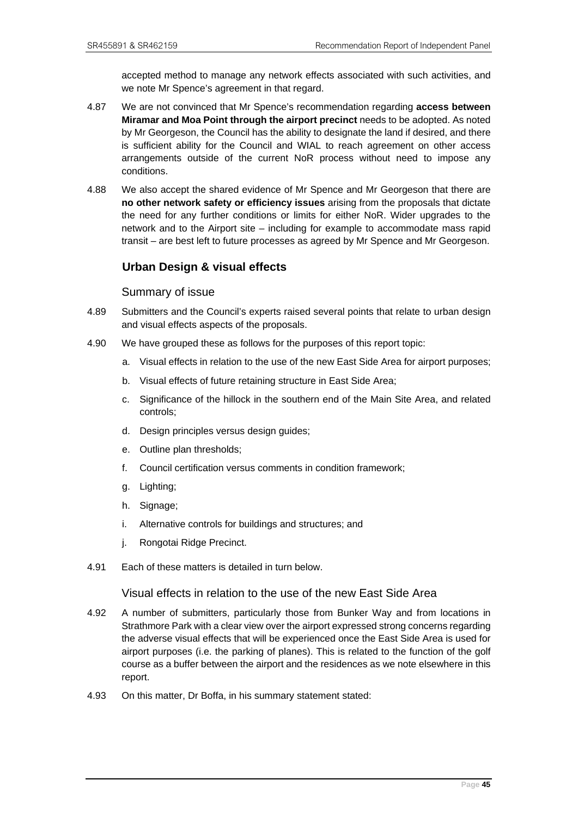accepted method to manage any network effects associated with such activities, and we note Mr Spence's agreement in that regard.

- 4.87 We are not convinced that Mr Spence's recommendation regarding **access between Miramar and Moa Point through the airport precinct** needs to be adopted. As noted by Mr Georgeson, the Council has the ability to designate the land if desired, and there is sufficient ability for the Council and WIAL to reach agreement on other access arrangements outside of the current NoR process without need to impose any conditions.
- 4.88 We also accept the shared evidence of Mr Spence and Mr Georgeson that there are **no other network safety or efficiency issues** arising from the proposals that dictate the need for any further conditions or limits for either NoR. Wider upgrades to the network and to the Airport site – including for example to accommodate mass rapid transit – are best left to future processes as agreed by Mr Spence and Mr Georgeson.

# **Urban Design & visual effects**

#### Summary of issue

- 4.89 Submitters and the Council's experts raised several points that relate to urban design and visual effects aspects of the proposals.
- 4.90 We have grouped these as follows for the purposes of this report topic:
	- a. Visual effects in relation to the use of the new East Side Area for airport purposes;
	- b. Visual effects of future retaining structure in East Side Area;
	- c. Significance of the hillock in the southern end of the Main Site Area, and related controls;
	- d. Design principles versus design guides;
	- e. Outline plan thresholds;
	- f. Council certification versus comments in condition framework;
	- g. Lighting;
	- h. Signage;
	- i. Alternative controls for buildings and structures; and
	- j. Rongotai Ridge Precinct.
- 4.91 Each of these matters is detailed in turn below.

# Visual effects in relation to the use of the new East Side Area

- 4.92 A number of submitters, particularly those from Bunker Way and from locations in Strathmore Park with a clear view over the airport expressed strong concerns regarding the adverse visual effects that will be experienced once the East Side Area is used for airport purposes (i.e. the parking of planes). This is related to the function of the golf course as a buffer between the airport and the residences as we note elsewhere in this report.
- 4.93 On this matter, Dr Boffa, in his summary statement stated: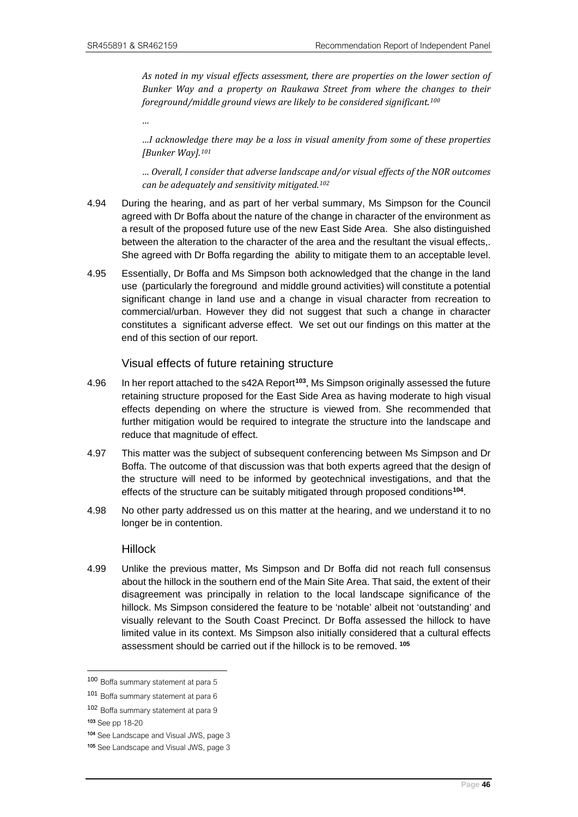*As noted in my visual effects assessment, there are properties on the lower section of Bunker Way and a property on Raukawa Street from where the changes to their foreground/middle ground views are likely to be considered significant.[100](#page-49-0)*

*…* 

*…I acknowledge there may be a loss in visual amenity from some of these properties [Bunker Way].[101](#page-49-1)*

*… Overall, I consider that adverse landscape and/or visual effects of the NOR outcomes can be adequately and sensitivity mitigated.[102](#page-49-2)*

- 4.94 During the hearing, and as part of her verbal summary, Ms Simpson for the Council agreed with Dr Boffa about the nature of the change in character of the environment as a result of the proposed future use of the new East Side Area. She also distinguished between the alteration to the character of the area and the resultant the visual effects,. She agreed with Dr Boffa regarding the ability to mitigate them to an acceptable level.
- 4.95 Essentially, Dr Boffa and Ms Simpson both acknowledged that the change in the land use (particularly the foreground and middle ground activities) will constitute a potential significant change in land use and a change in visual character from recreation to commercial/urban. However they did not suggest that such a change in character constitutes a significant adverse effect. We set out our findings on this matter at the end of this section of our report.

#### Visual effects of future retaining structure

- 4.96 In her report attached to the s42A Report**[103](#page-49-3)**, Ms Simpson originally assessed the future retaining structure proposed for the East Side Area as having moderate to high visual effects depending on where the structure is viewed from. She recommended that further mitigation would be required to integrate the structure into the landscape and reduce that magnitude of effect.
- 4.97 This matter was the subject of subsequent conferencing between Ms Simpson and Dr Boffa. The outcome of that discussion was that both experts agreed that the design of the structure will need to be informed by geotechnical investigations, and that the effects of the structure can be suitably mitigated through proposed conditions**[104](#page-49-4)**.
- 4.98 No other party addressed us on this matter at the hearing, and we understand it to no longer be in contention.

#### Hillock

4.99 Unlike the previous matter, Ms Simpson and Dr Boffa did not reach full consensus about the hillock in the southern end of the Main Site Area. That said, the extent of their disagreement was principally in relation to the local landscape significance of the hillock. Ms Simpson considered the feature to be 'notable' albeit not 'outstanding' and visually relevant to the South Coast Precinct. Dr Boffa assessed the hillock to have limited value in its context. Ms Simpson also initially considered that a cultural effects assessment should be carried out if the hillock is to be removed. **[105](#page-49-5)**

<span id="page-49-3"></span>103 See pp 18-20

<span id="page-49-0"></span><sup>100</sup> Boffa summary statement at para 5

<span id="page-49-1"></span><sup>101</sup> Boffa summary statement at para 6

<span id="page-49-2"></span><sup>102</sup> Boffa summary statement at para 9

<span id="page-49-4"></span><sup>104</sup> See Landscape and Visual JWS, page 3

<span id="page-49-5"></span><sup>105</sup> See Landscape and Visual JWS, page 3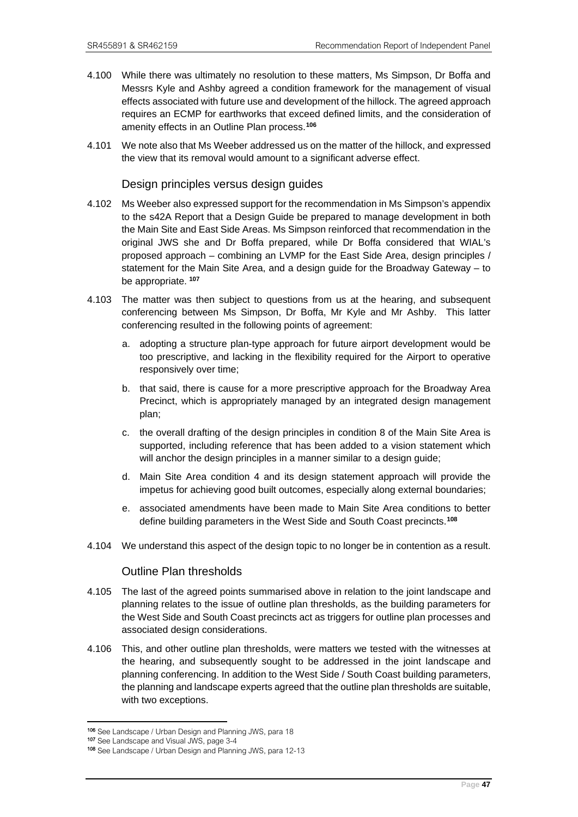- 4.100 While there was ultimately no resolution to these matters, Ms Simpson, Dr Boffa and Messrs Kyle and Ashby agreed a condition framework for the management of visual effects associated with future use and development of the hillock. The agreed approach requires an ECMP for earthworks that exceed defined limits, and the consideration of amenity effects in an Outline Plan process.**[106](#page-50-0)**
- 4.101 We note also that Ms Weeber addressed us on the matter of the hillock, and expressed the view that its removal would amount to a significant adverse effect.

#### Design principles versus design guides

- 4.102 Ms Weeber also expressed support for the recommendation in Ms Simpson's appendix to the s42A Report that a Design Guide be prepared to manage development in both the Main Site and East Side Areas. Ms Simpson reinforced that recommendation in the original JWS she and Dr Boffa prepared, while Dr Boffa considered that WIAL's proposed approach – combining an LVMP for the East Side Area, design principles / statement for the Main Site Area, and a design guide for the Broadway Gateway – to be appropriate. **[107](#page-50-1)**
- 4.103 The matter was then subject to questions from us at the hearing, and subsequent conferencing between Ms Simpson, Dr Boffa, Mr Kyle and Mr Ashby. This latter conferencing resulted in the following points of agreement:
	- a. adopting a structure plan-type approach for future airport development would be too prescriptive, and lacking in the flexibility required for the Airport to operative responsively over time;
	- b. that said, there is cause for a more prescriptive approach for the Broadway Area Precinct, which is appropriately managed by an integrated design management plan;
	- c. the overall drafting of the design principles in condition 8 of the Main Site Area is supported, including reference that has been added to a vision statement which will anchor the design principles in a manner similar to a design guide;
	- d. Main Site Area condition 4 and its design statement approach will provide the impetus for achieving good built outcomes, especially along external boundaries;
	- e. associated amendments have been made to Main Site Area conditions to better define building parameters in the West Side and South Coast precincts.**[108](#page-50-2)**
- 4.104 We understand this aspect of the design topic to no longer be in contention as a result.

#### Outline Plan thresholds

- 4.105 The last of the agreed points summarised above in relation to the joint landscape and planning relates to the issue of outline plan thresholds, as the building parameters for the West Side and South Coast precincts act as triggers for outline plan processes and associated design considerations.
- 4.106 This, and other outline plan thresholds, were matters we tested with the witnesses at the hearing, and subsequently sought to be addressed in the joint landscape and planning conferencing. In addition to the West Side / South Coast building parameters, the planning and landscape experts agreed that the outline plan thresholds are suitable, with two exceptions.

<span id="page-50-0"></span><sup>106</sup> See Landscape / Urban Design and Planning JWS, para 18<br>107 See Landscape and Visual JWS, page 3-4<br><sup>108</sup> See Landscape / Urban Design and Planning JWS, para 12-13

<span id="page-50-1"></span>

<span id="page-50-2"></span>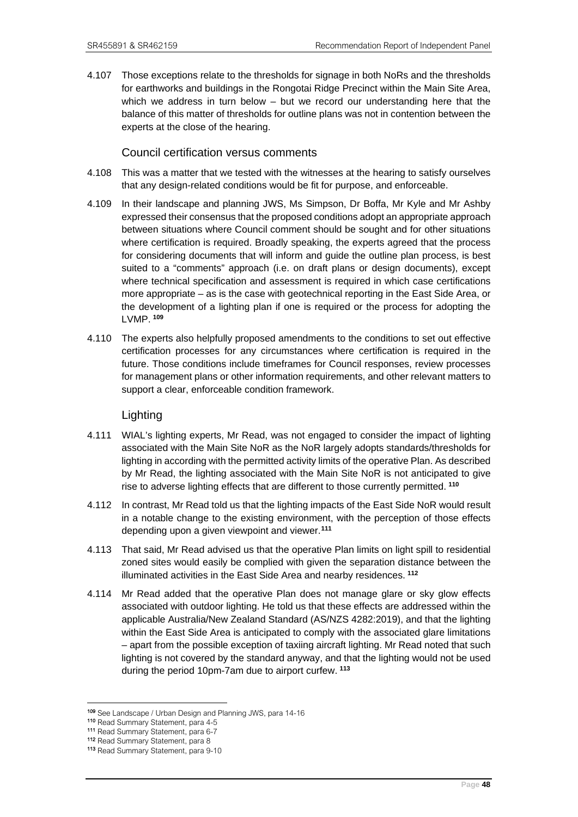4.107 Those exceptions relate to the thresholds for signage in both NoRs and the thresholds for earthworks and buildings in the Rongotai Ridge Precinct within the Main Site Area, which we address in turn below  $-$  but we record our understanding here that the balance of this matter of thresholds for outline plans was not in contention between the experts at the close of the hearing.

## Council certification versus comments

- 4.108 This was a matter that we tested with the witnesses at the hearing to satisfy ourselves that any design-related conditions would be fit for purpose, and enforceable.
- 4.109 In their landscape and planning JWS, Ms Simpson, Dr Boffa, Mr Kyle and Mr Ashby expressed their consensus that the proposed conditions adopt an appropriate approach between situations where Council comment should be sought and for other situations where certification is required. Broadly speaking, the experts agreed that the process for considering documents that will inform and guide the outline plan process, is best suited to a "comments" approach (i.e. on draft plans or design documents), except where technical specification and assessment is required in which case certifications more appropriate – as is the case with geotechnical reporting in the East Side Area, or the development of a lighting plan if one is required or the process for adopting the LVMP. **[109](#page-51-0)**
- 4.110 The experts also helpfully proposed amendments to the conditions to set out effective certification processes for any circumstances where certification is required in the future. Those conditions include timeframes for Council responses, review processes for management plans or other information requirements, and other relevant matters to support a clear, enforceable condition framework.

## Lighting

- 4.111 WIAL's lighting experts, Mr Read, was not engaged to consider the impact of lighting associated with the Main Site NoR as the NoR largely adopts standards/thresholds for lighting in according with the permitted activity limits of the operative Plan. As described by Mr Read, the lighting associated with the Main Site NoR is not anticipated to give rise to adverse lighting effects that are different to those currently permitted. **[110](#page-51-1)**
- 4.112 In contrast, Mr Read told us that the lighting impacts of the East Side NoR would result in a notable change to the existing environment, with the perception of those effects depending upon a given viewpoint and viewer.**[111](#page-51-2)**
- 4.113 That said, Mr Read advised us that the operative Plan limits on light spill to residential zoned sites would easily be complied with given the separation distance between the illuminated activities in the East Side Area and nearby residences. **[112](#page-51-3)**
- 4.114 Mr Read added that the operative Plan does not manage glare or sky glow effects associated with outdoor lighting. He told us that these effects are addressed within the applicable Australia/New Zealand Standard (AS/NZS 4282:2019), and that the lighting within the East Side Area is anticipated to comply with the associated glare limitations – apart from the possible exception of taxiing aircraft lighting. Mr Read noted that such lighting is not covered by the standard anyway, and that the lighting would not be used during the period 10pm-7am due to airport curfew. **[113](#page-51-4)**

<span id="page-51-1"></span><span id="page-51-0"></span><sup>109</sup> See Landscape / Urban Design and Planning JWS, para 14-16<br>
110 Read Summary Statement, para 4-5<br>
111 Read Summary Statement, para 6-7<br>
112 Read Summary Statement, para 8<br>
113 Read Summary Statement, para 9-10

<span id="page-51-2"></span>

<span id="page-51-4"></span><span id="page-51-3"></span>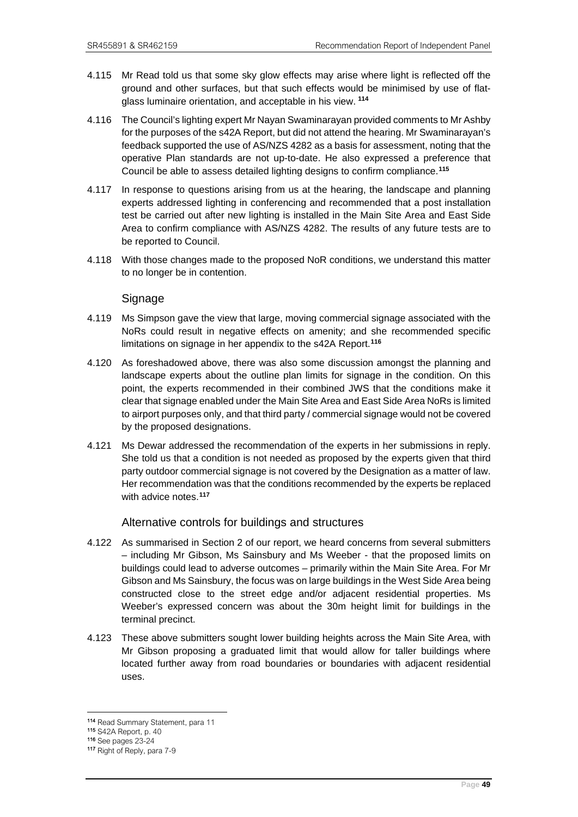- 4.115 Mr Read told us that some sky glow effects may arise where light is reflected off the ground and other surfaces, but that such effects would be minimised by use of flatglass luminaire orientation, and acceptable in his view. **[114](#page-52-0)**
- 4.116 The Council's lighting expert Mr Nayan Swaminarayan provided comments to Mr Ashby for the purposes of the s42A Report, but did not attend the hearing. Mr Swaminarayan's feedback supported the use of AS/NZS 4282 as a basis for assessment, noting that the operative Plan standards are not up-to-date. He also expressed a preference that Council be able to assess detailed lighting designs to confirm compliance.**[115](#page-52-1)**
- 4.117 In response to questions arising from us at the hearing, the landscape and planning experts addressed lighting in conferencing and recommended that a post installation test be carried out after new lighting is installed in the Main Site Area and East Side Area to confirm compliance with AS/NZS 4282. The results of any future tests are to be reported to Council.
- 4.118 With those changes made to the proposed NoR conditions, we understand this matter to no longer be in contention.

## Signage

- 4.119 Ms Simpson gave the view that large, moving commercial signage associated with the NoRs could result in negative effects on amenity; and she recommended specific limitations on signage in her appendix to the s42A Report.**[116](#page-52-2)**
- 4.120 As foreshadowed above, there was also some discussion amongst the planning and landscape experts about the outline plan limits for signage in the condition. On this point, the experts recommended in their combined JWS that the conditions make it clear that signage enabled under the Main Site Area and East Side Area NoRs is limited to airport purposes only, and that third party / commercial signage would not be covered by the proposed designations.
- 4.121 Ms Dewar addressed the recommendation of the experts in her submissions in reply. She told us that a condition is not needed as proposed by the experts given that third party outdoor commercial signage is not covered by the Designation as a matter of law. Her recommendation was that the conditions recommended by the experts be replaced with advice notes.**[117](#page-52-3)**

#### Alternative controls for buildings and structures

- 4.122 As summarised in Section 2 of our report, we heard concerns from several submitters – including Mr Gibson, Ms Sainsbury and Ms Weeber - that the proposed limits on buildings could lead to adverse outcomes – primarily within the Main Site Area. For Mr Gibson and Ms Sainsbury, the focus was on large buildings in the West Side Area being constructed close to the street edge and/or adjacent residential properties. Ms Weeber's expressed concern was about the 30m height limit for buildings in the terminal precinct.
- 4.123 These above submitters sought lower building heights across the Main Site Area, with Mr Gibson proposing a graduated limit that would allow for taller buildings where located further away from road boundaries or boundaries with adjacent residential uses.

<span id="page-52-0"></span><sup>114</sup> Read Summary Statement, para 11

<span id="page-52-1"></span><sup>115</sup> S42A Report, p. 40<br>116 See pages 23-24

<span id="page-52-2"></span>

<span id="page-52-3"></span><sup>117</sup> Right of Reply, para 7-9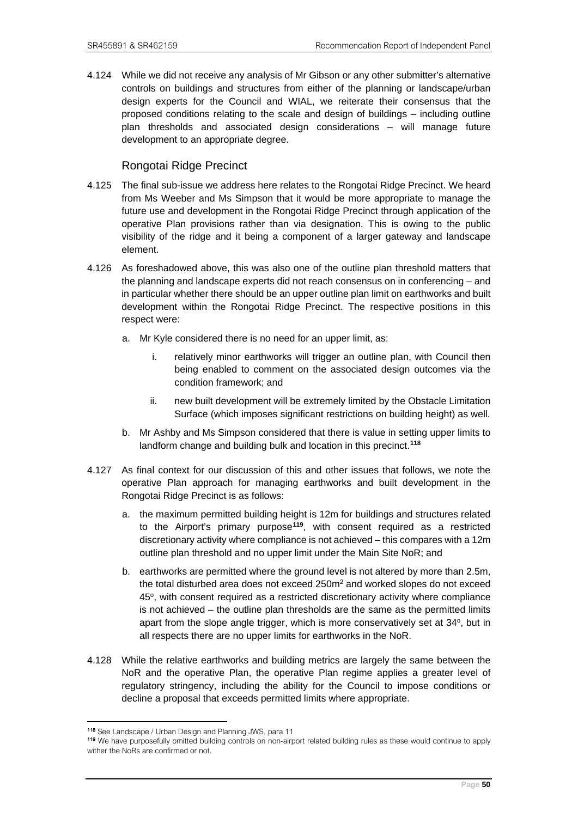4.124 While we did not receive any analysis of Mr Gibson or any other submitter's alternative controls on buildings and structures from either of the planning or landscape/urban design experts for the Council and WIAL, we reiterate their consensus that the proposed conditions relating to the scale and design of buildings – including outline plan thresholds and associated design considerations – will manage future development to an appropriate degree.

## Rongotai Ridge Precinct

- 4.125 The final sub-issue we address here relates to the Rongotai Ridge Precinct. We heard from Ms Weeber and Ms Simpson that it would be more appropriate to manage the future use and development in the Rongotai Ridge Precinct through application of the operative Plan provisions rather than via designation. This is owing to the public visibility of the ridge and it being a component of a larger gateway and landscape element.
- 4.126 As foreshadowed above, this was also one of the outline plan threshold matters that the planning and landscape experts did not reach consensus on in conferencing – and in particular whether there should be an upper outline plan limit on earthworks and built development within the Rongotai Ridge Precinct. The respective positions in this respect were:
	- a. Mr Kyle considered there is no need for an upper limit, as:
		- i. relatively minor earthworks will trigger an outline plan, with Council then being enabled to comment on the associated design outcomes via the condition framework; and
		- ii. new built development will be extremely limited by the Obstacle Limitation Surface (which imposes significant restrictions on building height) as well.
	- b. Mr Ashby and Ms Simpson considered that there is value in setting upper limits to landform change and building bulk and location in this precinct.**[118](#page-53-0)**
- 4.127 As final context for our discussion of this and other issues that follows, we note the operative Plan approach for managing earthworks and built development in the Rongotai Ridge Precinct is as follows:
	- a. the maximum permitted building height is 12m for buildings and structures related to the Airport's primary purpose**[119](#page-53-1)**, with consent required as a restricted discretionary activity where compliance is not achieved – this compares with a 12m outline plan threshold and no upper limit under the Main Site NoR; and
	- b. earthworks are permitted where the ground level is not altered by more than 2.5m, the total disturbed area does not exceed 250m<sup>2</sup> and worked slopes do not exceed 45°, with consent required as a restricted discretionary activity where compliance is not achieved – the outline plan thresholds are the same as the permitted limits apart from the slope angle trigger, which is more conservatively set at 34<sup>o</sup>, but in all respects there are no upper limits for earthworks in the NoR.
- 4.128 While the relative earthworks and building metrics are largely the same between the NoR and the operative Plan, the operative Plan regime applies a greater level of regulatory stringency, including the ability for the Council to impose conditions or decline a proposal that exceeds permitted limits where appropriate.

<span id="page-53-0"></span><sup>118</sup> See Landscape / Urban Design and Planning JWS, para 11

<span id="page-53-1"></span><sup>119</sup> We have purposefully omitted building controls on non-airport related building rules as these would continue to apply wither the NoRs are confirmed or not.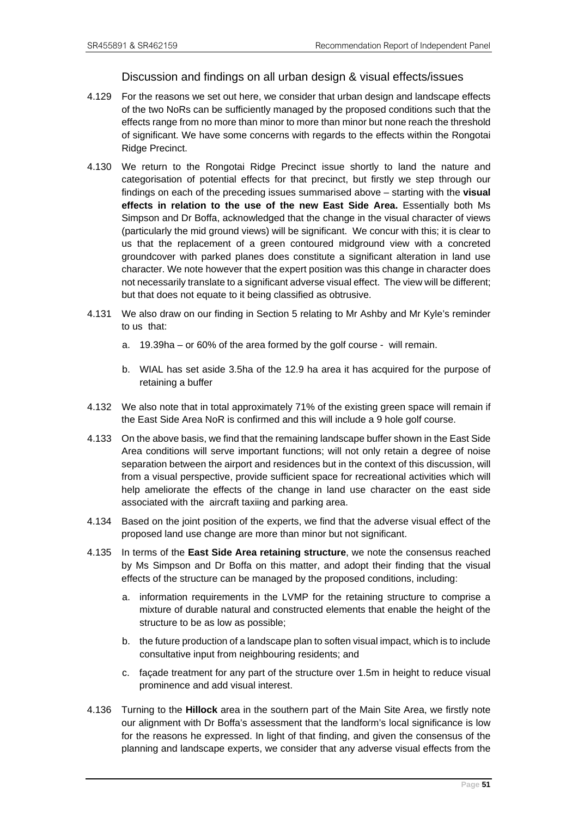## Discussion and findings on all urban design & visual effects/issues

- 4.129 For the reasons we set out here, we consider that urban design and landscape effects of the two NoRs can be sufficiently managed by the proposed conditions such that the effects range from no more than minor to more than minor but none reach the threshold of significant. We have some concerns with regards to the effects within the Rongotai Ridge Precinct.
- 4.130 We return to the Rongotai Ridge Precinct issue shortly to land the nature and categorisation of potential effects for that precinct, but firstly we step through our findings on each of the preceding issues summarised above – starting with the **visual effects in relation to the use of the new East Side Area.** Essentially both Ms Simpson and Dr Boffa, acknowledged that the change in the visual character of views (particularly the mid ground views) will be significant. We concur with this; it is clear to us that the replacement of a green contoured midground view with a concreted groundcover with parked planes does constitute a significant alteration in land use character. We note however that the expert position was this change in character does not necessarily translate to a significant adverse visual effect. The view will be different; but that does not equate to it being classified as obtrusive.
- 4.131 We also draw on our finding in Section 5 relating to Mr Ashby and Mr Kyle's reminder to us that:
	- a. 19.39ha or 60% of the area formed by the golf course will remain.
	- b. WIAL has set aside 3.5ha of the 12.9 ha area it has acquired for the purpose of retaining a buffer
- 4.132 We also note that in total approximately 71% of the existing green space will remain if the East Side Area NoR is confirmed and this will include a 9 hole golf course.
- 4.133 On the above basis, we find that the remaining landscape buffer shown in the East Side Area conditions will serve important functions; will not only retain a degree of noise separation between the airport and residences but in the context of this discussion, will from a visual perspective, provide sufficient space for recreational activities which will help ameliorate the effects of the change in land use character on the east side associated with the aircraft taxiing and parking area.
- 4.134 Based on the joint position of the experts, we find that the adverse visual effect of the proposed land use change are more than minor but not significant.
- 4.135 In terms of the **East Side Area retaining structure**, we note the consensus reached by Ms Simpson and Dr Boffa on this matter, and adopt their finding that the visual effects of the structure can be managed by the proposed conditions, including:
	- a. information requirements in the LVMP for the retaining structure to comprise a mixture of durable natural and constructed elements that enable the height of the structure to be as low as possible;
	- b. the future production of a landscape plan to soften visual impact, which is to include consultative input from neighbouring residents; and
	- c. façade treatment for any part of the structure over 1.5m in height to reduce visual prominence and add visual interest.
- 4.136 Turning to the **Hillock** area in the southern part of the Main Site Area, we firstly note our alignment with Dr Boffa's assessment that the landform's local significance is low for the reasons he expressed. In light of that finding, and given the consensus of the planning and landscape experts, we consider that any adverse visual effects from the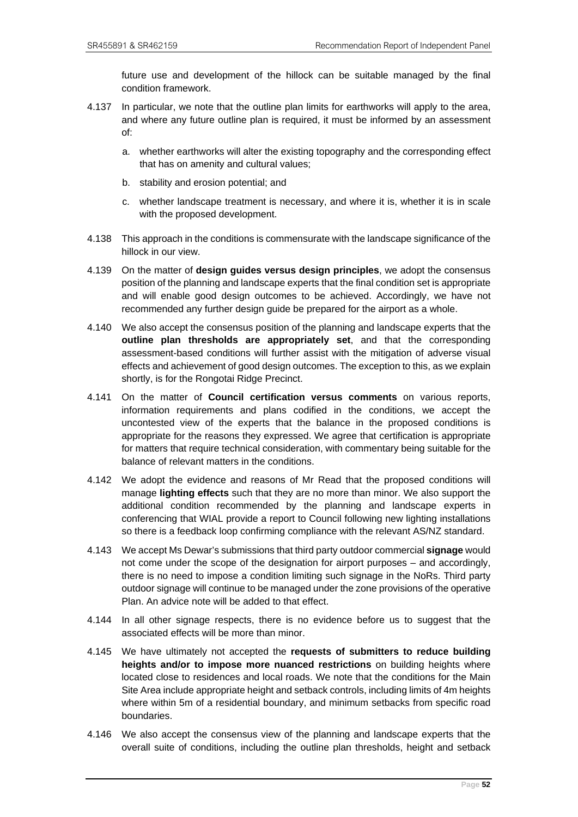future use and development of the hillock can be suitable managed by the final condition framework.

- 4.137 In particular, we note that the outline plan limits for earthworks will apply to the area, and where any future outline plan is required, it must be informed by an assessment of:
	- a. whether earthworks will alter the existing topography and the corresponding effect that has on amenity and cultural values;
	- b. stability and erosion potential; and
	- c. whether landscape treatment is necessary, and where it is, whether it is in scale with the proposed development.
- 4.138 This approach in the conditions is commensurate with the landscape significance of the hillock in our view.
- 4.139 On the matter of **design guides versus design principles**, we adopt the consensus position of the planning and landscape experts that the final condition set is appropriate and will enable good design outcomes to be achieved. Accordingly, we have not recommended any further design guide be prepared for the airport as a whole.
- 4.140 We also accept the consensus position of the planning and landscape experts that the **outline plan thresholds are appropriately set**, and that the corresponding assessment-based conditions will further assist with the mitigation of adverse visual effects and achievement of good design outcomes. The exception to this, as we explain shortly, is for the Rongotai Ridge Precinct.
- 4.141 On the matter of **Council certification versus comments** on various reports, information requirements and plans codified in the conditions, we accept the uncontested view of the experts that the balance in the proposed conditions is appropriate for the reasons they expressed. We agree that certification is appropriate for matters that require technical consideration, with commentary being suitable for the balance of relevant matters in the conditions.
- 4.142 We adopt the evidence and reasons of Mr Read that the proposed conditions will manage **lighting effects** such that they are no more than minor. We also support the additional condition recommended by the planning and landscape experts in conferencing that WIAL provide a report to Council following new lighting installations so there is a feedback loop confirming compliance with the relevant AS/NZ standard.
- 4.143 We accept Ms Dewar's submissions that third party outdoor commercial **signage** would not come under the scope of the designation for airport purposes – and accordingly, there is no need to impose a condition limiting such signage in the NoRs. Third party outdoor signage will continue to be managed under the zone provisions of the operative Plan. An advice note will be added to that effect.
- 4.144 In all other signage respects, there is no evidence before us to suggest that the associated effects will be more than minor.
- 4.145 We have ultimately not accepted the **requests of submitters to reduce building heights and/or to impose more nuanced restrictions** on building heights where located close to residences and local roads. We note that the conditions for the Main Site Area include appropriate height and setback controls, including limits of 4m heights where within 5m of a residential boundary, and minimum setbacks from specific road boundaries.
- 4.146 We also accept the consensus view of the planning and landscape experts that the overall suite of conditions, including the outline plan thresholds, height and setback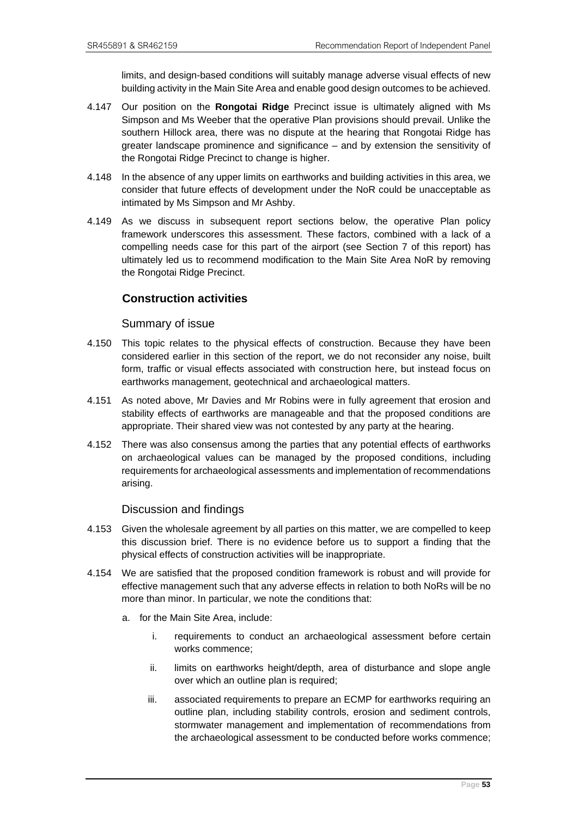limits, and design-based conditions will suitably manage adverse visual effects of new building activity in the Main Site Area and enable good design outcomes to be achieved.

- 4.147 Our position on the **Rongotai Ridge** Precinct issue is ultimately aligned with Ms Simpson and Ms Weeber that the operative Plan provisions should prevail. Unlike the southern Hillock area, there was no dispute at the hearing that Rongotai Ridge has greater landscape prominence and significance – and by extension the sensitivity of the Rongotai Ridge Precinct to change is higher.
- 4.148 In the absence of any upper limits on earthworks and building activities in this area, we consider that future effects of development under the NoR could be unacceptable as intimated by Ms Simpson and Mr Ashby.
- 4.149 As we discuss in subsequent report sections below, the operative Plan policy framework underscores this assessment. These factors, combined with a lack of a compelling needs case for this part of the airport (see Section 7 of this report) has ultimately led us to recommend modification to the Main Site Area NoR by removing the Rongotai Ridge Precinct.

# **Construction activities**

#### Summary of issue

- 4.150 This topic relates to the physical effects of construction. Because they have been considered earlier in this section of the report, we do not reconsider any noise, built form, traffic or visual effects associated with construction here, but instead focus on earthworks management, geotechnical and archaeological matters.
- 4.151 As noted above, Mr Davies and Mr Robins were in fully agreement that erosion and stability effects of earthworks are manageable and that the proposed conditions are appropriate. Their shared view was not contested by any party at the hearing.
- 4.152 There was also consensus among the parties that any potential effects of earthworks on archaeological values can be managed by the proposed conditions, including requirements for archaeological assessments and implementation of recommendations arising.

#### Discussion and findings

- 4.153 Given the wholesale agreement by all parties on this matter, we are compelled to keep this discussion brief. There is no evidence before us to support a finding that the physical effects of construction activities will be inappropriate.
- 4.154 We are satisfied that the proposed condition framework is robust and will provide for effective management such that any adverse effects in relation to both NoRs will be no more than minor. In particular, we note the conditions that:
	- a. for the Main Site Area, include:
		- i. requirements to conduct an archaeological assessment before certain works commence;
		- ii. limits on earthworks height/depth, area of disturbance and slope angle over which an outline plan is required;
		- iii. associated requirements to prepare an ECMP for earthworks requiring an outline plan, including stability controls, erosion and sediment controls, stormwater management and implementation of recommendations from the archaeological assessment to be conducted before works commence;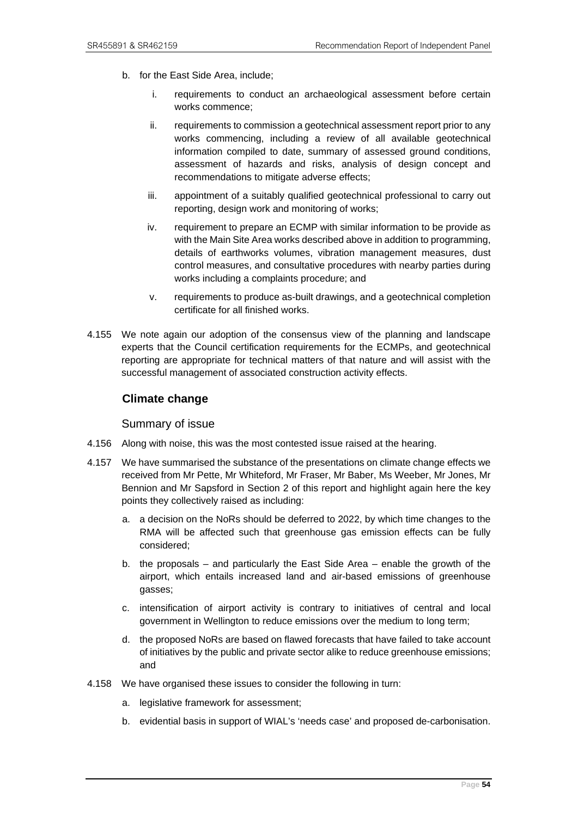- b. for the East Side Area, include;
	- i. requirements to conduct an archaeological assessment before certain works commence;
	- ii. requirements to commission a geotechnical assessment report prior to any works commencing, including a review of all available geotechnical information compiled to date, summary of assessed ground conditions, assessment of hazards and risks, analysis of design concept and recommendations to mitigate adverse effects;
	- iii. appointment of a suitably qualified geotechnical professional to carry out reporting, design work and monitoring of works;
	- iv. requirement to prepare an ECMP with similar information to be provide as with the Main Site Area works described above in addition to programming, details of earthworks volumes, vibration management measures, dust control measures, and consultative procedures with nearby parties during works including a complaints procedure; and
	- v. requirements to produce as-built drawings, and a geotechnical completion certificate for all finished works.
- 4.155 We note again our adoption of the consensus view of the planning and landscape experts that the Council certification requirements for the ECMPs, and geotechnical reporting are appropriate for technical matters of that nature and will assist with the successful management of associated construction activity effects.

## **Climate change**

Summary of issue

- 4.156 Along with noise, this was the most contested issue raised at the hearing.
- 4.157 We have summarised the substance of the presentations on climate change effects we received from Mr Pette, Mr Whiteford, Mr Fraser, Mr Baber, Ms Weeber, Mr Jones, Mr Bennion and Mr Sapsford in Section 2 of this report and highlight again here the key points they collectively raised as including:
	- a. a decision on the NoRs should be deferred to 2022, by which time changes to the RMA will be affected such that greenhouse gas emission effects can be fully considered;
	- b. the proposals and particularly the East Side Area enable the growth of the airport, which entails increased land and air-based emissions of greenhouse gasses;
	- c. intensification of airport activity is contrary to initiatives of central and local government in Wellington to reduce emissions over the medium to long term;
	- d. the proposed NoRs are based on flawed forecasts that have failed to take account of initiatives by the public and private sector alike to reduce greenhouse emissions; and
- 4.158 We have organised these issues to consider the following in turn:
	- a. legislative framework for assessment:
	- b. evidential basis in support of WIAL's 'needs case' and proposed de-carbonisation.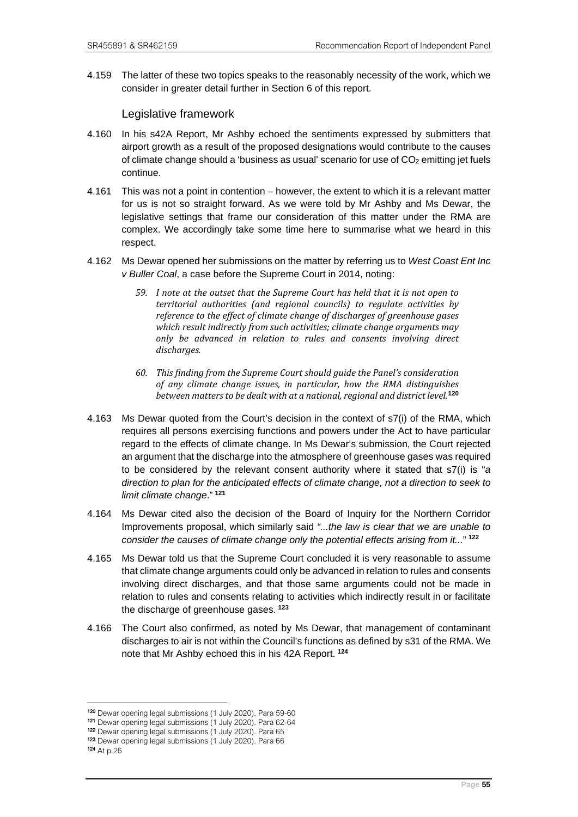4.159 The latter of these two topics speaks to the reasonably necessity of the work, which we consider in greater detail further in Section 6 of this report.

Legislative framework

- 4.160 In his s42A Report, Mr Ashby echoed the sentiments expressed by submitters that airport growth as a result of the proposed designations would contribute to the causes of climate change should a 'business as usual' scenario for use of  $CO<sub>2</sub>$  emitting jet fuels continue.
- 4.161 This was not a point in contention however, the extent to which it is a relevant matter for us is not so straight forward. As we were told by Mr Ashby and Ms Dewar, the legislative settings that frame our consideration of this matter under the RMA are complex. We accordingly take some time here to summarise what we heard in this respect.
- 4.162 Ms Dewar opened her submissions on the matter by referring us to *West Coast Ent Inc v Buller Coal*, a case before the Supreme Court in 2014, noting:
	- *59. I note at the outset that the Supreme Court has held that it is not open to territorial authorities (and regional councils) to regulate activities by reference to the effect of climate change of discharges of greenhouse gases which result indirectly from such activities; climate change arguments may only be advanced in relation to rules and consents involving direct discharges.*
	- *60. This finding from the Supreme Court should guide the Panel's consideration of any climate change issues, in particular, how the RMA distinguishes between matters to be dealt with at a national, regional and district level.***[120](#page-58-0)**
- 4.163 Ms Dewar quoted from the Court's decision in the context of s7(i) of the RMA, which requires all persons exercising functions and powers under the Act to have particular regard to the effects of climate change. In Ms Dewar's submission, the Court rejected an argument that the discharge into the atmosphere of greenhouse gases was required to be considered by the relevant consent authority where it stated that s7(i) is "*a direction to plan for the anticipated effects of climate change, not a direction to seek to limit climate change*." **[121](#page-58-1)**
- 4.164 Ms Dewar cited also the decision of the Board of Inquiry for the Northern Corridor Improvements proposal, which similarly said *"...the law is clear that we are unable to consider the causes of climate change only the potential effects arising from it...*" **[122](#page-58-2)**
- 4.165 Ms Dewar told us that the Supreme Court concluded it is very reasonable to assume that climate change arguments could only be advanced in relation to rules and consents involving direct discharges, and that those same arguments could not be made in relation to rules and consents relating to activities which indirectly result in or facilitate the discharge of greenhouse gases. **[123](#page-58-3)**
- 4.166 The Court also confirmed, as noted by Ms Dewar, that management of contaminant discharges to air is not within the Council's functions as defined by s31 of the RMA. We note that Mr Ashby echoed this in his 42A Report. **[124](#page-58-4)**

<span id="page-58-0"></span><sup>&</sup>lt;sup>120</sup> Dewar opening legal submissions (1 July 2020). Para 59-60<br><sup>121</sup> Dewar opening legal submissions (1 July 2020). Para 62-64<br><sup>122</sup> Dewar opening legal submissions (1 July 2020). Para 65<br><sup>123</sup> Dewar opening legal submiss

<span id="page-58-3"></span><span id="page-58-2"></span><span id="page-58-1"></span>

<span id="page-58-4"></span><sup>124</sup> At p.26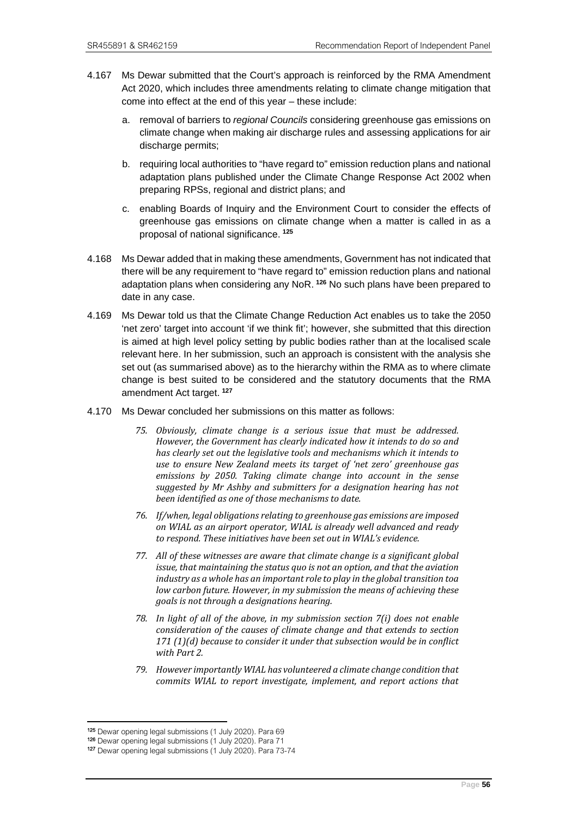- 4.167 Ms Dewar submitted that the Court's approach is reinforced by the RMA Amendment Act 2020, which includes three amendments relating to climate change mitigation that come into effect at the end of this year – these include:
	- a. removal of barriers to *regional Councils* considering greenhouse gas emissions on climate change when making air discharge rules and assessing applications for air discharge permits;
	- b. requiring local authorities to "have regard to" emission reduction plans and national adaptation plans published under the Climate Change Response Act 2002 when preparing RPSs, regional and district plans; and
	- c. enabling Boards of Inquiry and the Environment Court to consider the effects of greenhouse gas emissions on climate change when a matter is called in as a proposal of national significance. **[125](#page-59-0)**
- 4.168 Ms Dewar added that in making these amendments, Government has not indicated that there will be any requirement to "have regard to" emission reduction plans and national adaptation plans when considering any NoR. **[126](#page-59-1)** No such plans have been prepared to date in any case.
- 4.169 Ms Dewar told us that the Climate Change Reduction Act enables us to take the 2050 'net zero' target into account 'if we think fit'; however, she submitted that this direction is aimed at high level policy setting by public bodies rather than at the localised scale relevant here. In her submission, such an approach is consistent with the analysis she set out (as summarised above) as to the hierarchy within the RMA as to where climate change is best suited to be considered and the statutory documents that the RMA amendment Act target. **[127](#page-59-2)**
- 4.170 Ms Dewar concluded her submissions on this matter as follows:
	- *75. Obviously, climate change is a serious issue that must be addressed. However, the Government has clearly indicated how it intends to do so and has clearly set out the legislative tools and mechanisms which it intends to use to ensure New Zealand meets its target of 'net zero' greenhouse gas emissions by 2050. Taking climate change into account in the sense suggested by Mr Ashby and submitters for a designation hearing has not been identified as one of those mechanisms to date.*
	- *76. If/when, legal obligations relating to greenhouse gas emissions are imposed on WIAL as an airport operator, WIAL is already well advanced and ready to respond. These initiatives have been set out in WIAL's evidence.*
	- *77. All of these witnesses are aware that climate change is a significant global issue, that maintaining the status quo is not an option, and that the aviation industry as a whole has an important role to play in the global transition toa low carbon future. However, in my submission the means of achieving these goals is not through a designations hearing.*
	- *78. In light of all of the above, in my submission section 7(i) does not enable consideration of the causes of climate change and that extends to section 171 (1)(d) because to consider it under that subsection would be in conflict with Part 2.*
	- *79. However importantly WIAL has volunteered a climate change condition that commits WIAL to report investigate, implement, and report actions that*

<sup>125</sup> Dewar opening legal submissions (1 July 2020). Para 69

<span id="page-59-1"></span><span id="page-59-0"></span><sup>126</sup> Dewar opening legal submissions (1 July 2020). Para 71

<span id="page-59-2"></span><sup>127</sup> Dewar opening legal submissions (1 July 2020). Para 73-74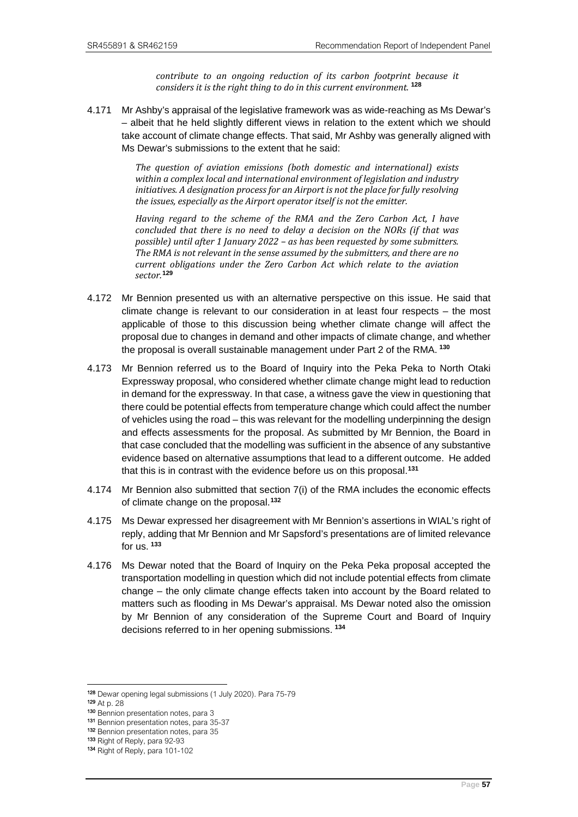*contribute to an ongoing reduction of its carbon footprint because it considers it is the right thing to do in this current environment.* **[128](#page-60-0)**

4.171 Mr Ashby's appraisal of the legislative framework was as wide-reaching as Ms Dewar's – albeit that he held slightly different views in relation to the extent which we should take account of climate change effects. That said, Mr Ashby was generally aligned with Ms Dewar's submissions to the extent that he said:

> *The question of aviation emissions (both domestic and international) exists within a complex local and international environment of legislation and industry initiatives. A designation process for an Airport is not the place for fully resolving the issues, especially as the Airport operator itself is not the emitter.*

> *Having regard to the scheme of the RMA and the Zero Carbon Act, I have concluded that there is no need to delay a decision on the NORs (if that was possible) until after 1 January 2022 – as has been requested by some submitters. The RMA is not relevant in the sense assumed by the submitters, and there are no current obligations under the Zero Carbon Act which relate to the aviation sector.***[129](#page-60-1)**

- 4.172 Mr Bennion presented us with an alternative perspective on this issue. He said that climate change is relevant to our consideration in at least four respects – the most applicable of those to this discussion being whether climate change will affect the proposal due to changes in demand and other impacts of climate change, and whether the proposal is overall sustainable management under Part 2 of the RMA. **[130](#page-60-2)**
- 4.173 Mr Bennion referred us to the Board of Inquiry into the Peka Peka to North Otaki Expressway proposal, who considered whether climate change might lead to reduction in demand for the expressway. In that case, a witness gave the view in questioning that there could be potential effects from temperature change which could affect the number of vehicles using the road – this was relevant for the modelling underpinning the design and effects assessments for the proposal. As submitted by Mr Bennion, the Board in that case concluded that the modelling was sufficient in the absence of any substantive evidence based on alternative assumptions that lead to a different outcome. He added that this is in contrast with the evidence before us on this proposal.**[131](#page-60-3)**
- 4.174 Mr Bennion also submitted that section 7(i) of the RMA includes the economic effects of climate change on the proposal.**[132](#page-60-4)**
- 4.175 Ms Dewar expressed her disagreement with Mr Bennion's assertions in WIAL's right of reply, adding that Mr Bennion and Mr Sapsford's presentations are of limited relevance for us. **[133](#page-60-5)**
- 4.176 Ms Dewar noted that the Board of Inquiry on the Peka Peka proposal accepted the transportation modelling in question which did not include potential effects from climate change – the only climate change effects taken into account by the Board related to matters such as flooding in Ms Dewar's appraisal. Ms Dewar noted also the omission by Mr Bennion of any consideration of the Supreme Court and Board of Inquiry decisions referred to in her opening submissions. **[134](#page-60-6)**

<span id="page-60-1"></span><span id="page-60-0"></span><sup>128</sup> Dewar opening legal submissions (1 July 2020). Para 75-79 129 At p. 28

<span id="page-60-2"></span><sup>130</sup> Bennion presentation notes, para 3<br>131 Bennion presentation notes, para 35-37

<span id="page-60-4"></span><span id="page-60-3"></span><sup>132</sup> Bennion presentation notes, para 35

<span id="page-60-5"></span><sup>133</sup> Right of Reply, para 92-93

<span id="page-60-6"></span><sup>134</sup> Right of Reply, para 101-102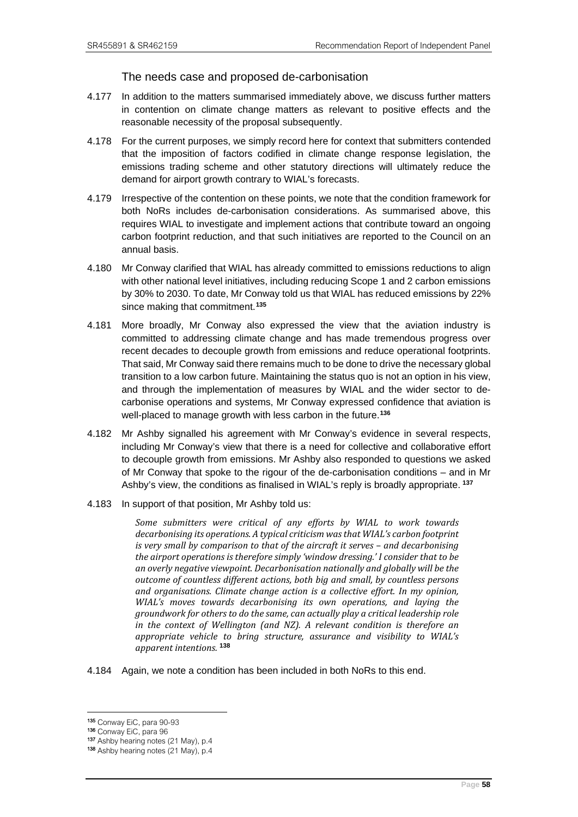## The needs case and proposed de-carbonisation

- 4.177 In addition to the matters summarised immediately above, we discuss further matters in contention on climate change matters as relevant to positive effects and the reasonable necessity of the proposal subsequently.
- 4.178 For the current purposes, we simply record here for context that submitters contended that the imposition of factors codified in climate change response legislation, the emissions trading scheme and other statutory directions will ultimately reduce the demand for airport growth contrary to WIAL's forecasts.
- 4.179 Irrespective of the contention on these points, we note that the condition framework for both NoRs includes de-carbonisation considerations. As summarised above, this requires WIAL to investigate and implement actions that contribute toward an ongoing carbon footprint reduction, and that such initiatives are reported to the Council on an annual basis.
- 4.180 Mr Conway clarified that WIAL has already committed to emissions reductions to align with other national level initiatives, including reducing Scope 1 and 2 carbon emissions by 30% to 2030. To date, Mr Conway told us that WIAL has reduced emissions by 22% since making that commitment.**[135](#page-61-0)**
- 4.181 More broadly, Mr Conway also expressed the view that the aviation industry is committed to addressing climate change and has made tremendous progress over recent decades to decouple growth from emissions and reduce operational footprints. That said, Mr Conway said there remains much to be done to drive the necessary global transition to a low carbon future. Maintaining the status quo is not an option in his view, and through the implementation of measures by WIAL and the wider sector to decarbonise operations and systems, Mr Conway expressed confidence that aviation is well-placed to manage growth with less carbon in the future.**[136](#page-61-1)**
- 4.182 Mr Ashby signalled his agreement with Mr Conway's evidence in several respects, including Mr Conway's view that there is a need for collective and collaborative effort to decouple growth from emissions. Mr Ashby also responded to questions we asked of Mr Conway that spoke to the rigour of the de-carbonisation conditions – and in Mr Ashby's view, the conditions as finalised in WIAL's reply is broadly appropriate. **[137](#page-61-2)**
- 4.183 In support of that position, Mr Ashby told us:

*Some submitters were critical of any efforts by WIAL to work towards decarbonising its operations. A typical criticism was that WIAL's carbon footprint is very small by comparison to that of the aircraft it serves – and decarbonising the airport operations is therefore simply 'window dressing.' I consider that to be an overly negative viewpoint. Decarbonisation nationally and globally will be the outcome of countless different actions, both big and small, by countless persons and organisations. Climate change action is a collective effort. In my opinion, WIAL's moves towards decarbonising its own operations, and laying the groundwork for others to do the same, can actually play a critical leadership role in the context of Wellington (and NZ). A relevant condition is therefore an appropriate vehicle to bring structure, assurance and visibility to WIAL's apparent intentions.* **[138](#page-61-3)**

4.184 Again, we note a condition has been included in both NoRs to this end.

<span id="page-61-0"></span><sup>135</sup> Conway EiC, para 90-93<br>136 Conway EiC, para 96

<span id="page-61-3"></span><span id="page-61-2"></span><span id="page-61-1"></span><sup>137</sup> Ashby hearing notes (21 May), p.4 138 Ashby hearing notes (21 May), p.4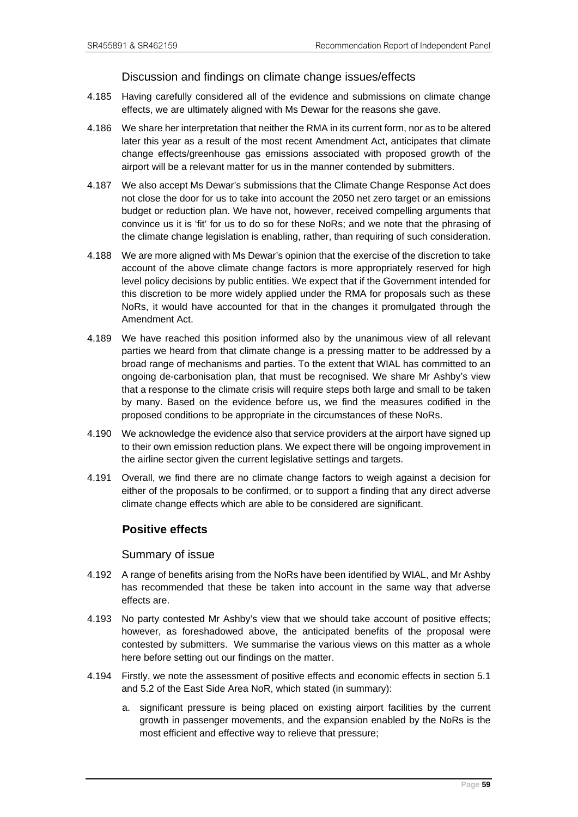## Discussion and findings on climate change issues/effects

- 4.185 Having carefully considered all of the evidence and submissions on climate change effects, we are ultimately aligned with Ms Dewar for the reasons she gave.
- 4.186 We share her interpretation that neither the RMA in its current form, nor as to be altered later this year as a result of the most recent Amendment Act, anticipates that climate change effects/greenhouse gas emissions associated with proposed growth of the airport will be a relevant matter for us in the manner contended by submitters.
- 4.187 We also accept Ms Dewar's submissions that the Climate Change Response Act does not close the door for us to take into account the 2050 net zero target or an emissions budget or reduction plan. We have not, however, received compelling arguments that convince us it is 'fit' for us to do so for these NoRs; and we note that the phrasing of the climate change legislation is enabling, rather, than requiring of such consideration.
- 4.188 We are more aligned with Ms Dewar's opinion that the exercise of the discretion to take account of the above climate change factors is more appropriately reserved for high level policy decisions by public entities. We expect that if the Government intended for this discretion to be more widely applied under the RMA for proposals such as these NoRs, it would have accounted for that in the changes it promulgated through the Amendment Act.
- 4.189 We have reached this position informed also by the unanimous view of all relevant parties we heard from that climate change is a pressing matter to be addressed by a broad range of mechanisms and parties. To the extent that WIAL has committed to an ongoing de-carbonisation plan, that must be recognised. We share Mr Ashby's view that a response to the climate crisis will require steps both large and small to be taken by many. Based on the evidence before us, we find the measures codified in the proposed conditions to be appropriate in the circumstances of these NoRs.
- 4.190 We acknowledge the evidence also that service providers at the airport have signed up to their own emission reduction plans. We expect there will be ongoing improvement in the airline sector given the current legislative settings and targets.
- 4.191 Overall, we find there are no climate change factors to weigh against a decision for either of the proposals to be confirmed, or to support a finding that any direct adverse climate change effects which are able to be considered are significant.

## **Positive effects**

#### Summary of issue

- 4.192 A range of benefits arising from the NoRs have been identified by WIAL, and Mr Ashby has recommended that these be taken into account in the same way that adverse effects are.
- 4.193 No party contested Mr Ashby's view that we should take account of positive effects; however, as foreshadowed above, the anticipated benefits of the proposal were contested by submitters. We summarise the various views on this matter as a whole here before setting out our findings on the matter.
- 4.194 Firstly, we note the assessment of positive effects and economic effects in section 5.1 and 5.2 of the East Side Area NoR, which stated (in summary):
	- a. significant pressure is being placed on existing airport facilities by the current growth in passenger movements, and the expansion enabled by the NoRs is the most efficient and effective way to relieve that pressure;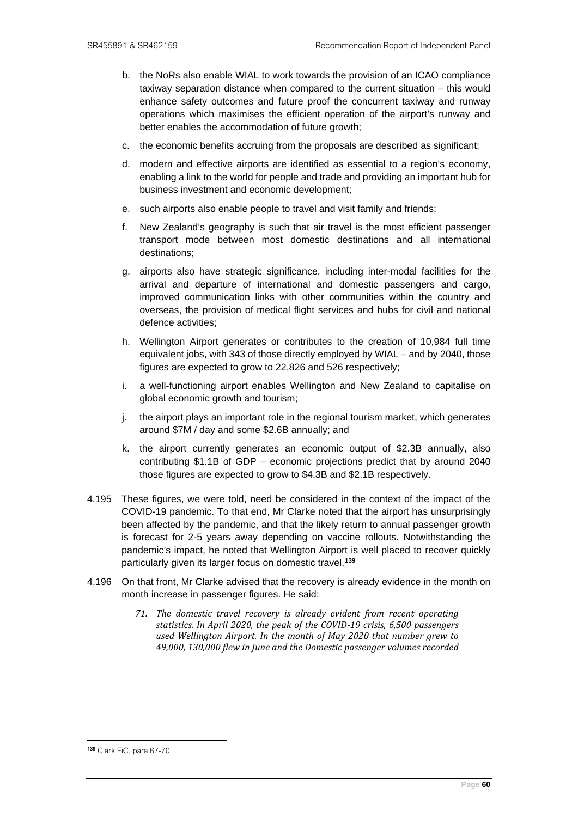- b. the NoRs also enable WIAL to work towards the provision of an ICAO compliance taxiway separation distance when compared to the current situation – this would enhance safety outcomes and future proof the concurrent taxiway and runway operations which maximises the efficient operation of the airport's runway and better enables the accommodation of future growth;
- c. the economic benefits accruing from the proposals are described as significant;
- d. modern and effective airports are identified as essential to a region's economy, enabling a link to the world for people and trade and providing an important hub for business investment and economic development;
- e. such airports also enable people to travel and visit family and friends;
- f. New Zealand's geography is such that air travel is the most efficient passenger transport mode between most domestic destinations and all international destinations;
- g. airports also have strategic significance, including inter-modal facilities for the arrival and departure of international and domestic passengers and cargo, improved communication links with other communities within the country and overseas, the provision of medical flight services and hubs for civil and national defence activities;
- h. Wellington Airport generates or contributes to the creation of 10,984 full time equivalent jobs, with 343 of those directly employed by WIAL – and by 2040, those figures are expected to grow to 22,826 and 526 respectively;
- i. a well-functioning airport enables Wellington and New Zealand to capitalise on global economic growth and tourism;
- j. the airport plays an important role in the regional tourism market, which generates around \$7M / day and some \$2.6B annually; and
- k. the airport currently generates an economic output of \$2.3B annually, also contributing \$1.1B of GDP – economic projections predict that by around 2040 those figures are expected to grow to \$4.3B and \$2.1B respectively.
- 4.195 These figures, we were told, need be considered in the context of the impact of the COVID-19 pandemic. To that end, Mr Clarke noted that the airport has unsurprisingly been affected by the pandemic, and that the likely return to annual passenger growth is forecast for 2-5 years away depending on vaccine rollouts. Notwithstanding the pandemic's impact, he noted that Wellington Airport is well placed to recover quickly particularly given its larger focus on domestic travel.**[139](#page-63-0)**
- 4.196 On that front, Mr Clarke advised that the recovery is already evidence in the month on month increase in passenger figures. He said:
	- *71. The domestic travel recovery is already evident from recent operating statistics. In April 2020, the peak of the COVID-19 crisis, 6,500 passengers used Wellington Airport. In the month of May 2020 that number grew to 49,000, 130,000 flew in June and the Domestic passenger volumes recorded*

<span id="page-63-0"></span><sup>139</sup> Clark EiC, para 67-70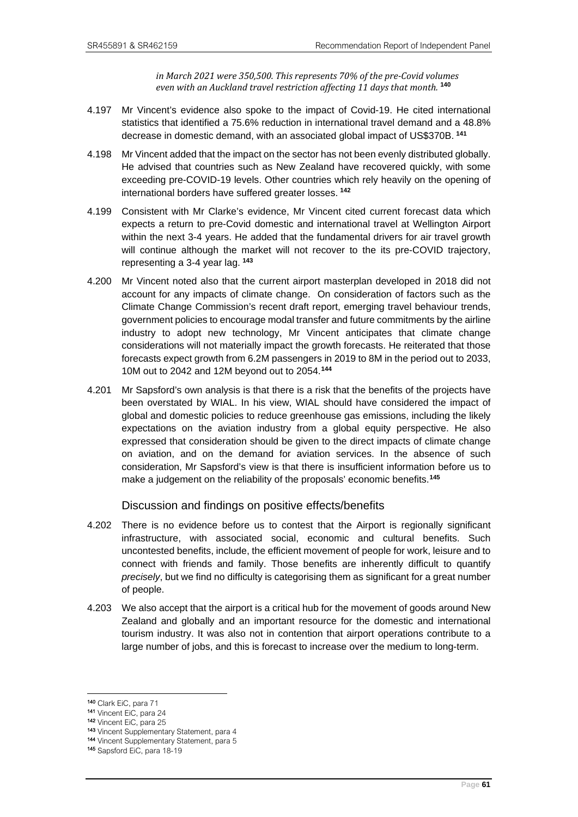*in March 2021 were 350,500. This represents 70% of the pre-Covid volumes even with an Auckland travel restriction affecting 11 days that month.* **[140](#page-64-0)**

- 4.197 Mr Vincent's evidence also spoke to the impact of Covid-19. He cited international statistics that identified a 75.6% reduction in international travel demand and a 48.8% decrease in domestic demand, with an associated global impact of US\$370B. **[141](#page-64-1)**
- 4.198 Mr Vincent added that the impact on the sector has not been evenly distributed globally. He advised that countries such as New Zealand have recovered quickly, with some exceeding pre-COVID-19 levels. Other countries which rely heavily on the opening of international borders have suffered greater losses. **[142](#page-64-2)**
- 4.199 Consistent with Mr Clarke's evidence, Mr Vincent cited current forecast data which expects a return to pre-Covid domestic and international travel at Wellington Airport within the next 3-4 years. He added that the fundamental drivers for air travel growth will continue although the market will not recover to the its pre-COVID trajectory, representing a 3-4 year lag. **[143](#page-64-3)**
- 4.200 Mr Vincent noted also that the current airport masterplan developed in 2018 did not account for any impacts of climate change. On consideration of factors such as the Climate Change Commission's recent draft report, emerging travel behaviour trends, government policies to encourage modal transfer and future commitments by the airline industry to adopt new technology, Mr Vincent anticipates that climate change considerations will not materially impact the growth forecasts. He reiterated that those forecasts expect growth from 6.2M passengers in 2019 to 8M in the period out to 2033, 10M out to 2042 and 12M beyond out to 2054.**[144](#page-64-4)**
- 4.201 Mr Sapsford's own analysis is that there is a risk that the benefits of the projects have been overstated by WIAL. In his view, WIAL should have considered the impact of global and domestic policies to reduce greenhouse gas emissions, including the likely expectations on the aviation industry from a global equity perspective. He also expressed that consideration should be given to the direct impacts of climate change on aviation, and on the demand for aviation services. In the absence of such consideration, Mr Sapsford's view is that there is insufficient information before us to make a judgement on the reliability of the proposals' economic benefits.**[145](#page-64-5)**

## Discussion and findings on positive effects/benefits

- 4.202 There is no evidence before us to contest that the Airport is regionally significant infrastructure, with associated social, economic and cultural benefits. Such uncontested benefits, include, the efficient movement of people for work, leisure and to connect with friends and family. Those benefits are inherently difficult to quantify *precisely*, but we find no difficulty is categorising them as significant for a great number of people.
- 4.203 We also accept that the airport is a critical hub for the movement of goods around New Zealand and globally and an important resource for the domestic and international tourism industry. It was also not in contention that airport operations contribute to a large number of jobs, and this is forecast to increase over the medium to long-term.

<sup>140</sup> Clark EiC, para 71

<span id="page-64-2"></span><span id="page-64-1"></span><span id="page-64-0"></span><sup>141</sup> Vincent EiC, para 24

<sup>142</sup> Vincent EiC, para 25

<sup>143</sup> Vincent Supplementary Statement, para 4

<span id="page-64-4"></span><span id="page-64-3"></span><sup>144</sup> Vincent Supplementary Statement, para 5

<span id="page-64-5"></span><sup>145</sup> Sapsford EiC, para 18-19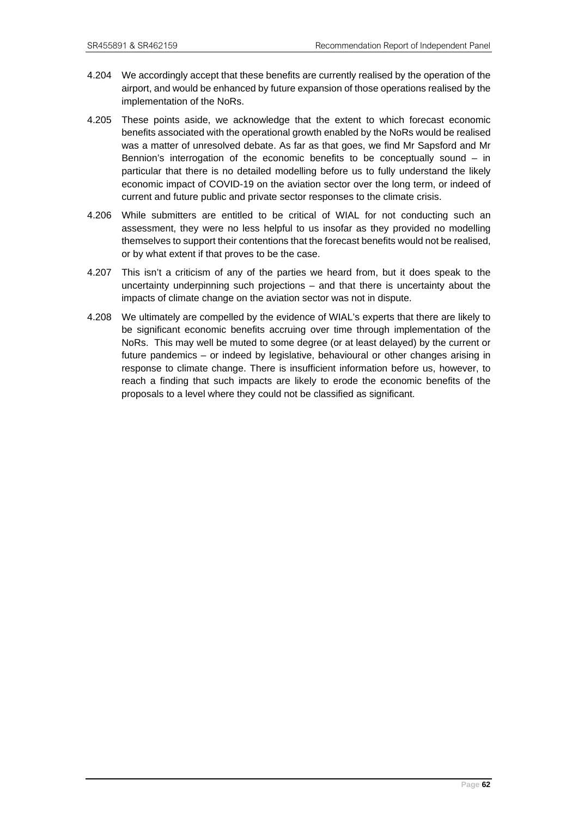- 4.204 We accordingly accept that these benefits are currently realised by the operation of the airport, and would be enhanced by future expansion of those operations realised by the implementation of the NoRs.
- 4.205 These points aside, we acknowledge that the extent to which forecast economic benefits associated with the operational growth enabled by the NoRs would be realised was a matter of unresolved debate. As far as that goes, we find Mr Sapsford and Mr Bennion's interrogation of the economic benefits to be conceptually sound – in particular that there is no detailed modelling before us to fully understand the likely economic impact of COVID-19 on the aviation sector over the long term, or indeed of current and future public and private sector responses to the climate crisis.
- 4.206 While submitters are entitled to be critical of WIAL for not conducting such an assessment, they were no less helpful to us insofar as they provided no modelling themselves to support their contentions that the forecast benefits would not be realised, or by what extent if that proves to be the case.
- 4.207 This isn't a criticism of any of the parties we heard from, but it does speak to the uncertainty underpinning such projections – and that there is uncertainty about the impacts of climate change on the aviation sector was not in dispute.
- 4.208 We ultimately are compelled by the evidence of WIAL's experts that there are likely to be significant economic benefits accruing over time through implementation of the NoRs. This may well be muted to some degree (or at least delayed) by the current or future pandemics – or indeed by legislative, behavioural or other changes arising in response to climate change. There is insufficient information before us, however, to reach a finding that such impacts are likely to erode the economic benefits of the proposals to a level where they could not be classified as significant.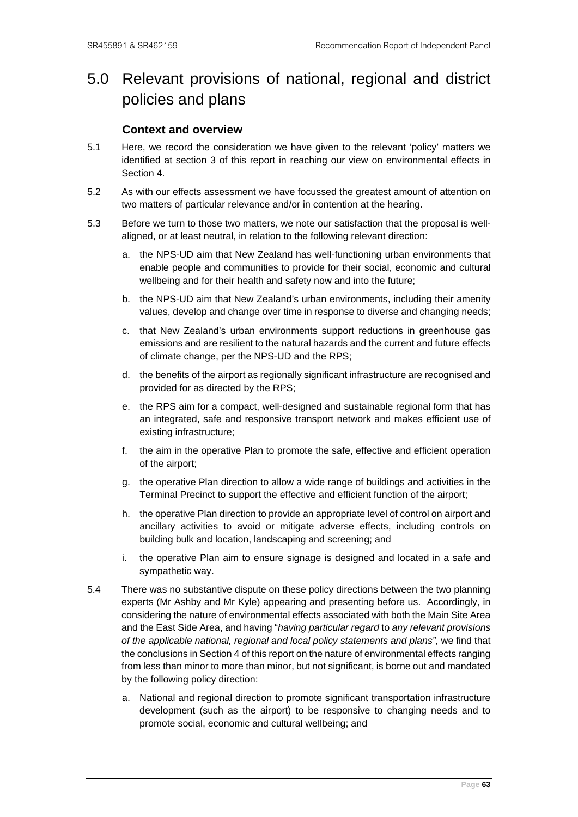# 5.0 Relevant provisions of national, regional and district policies and plans

# **Context and overview**

- 5.1 Here, we record the consideration we have given to the relevant 'policy' matters we identified at section 3 of this report in reaching our view on environmental effects in Section 4.
- 5.2 As with our effects assessment we have focussed the greatest amount of attention on two matters of particular relevance and/or in contention at the hearing.
- 5.3 Before we turn to those two matters, we note our satisfaction that the proposal is wellaligned, or at least neutral, in relation to the following relevant direction:
	- a. the NPS-UD aim that New Zealand has well-functioning urban environments that enable people and communities to provide for their social, economic and cultural wellbeing and for their health and safety now and into the future;
	- b. the NPS-UD aim that New Zealand's urban environments, including their amenity values, develop and change over time in response to diverse and changing needs;
	- c. that New Zealand's urban environments support reductions in greenhouse gas emissions and are resilient to the natural hazards and the current and future effects of climate change, per the NPS-UD and the RPS;
	- d. the benefits of the airport as regionally significant infrastructure are recognised and provided for as directed by the RPS;
	- e. the RPS aim for a compact, well-designed and sustainable regional form that has an integrated, safe and responsive transport network and makes efficient use of existing infrastructure;
	- f. the aim in the operative Plan to promote the safe, effective and efficient operation of the airport;
	- g. the operative Plan direction to allow a wide range of buildings and activities in the Terminal Precinct to support the effective and efficient function of the airport;
	- h. the operative Plan direction to provide an appropriate level of control on airport and ancillary activities to avoid or mitigate adverse effects, including controls on building bulk and location, landscaping and screening; and
	- i. the operative Plan aim to ensure signage is designed and located in a safe and sympathetic way.
- 5.4 There was no substantive dispute on these policy directions between the two planning experts (Mr Ashby and Mr Kyle) appearing and presenting before us. Accordingly, in considering the nature of environmental effects associated with both the Main Site Area and the East Side Area, and having "*having particular regard* to *any relevant provisions of the applicable national, regional and local policy statements and plans",* we find that the conclusions in Section 4 of this report on the nature of environmental effects ranging from less than minor to more than minor, but not significant, is borne out and mandated by the following policy direction:
	- a. National and regional direction to promote significant transportation infrastructure development (such as the airport) to be responsive to changing needs and to promote social, economic and cultural wellbeing; and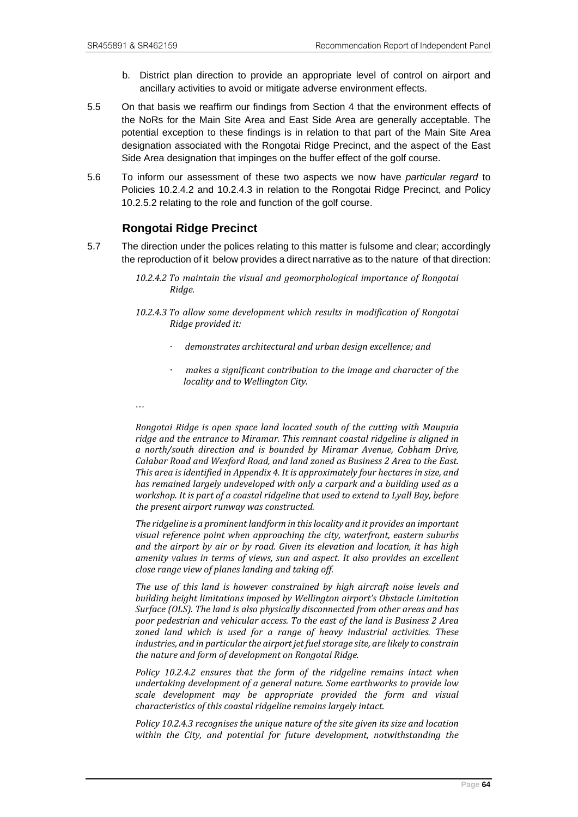- b. District plan direction to provide an appropriate level of control on airport and ancillary activities to avoid or mitigate adverse environment effects.
- 5.5 On that basis we reaffirm our findings from Section 4 that the environment effects of the NoRs for the Main Site Area and East Side Area are generally acceptable. The potential exception to these findings is in relation to that part of the Main Site Area designation associated with the Rongotai Ridge Precinct, and the aspect of the East Side Area designation that impinges on the buffer effect of the golf course.
- 5.6 To inform our assessment of these two aspects we now have *particular regard* to Policies 10.2.4.2 and 10.2.4.3 in relation to the Rongotai Ridge Precinct, and Policy 10.2.5.2 relating to the role and function of the golf course.

# **Rongotai Ridge Precinct**

- 5.7 The direction under the polices relating to this matter is fulsome and clear; accordingly the reproduction of it below provides a direct narrative as to the nature of that direction:
	- *10.2.4.2 To maintain the visual and geomorphological importance of Rongotai Ridge.*
	- *10.2.4.3 To allow some development which results in modification of Rongotai Ridge provided it:*
		- *· demonstrates architectural and urban design excellence; and*
		- *· makes a significant contribution to the image and character of the locality and to Wellington City.*
	- *…*

*Rongotai Ridge is open space land located south of the cutting with Maupuia ridge and the entrance to Miramar. This remnant coastal ridgeline is aligned in a north/south direction and is bounded by Miramar Avenue, Cobham Drive, Calabar Road and Wexford Road, and land zoned as Business 2 Area to the East. This area is identified i[n Appendix 4.](https://eplan.wellington.govt.nz/eplan/#Rules/0/17/1/10990/0) It is approximately four hectares in size, and has remained largely undeveloped with only a carpark and a building used as a workshop. It is part of a coastal ridgeline that used to extend to Lyall Bay, before the present airport runway was constructed.*

*The ridgeline is a prominent landform in this locality and it provides an important visual reference point when approaching the city, waterfront, eastern suburbs and the airport by air or by road. Given its elevation and location, it has high amenity values in terms of views, sun and aspect. It also provides an excellent close range view of planes landing and taking off.* 

*The use of this land is however constrained by high aircraft noise levels and building height limitations imposed by Wellington airport's Obstacle Limitation Surface (OLS). The land is also physically disconnected from other areas and has poor pedestrian and vehicular access. To the east of the land is Business 2 Area zoned land which is used for a range of heavy industrial activities. These industries, and in particular the airport jet fuel storage site, are likely to constrain the nature and form of development on Rongotai Ridge.* 

*Policy [10.2.4.2](https://eplan.wellington.govt.nz/eplan/#Rules/0/16/1/10367/0) ensures that the form of the ridgeline remains intact when undertaking development of a general nature. Some earthworks to provide low scale development may be appropriate provided the form and visual characteristics of this coastal ridgeline remains largely intact.*

*Polic[y 10.2.4.3](https://eplan.wellington.govt.nz/eplan/#Rules/0/16/1/10368/0) recognises the unique nature of the site given its size and location within the City, and potential for future development, notwithstanding the*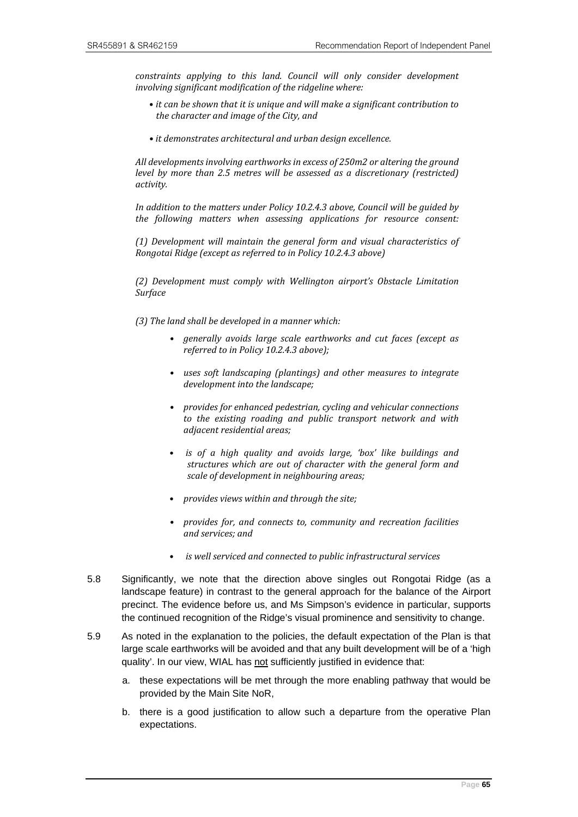*constraints applying to this land. Council will only consider development involving significant modification of the ridgeline where:*

- *it can be shown that it is unique and will make a significant contribution to the character and image of the City, and*
- *it demonstrates architectural and urban design excellence.*

*All developments involving earthworks in excess of 250m2 or altering the ground level by more than 2.5 metres will be assessed as a discretionary (restricted) activity.* 

*In addition to the matters under Policy [10.2.4.3](https://eplan.wellington.govt.nz/eplan/#Rules/0/16/1/10368/0) above, Council will be guided by the following matters when assessing applications for resource consent:*

*(1) Development will maintain the general form and visual characteristics of Rongotai Ridge (except as referred to in Policy [10.2.4.3](https://eplan.wellington.govt.nz/eplan/#Rules/0/16/1/10368/0) above)*

*(2) Development must comply with Wellington airport's Obstacle Limitation Surface*

- *(3) The land shall be developed in a manner which:*
	- *generally avoids large scale earthworks and cut faces (except as referred to in Polic[y 10.2.4.3](https://eplan.wellington.govt.nz/eplan/#Rules/0/16/1/10368/0) above);*
	- *uses soft landscaping (plantings) and other measures to integrate development into the landscape;*
	- *provides for enhanced pedestrian, cycling and vehicular connections to the existing roading and public transport network and with adjacent residential areas;*
	- *is of a high quality and avoids large, 'box' like buildings and structures which are out of character with the general form and scale of development in neighbouring areas;*
	- *provides views within and through the site;*
	- *provides for, and connects to, community and recreation facilities and services; and*
	- *is well serviced and connected to public infrastructural services*
- 5.8 Significantly, we note that the direction above singles out Rongotai Ridge (as a landscape feature) in contrast to the general approach for the balance of the Airport precinct. The evidence before us, and Ms Simpson's evidence in particular, supports the continued recognition of the Ridge's visual prominence and sensitivity to change.
- 5.9 As noted in the explanation to the policies, the default expectation of the Plan is that large scale earthworks will be avoided and that any built development will be of a 'high quality'. In our view, WIAL has not sufficiently justified in evidence that:
	- a. these expectations will be met through the more enabling pathway that would be provided by the Main Site NoR,
	- b. there is a good justification to allow such a departure from the operative Plan expectations.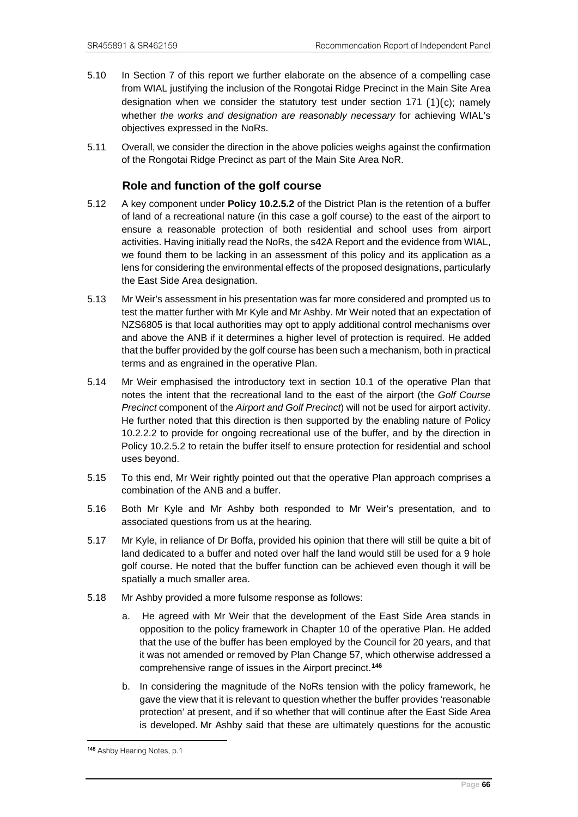- 5.10 In Section 7 of this report we further elaborate on the absence of a compelling case from WIAL justifying the inclusion of the Rongotai Ridge Precinct in the Main Site Area designation when we consider the statutory test under section 171  $(1)(c)$ ; namely whether *the works and designation are reasonably necessary* for achieving WIAL's objectives expressed in the NoRs.
- 5.11 Overall, we consider the direction in the above policies weighs against the confirmation of the Rongotai Ridge Precinct as part of the Main Site Area NoR.

# **Role and function of the golf course**

- 5.12 A key component under **Policy 10.2.5.2** of the District Plan is the retention of a buffer of land of a recreational nature (in this case a golf course) to the east of the airport to ensure a reasonable protection of both residential and school uses from airport activities. Having initially read the NoRs, the s42A Report and the evidence from WIAL, we found them to be lacking in an assessment of this policy and its application as a lens for considering the environmental effects of the proposed designations, particularly the East Side Area designation.
- 5.13 Mr Weir's assessment in his presentation was far more considered and prompted us to test the matter further with Mr Kyle and Mr Ashby. Mr Weir noted that an expectation of NZS6805 is that local authorities may opt to apply additional control mechanisms over and above the ANB if it determines a higher level of protection is required. He added that the buffer provided by the golf course has been such a mechanism, both in practical terms and as engrained in the operative Plan.
- 5.14 Mr Weir emphasised the introductory text in section 10.1 of the operative Plan that notes the intent that the recreational land to the east of the airport (the *Golf Course Precinct* component of the *Airport and Golf Precinct*) will not be used for airport activity. He further noted that this direction is then supported by the enabling nature of Policy 10.2.2.2 to provide for ongoing recreational use of the buffer, and by the direction in Policy 10.2.5.2 to retain the buffer itself to ensure protection for residential and school uses beyond.
- 5.15 To this end, Mr Weir rightly pointed out that the operative Plan approach comprises a combination of the ANB and a buffer.
- 5.16 Both Mr Kyle and Mr Ashby both responded to Mr Weir's presentation, and to associated questions from us at the hearing.
- 5.17 Mr Kyle, in reliance of Dr Boffa, provided his opinion that there will still be quite a bit of land dedicated to a buffer and noted over half the land would still be used for a 9 hole golf course. He noted that the buffer function can be achieved even though it will be spatially a much smaller area.
- 5.18 Mr Ashby provided a more fulsome response as follows:
	- a. He agreed with Mr Weir that the development of the East Side Area stands in opposition to the policy framework in Chapter 10 of the operative Plan. He added that the use of the buffer has been employed by the Council for 20 years, and that it was not amended or removed by Plan Change 57, which otherwise addressed a comprehensive range of issues in the Airport precinct.**[146](#page-69-0)**
	- b. In considering the magnitude of the NoRs tension with the policy framework, he gave the view that it is relevant to question whether the buffer provides 'reasonable protection' at present, and if so whether that will continue after the East Side Area is developed. Mr Ashby said that these are ultimately questions for the acoustic

<span id="page-69-0"></span><sup>146</sup> Ashby Hearing Notes, p.1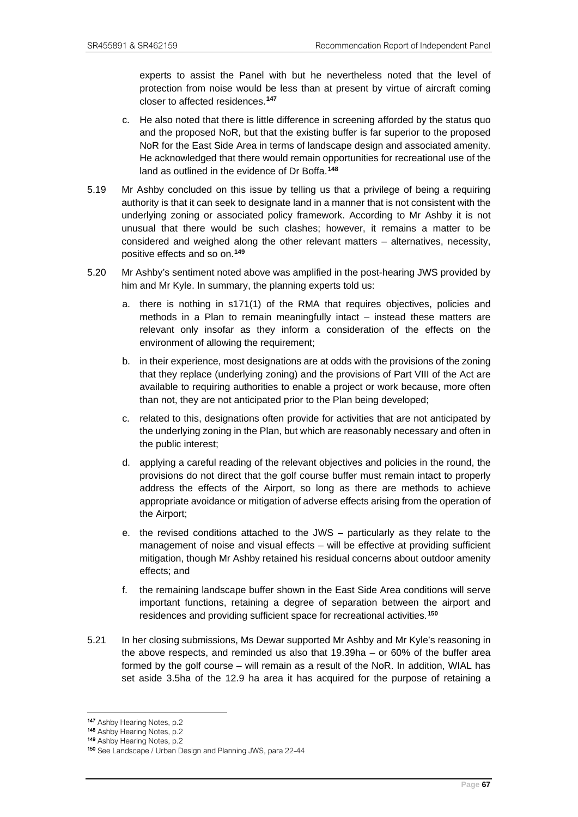experts to assist the Panel with but he nevertheless noted that the level of protection from noise would be less than at present by virtue of aircraft coming closer to affected residences.**[147](#page-70-0)**

- c. He also noted that there is little difference in screening afforded by the status quo and the proposed NoR, but that the existing buffer is far superior to the proposed NoR for the East Side Area in terms of landscape design and associated amenity. He acknowledged that there would remain opportunities for recreational use of the land as outlined in the evidence of Dr Boffa.**[148](#page-70-1)**
- 5.19 Mr Ashby concluded on this issue by telling us that a privilege of being a requiring authority is that it can seek to designate land in a manner that is not consistent with the underlying zoning or associated policy framework. According to Mr Ashby it is not unusual that there would be such clashes; however, it remains a matter to be considered and weighed along the other relevant matters – alternatives, necessity, positive effects and so on.**[149](#page-70-2)**
- 5.20 Mr Ashby's sentiment noted above was amplified in the post-hearing JWS provided by him and Mr Kyle. In summary, the planning experts told us:
	- a. there is nothing in s171(1) of the RMA that requires objectives, policies and methods in a Plan to remain meaningfully intact – instead these matters are relevant only insofar as they inform a consideration of the effects on the environment of allowing the requirement;
	- b. in their experience, most designations are at odds with the provisions of the zoning that they replace (underlying zoning) and the provisions of Part VIII of the Act are available to requiring authorities to enable a project or work because, more often than not, they are not anticipated prior to the Plan being developed;
	- c. related to this, designations often provide for activities that are not anticipated by the underlying zoning in the Plan, but which are reasonably necessary and often in the public interest;
	- d. applying a careful reading of the relevant objectives and policies in the round, the provisions do not direct that the golf course buffer must remain intact to properly address the effects of the Airport, so long as there are methods to achieve appropriate avoidance or mitigation of adverse effects arising from the operation of the Airport;
	- e. the revised conditions attached to the JWS particularly as they relate to the management of noise and visual effects – will be effective at providing sufficient mitigation, though Mr Ashby retained his residual concerns about outdoor amenity effects; and
	- f. the remaining landscape buffer shown in the East Side Area conditions will serve important functions, retaining a degree of separation between the airport and residences and providing sufficient space for recreational activities.**[150](#page-70-3)**
- 5.21 In her closing submissions, Ms Dewar supported Mr Ashby and Mr Kyle's reasoning in the above respects, and reminded us also that 19.39ha – or 60% of the buffer area formed by the golf course – will remain as a result of the NoR. In addition, WIAL has set aside 3.5ha of the 12.9 ha area it has acquired for the purpose of retaining a

<span id="page-70-0"></span><sup>147</sup> Ashby Hearing Notes, p.2

<sup>148</sup> Ashby Hearing Notes, p.2

<span id="page-70-3"></span><span id="page-70-2"></span><span id="page-70-1"></span><sup>149</sup> Ashby Hearing Notes, p.2

<sup>150</sup> See Landscape / Urban Design and Planning JWS, para 22-44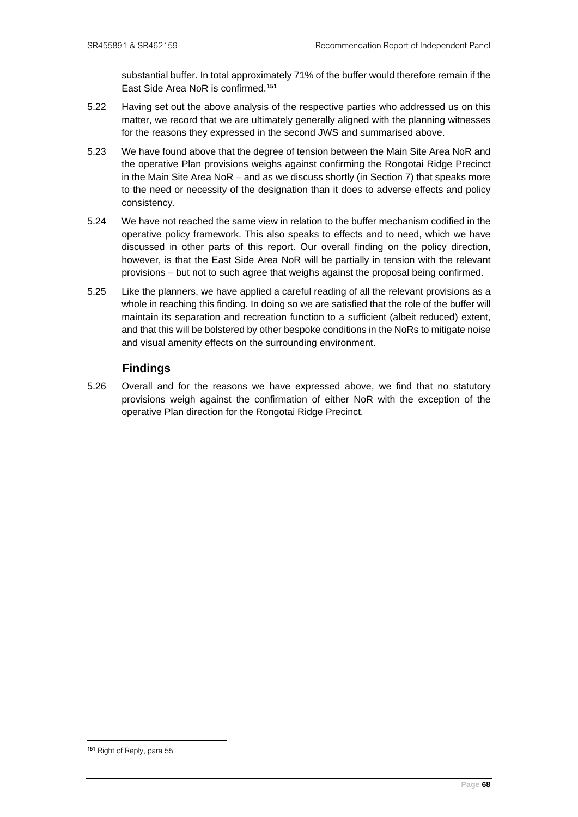substantial buffer. In total approximately 71% of the buffer would therefore remain if the East Side Area NoR is confirmed.**[151](#page-71-0)**

- 5.22 Having set out the above analysis of the respective parties who addressed us on this matter, we record that we are ultimately generally aligned with the planning witnesses for the reasons they expressed in the second JWS and summarised above.
- 5.23 We have found above that the degree of tension between the Main Site Area NoR and the operative Plan provisions weighs against confirming the Rongotai Ridge Precinct in the Main Site Area NoR – and as we discuss shortly (in Section 7) that speaks more to the need or necessity of the designation than it does to adverse effects and policy consistency.
- 5.24 We have not reached the same view in relation to the buffer mechanism codified in the operative policy framework. This also speaks to effects and to need, which we have discussed in other parts of this report. Our overall finding on the policy direction, however, is that the East Side Area NoR will be partially in tension with the relevant provisions – but not to such agree that weighs against the proposal being confirmed.
- 5.25 Like the planners, we have applied a careful reading of all the relevant provisions as a whole in reaching this finding. In doing so we are satisfied that the role of the buffer will maintain its separation and recreation function to a sufficient (albeit reduced) extent, and that this will be bolstered by other bespoke conditions in the NoRs to mitigate noise and visual amenity effects on the surrounding environment.

# **Findings**

5.26 Overall and for the reasons we have expressed above, we find that no statutory provisions weigh against the confirmation of either NoR with the exception of the operative Plan direction for the Rongotai Ridge Precinct.

<span id="page-71-0"></span><sup>151</sup> Right of Reply, para 55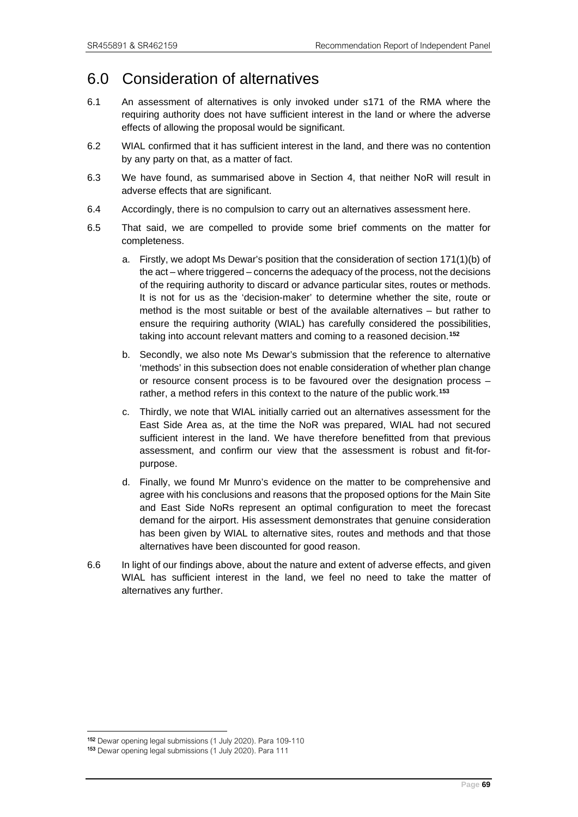## 6.0 Consideration of alternatives

- 6.1 An assessment of alternatives is only invoked under s171 of the RMA where the requiring authority does not have sufficient interest in the land or where the adverse effects of allowing the proposal would be significant.
- 6.2 WIAL confirmed that it has sufficient interest in the land, and there was no contention by any party on that, as a matter of fact.
- 6.3 We have found, as summarised above in Section 4, that neither NoR will result in adverse effects that are significant.
- 6.4 Accordingly, there is no compulsion to carry out an alternatives assessment here.
- 6.5 That said, we are compelled to provide some brief comments on the matter for completeness.
	- a. Firstly, we adopt Ms Dewar's position that the consideration of section 171(1)(b) of the act – where triggered – concerns the adequacy of the process, not the decisions of the requiring authority to discard or advance particular sites, routes or methods. It is not for us as the 'decision-maker' to determine whether the site, route or method is the most suitable or best of the available alternatives – but rather to ensure the requiring authority (WIAL) has carefully considered the possibilities, taking into account relevant matters and coming to a reasoned decision.**[152](#page-72-0)**
	- b. Secondly, we also note Ms Dewar's submission that the reference to alternative 'methods' in this subsection does not enable consideration of whether plan change or resource consent process is to be favoured over the designation process – rather, a method refers in this context to the nature of the public work.**[153](#page-72-1)**
	- c. Thirdly, we note that WIAL initially carried out an alternatives assessment for the East Side Area as, at the time the NoR was prepared, WIAL had not secured sufficient interest in the land. We have therefore benefitted from that previous assessment, and confirm our view that the assessment is robust and fit-forpurpose.
	- d. Finally, we found Mr Munro's evidence on the matter to be comprehensive and agree with his conclusions and reasons that the proposed options for the Main Site and East Side NoRs represent an optimal configuration to meet the forecast demand for the airport. His assessment demonstrates that genuine consideration has been given by WIAL to alternative sites, routes and methods and that those alternatives have been discounted for good reason.
- 6.6 In light of our findings above, about the nature and extent of adverse effects, and given WIAL has sufficient interest in the land, we feel no need to take the matter of alternatives any further.

<span id="page-72-1"></span><span id="page-72-0"></span><sup>&</sup>lt;sup>152</sup> Dewar opening legal submissions (1 July 2020). Para 109-110<br><sup>153</sup> Dewar opening legal submissions (1 July 2020). Para 111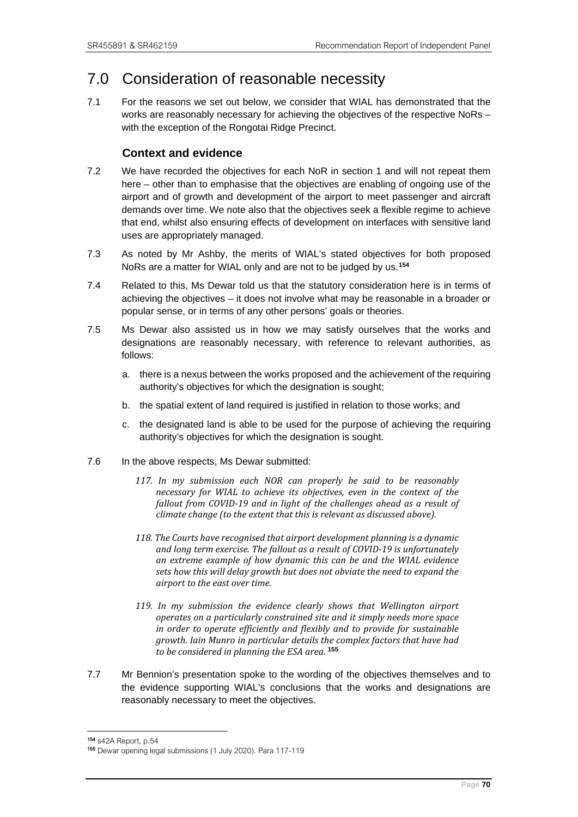## 7.0 Consideration of reasonable necessity

7.1 For the reasons we set out below, we consider that WIAL has demonstrated that the works are reasonably necessary for achieving the objectives of the respective NoRs – with the exception of the Rongotai Ridge Precinct.

### **Context and evidence**

- 7.2 We have recorded the objectives for each NoR in section 1 and will not repeat them here – other than to emphasise that the objectives are enabling of ongoing use of the airport and of growth and development of the airport to meet passenger and aircraft demands over time. We note also that the objectives seek a flexible regime to achieve that end, whilst also ensuring effects of development on interfaces with sensitive land uses are appropriately managed.
- 7.3 As noted by Mr Ashby, the merits of WIAL's stated objectives for both proposed NoRs are a matter for WIAL only and are not to be judged by us.**[154](#page-73-0)**
- 7.4 Related to this, Ms Dewar told us that the statutory consideration here is in terms of achieving the objectives – it does not involve what may be reasonable in a broader or popular sense, or in terms of any other persons' goals or theories.
- 7.5 Ms Dewar also assisted us in how we may satisfy ourselves that the works and designations are reasonably necessary, with reference to relevant authorities, as follows:
	- a. there is a nexus between the works proposed and the achievement of the requiring authority's objectives for which the designation is sought;
	- b. the spatial extent of land required is justified in relation to those works; and
	- c. the designated land is able to be used for the purpose of achieving the requiring authority's objectives for which the designation is sought.
- 7.6 In the above respects, Ms Dewar submitted:
	- *117. In my submission each NOR can properly be said to be reasonably necessary for WIAL to achieve its objectives, even in the context of the fallout from COVID-19 and in light of the challenges ahead as a result of climate change (to the extent that this is relevant as discussed above).*
	- *118. The Courts have recognised that airport development planning is a dynamic and long term exercise. The fallout as a result of COVID-19 is unfortunately an extreme example of how dynamic this can be and the WIAL evidence sets how this will delay growth but does not obviate the need to expand the airport to the east over time.*
	- *119. In my submission the evidence clearly shows that Wellington airport operates on a particularly constrained site and it simply needs more space in order to operate efficiently and flexibly and to provide for sustainable growth. Iain Munro in particular details the complex factors that have had to be considered in planning the ESA area.* **[155](#page-73-1)**
- 7.7 Mr Bennion's presentation spoke to the wording of the objectives themselves and to the evidence supporting WIAL's conclusions that the works and designations are reasonably necessary to meet the objectives.

<sup>154</sup> s42A Report, p.54

<span id="page-73-1"></span><span id="page-73-0"></span><sup>155</sup> Dewar opening legal submissions (1 July 2020). Para 117-119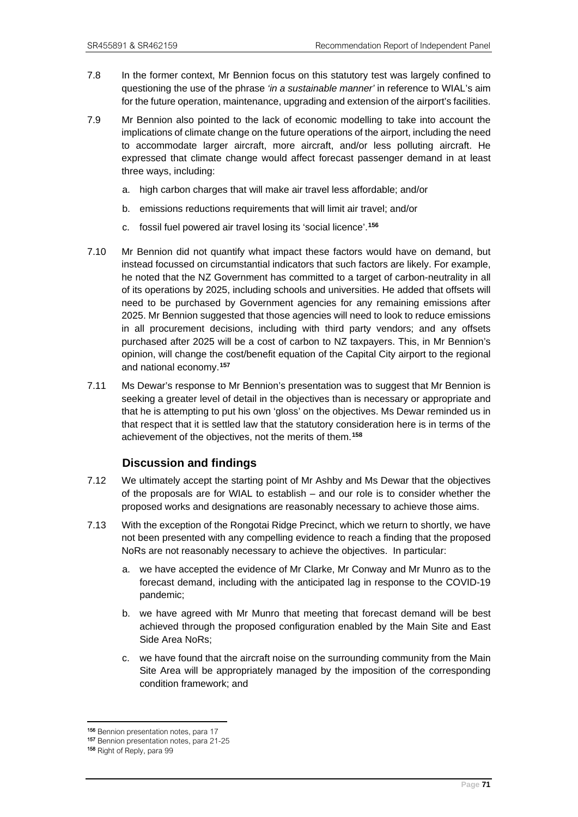- 7.8 In the former context, Mr Bennion focus on this statutory test was largely confined to questioning the use of the phrase *'in a sustainable manner'* in reference to WIAL's aim for the future operation, maintenance, upgrading and extension of the airport's facilities.
- 7.9 Mr Bennion also pointed to the lack of economic modelling to take into account the implications of climate change on the future operations of the airport, including the need to accommodate larger aircraft, more aircraft, and/or less polluting aircraft. He expressed that climate change would affect forecast passenger demand in at least three ways, including:
	- a. high carbon charges that will make air travel less affordable; and/or
	- b. emissions reductions requirements that will limit air travel; and/or
	- c. fossil fuel powered air travel losing its 'social licence'.**[156](#page-74-0)**
- 7.10 Mr Bennion did not quantify what impact these factors would have on demand, but instead focussed on circumstantial indicators that such factors are likely. For example, he noted that the NZ Government has committed to a target of carbon-neutrality in all of its operations by 2025, including schools and universities. He added that offsets will need to be purchased by Government agencies for any remaining emissions after 2025. Mr Bennion suggested that those agencies will need to look to reduce emissions in all procurement decisions, including with third party vendors; and any offsets purchased after 2025 will be a cost of carbon to NZ taxpayers. This, in Mr Bennion's opinion, will change the cost/benefit equation of the Capital City airport to the regional and national economy.**[157](#page-74-1)**
- 7.11 Ms Dewar's response to Mr Bennion's presentation was to suggest that Mr Bennion is seeking a greater level of detail in the objectives than is necessary or appropriate and that he is attempting to put his own 'gloss' on the objectives. Ms Dewar reminded us in that respect that it is settled law that the statutory consideration here is in terms of the achievement of the objectives, not the merits of them.**[158](#page-74-2)**

#### **Discussion and findings**

- 7.12 We ultimately accept the starting point of Mr Ashby and Ms Dewar that the objectives of the proposals are for WIAL to establish – and our role is to consider whether the proposed works and designations are reasonably necessary to achieve those aims.
- 7.13 With the exception of the Rongotai Ridge Precinct, which we return to shortly, we have not been presented with any compelling evidence to reach a finding that the proposed NoRs are not reasonably necessary to achieve the objectives. In particular:
	- a. we have accepted the evidence of Mr Clarke, Mr Conway and Mr Munro as to the forecast demand, including with the anticipated lag in response to the COVID-19 pandemic;
	- b. we have agreed with Mr Munro that meeting that forecast demand will be best achieved through the proposed configuration enabled by the Main Site and East Side Area NoRs;
	- c. we have found that the aircraft noise on the surrounding community from the Main Site Area will be appropriately managed by the imposition of the corresponding condition framework; and

<sup>156</sup> Bennion presentation notes, para 17

<span id="page-74-1"></span><span id="page-74-0"></span><sup>157</sup> Bennion presentation notes, para 21-25<br><sup>158</sup> Right of Reply, para 99

<span id="page-74-2"></span>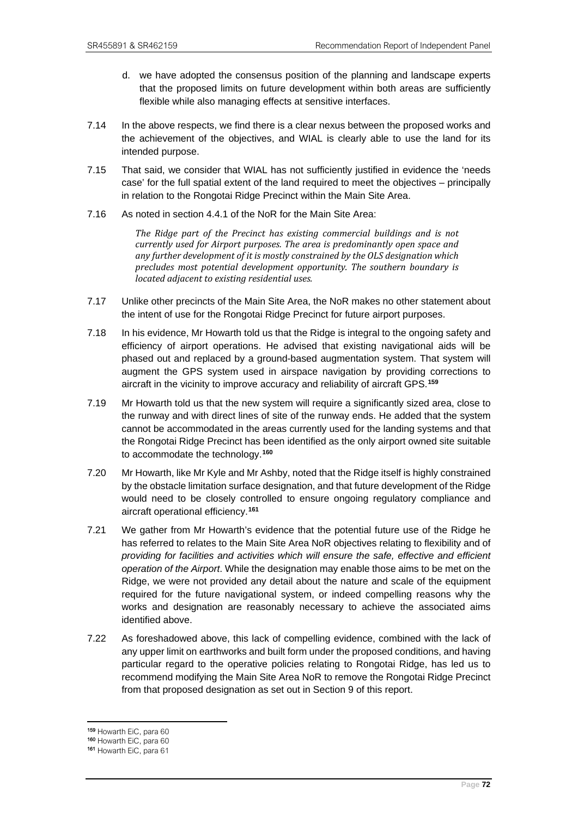- d. we have adopted the consensus position of the planning and landscape experts that the proposed limits on future development within both areas are sufficiently flexible while also managing effects at sensitive interfaces.
- 7.14 In the above respects, we find there is a clear nexus between the proposed works and the achievement of the objectives, and WIAL is clearly able to use the land for its intended purpose.
- 7.15 That said, we consider that WIAL has not sufficiently justified in evidence the 'needs case' for the full spatial extent of the land required to meet the objectives – principally in relation to the Rongotai Ridge Precinct within the Main Site Area.
- 7.16 As noted in section 4.4.1 of the NoR for the Main Site Area:

*The Ridge part of the Precinct has existing commercial buildings and is not currently used for Airport purposes. The area is predominantly open space and any further development of it is mostly constrained by the OLS designation which precludes most potential development opportunity. The southern boundary is located adjacent to existing residential uses.*

- 7.17 Unlike other precincts of the Main Site Area, the NoR makes no other statement about the intent of use for the Rongotai Ridge Precinct for future airport purposes.
- 7.18 In his evidence, Mr Howarth told us that the Ridge is integral to the ongoing safety and efficiency of airport operations. He advised that existing navigational aids will be phased out and replaced by a ground-based augmentation system. That system will augment the GPS system used in airspace navigation by providing corrections to aircraft in the vicinity to improve accuracy and reliability of aircraft GPS.**[159](#page-75-0)**
- 7.19 Mr Howarth told us that the new system will require a significantly sized area, close to the runway and with direct lines of site of the runway ends. He added that the system cannot be accommodated in the areas currently used for the landing systems and that the Rongotai Ridge Precinct has been identified as the only airport owned site suitable to accommodate the technology.**[160](#page-75-1)**
- 7.20 Mr Howarth, like Mr Kyle and Mr Ashby, noted that the Ridge itself is highly constrained by the obstacle limitation surface designation, and that future development of the Ridge would need to be closely controlled to ensure ongoing regulatory compliance and aircraft operational efficiency.**[161](#page-75-2)**
- 7.21 We gather from Mr Howarth's evidence that the potential future use of the Ridge he has referred to relates to the Main Site Area NoR objectives relating to flexibility and of *providing for facilities and activities which will ensure the safe, effective and efficient operation of the Airport*. While the designation may enable those aims to be met on the Ridge, we were not provided any detail about the nature and scale of the equipment required for the future navigational system, or indeed compelling reasons why the works and designation are reasonably necessary to achieve the associated aims identified above.
- 7.22 As foreshadowed above, this lack of compelling evidence, combined with the lack of any upper limit on earthworks and built form under the proposed conditions, and having particular regard to the operative policies relating to Rongotai Ridge, has led us to recommend modifying the Main Site Area NoR to remove the Rongotai Ridge Precinct from that proposed designation as set out in Section 9 of this report.

<sup>159</sup> Howarth EiC, para 60

<span id="page-75-1"></span><span id="page-75-0"></span><sup>160</sup> Howarth EiC, para 60

<span id="page-75-2"></span><sup>161</sup> Howarth EiC, para 61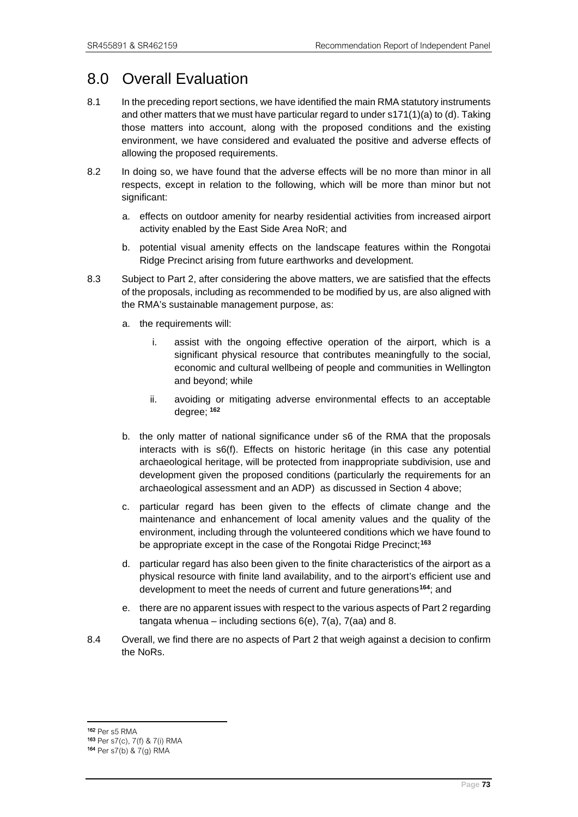# 8.0 Overall Evaluation

- 8.1 In the preceding report sections, we have identified the main RMA statutory instruments and other matters that we must have particular regard to under s171(1)(a) to (d). Taking those matters into account, along with the proposed conditions and the existing environment, we have considered and evaluated the positive and adverse effects of allowing the proposed requirements.
- 8.2 In doing so, we have found that the adverse effects will be no more than minor in all respects, except in relation to the following, which will be more than minor but not significant:
	- a. effects on outdoor amenity for nearby residential activities from increased airport activity enabled by the East Side Area NoR; and
	- b. potential visual amenity effects on the landscape features within the Rongotai Ridge Precinct arising from future earthworks and development.
- 8.3 Subject to Part 2, after considering the above matters, we are satisfied that the effects of the proposals, including as recommended to be modified by us, are also aligned with the RMA's sustainable management purpose, as:
	- a. the requirements will:
		- i. assist with the ongoing effective operation of the airport, which is a significant physical resource that contributes meaningfully to the social, economic and cultural wellbeing of people and communities in Wellington and beyond; while
		- ii. avoiding or mitigating adverse environmental effects to an acceptable degree; **[162](#page-76-0)**
	- b. the only matter of national significance under s6 of the RMA that the proposals interacts with is s6(f). Effects on historic heritage (in this case any potential archaeological heritage, will be protected from inappropriate subdivision, use and development given the proposed conditions (particularly the requirements for an archaeological assessment and an ADP) as discussed in Section 4 above;
	- c. particular regard has been given to the effects of climate change and the maintenance and enhancement of local amenity values and the quality of the environment, including through the volunteered conditions which we have found to be appropriate except in the case of the Rongotai Ridge Precinct; **[163](#page-76-1)**
	- d. particular regard has also been given to the finite characteristics of the airport as a physical resource with finite land availability, and to the airport's efficient use and development to meet the needs of current and future generations**[164](#page-76-2)**; and
	- e. there are no apparent issues with respect to the various aspects of Part 2 regarding tangata whenua – including sections  $6(e)$ ,  $7(a)$ ,  $7(aa)$  and 8.
- 8.4 Overall, we find there are no aspects of Part 2 that weigh against a decision to confirm the NoRs.

<span id="page-76-2"></span><span id="page-76-1"></span><span id="page-76-0"></span><sup>162</sup> Per s5 RMA 163 Per s7(c), 7(f) & 7(i) RMA 164 Per s7(b) & 7(g) RMA